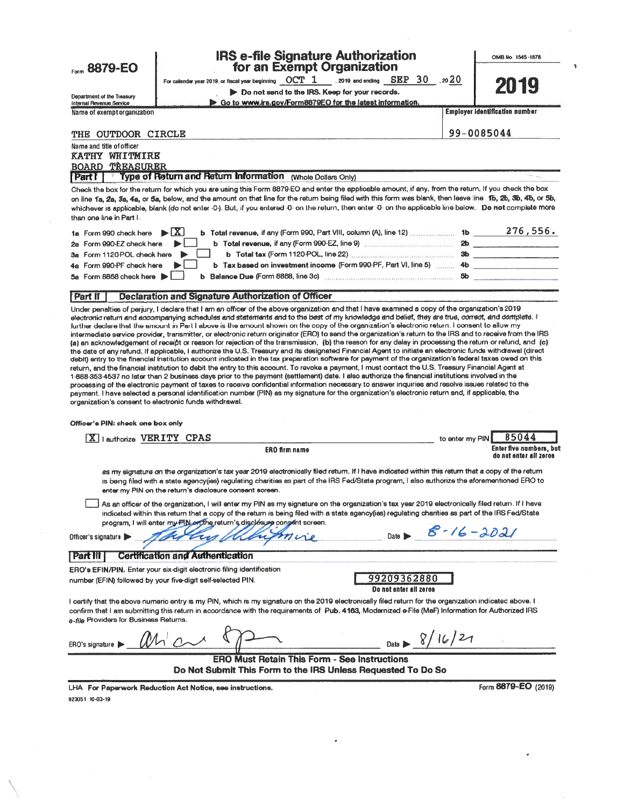**IRS e-file Signature Authorization** OMB No. 1545-1878 Form 8879-EO for an Exempt Organization For calendar year 2019, or fiscal year beginning  $\rm ~OCT~1-$  1, 2019, and ending  $\rm ~SBP~$   $30 20^{20}$ **TFU** Do not send to the IRS. Keep for your records. Department of the Treasury<br>Internal Revenue Service Go to www.irs.gov/Form8879EO for the latest information. Name of exempt organization **Employer identification number** 99-0085044 THE OUTDOOR CIRCLE Name and title of officer **KATHY WHITMIRE BOARD TREASURER** Type of Return and Return Information (Whole Dollars Only) Part 1 Check the box for the return for which you are using this Form 8879-EO and enter the applicable amount, if any, from the return. If you check the box on line 1a. Za. 3a. 4a. or 5a, below, and the amount on that line for the retum being filed with this form was blank, then leave line 1b, 2b, 3b, 4b, or 5b, whichever is applicable, blank (do not enter -0-). But, if you entered -0- on the return, then enter -0- on the applicable line below. Do not complete more than one line in Part I: 1a Form 990 check here  $\blacktriangleright \boxed{\mathbf{X}}$ b Total revenue, if any (Form 990-EZ, line 9) [100] [100] [20] 2a Form 990-EZ check here  $\blacktriangleright$   $\vdash$ 3a Form 1120-POL check here ▶ b Tax based on investment income (Form 990-PF, Part VI, line 5) ......... 4b 4a Form 990-PF check here N.L  $5<sub>b</sub>$ 5a Form 8868 check here  $\blacktriangleright$ **Declaration and Signature Authorization of Officer Part II** Under penalties of perjury, I declare that I am an officer of the above organization and that I have examined a copy of the organization's 2019 electronic return and accompanying schedules and statements and to the best of my knowledge and belief, they are true, correct, and complete. I further declare that the amount in Part I above is the amount shown on the copy of the organization's electronic return. I consent to allow my intermediate service provider, transmitter, or electronic return originator (ERO) to send the organization's return to the IRS and to receive from the IRS (a) an acknowledgement of receipt or reason for rejection of the transmission, (b) the reason for any delay in processing the return or refund, and (c) the date of any refund. If applicable, I authorize the U.S. Treasury and its designated Financial Agent to initiate an electronic funds withdrawal (direct debit) entry to the financial institution account indicated in the tax preparation software for payment of the organization's federal taxes owed on this return, and the financial institution to debit the entry to this account. To revoke a payment, I must contact the U.S. Treasury Financial Agent at 1-888-353-4537 no later than 2 business days prior to the payment (settlement) date. I also authorize the financial institutions involved in the processing of the electronic payment of taxes to receive confidential information necessary to answer inquiries and resolve issues related to the payment. I have selected a personal identification number (PIN) as my signature for the organization's electronic return and, if applicable, the organization's consent to electronic funds withdrawal. Officer's PIN: check one box only X lauthorize VERITY CPAS to enter my PIN 85044 Enter five numbers, but ERO firm name do not enter all zeros as my signature on the organization's tax year 2019 electronically filed return. If I have indicated within this return that a copy of the return is being filed with a state agencyties) regulating charities as part of the IRS Fed/State program, I also authorize the aforementioned ERO to enter my PIN on the return's disclosure consent screen. \_} As an officer of the organization, I will enter my PIN as my signature on the organization's tax year 2019 electronically filed return. If I have indicated within this return that a copy of the return is being filed with a state agency(ies) regulating charities as part of the IRS Fed/State program, I will enter my FIN or the return's disclosure consent screen.  $8 - 16 - 2021$ Officer's signature **Certification and Authentication** Part III ERO's EFIN/PIN. Enter your six-digit electronic filing identification 99209362880 number (EFIN) followed by your five-digit self-selected PIN. Do not enter all zeros I certify that the above numeric entry is my PIN, which is my signature on the 2019 electronically filed return for the organization indicated above. I confirm that I am submitting this return in accordance with the requirements of Pub. 4163, Modernized e-File (MeF) Information for Authorized IRS a-file Providers for Business Returns. ERO's signature | **ERO Must Retain This Form - See Instructions** Do Not Submit This Form to the IRS Unless Requested To Do So Form 8879-EO (2019) LHA For Paperwork Reduction Act Notice, see instructions. 923051 10-03-19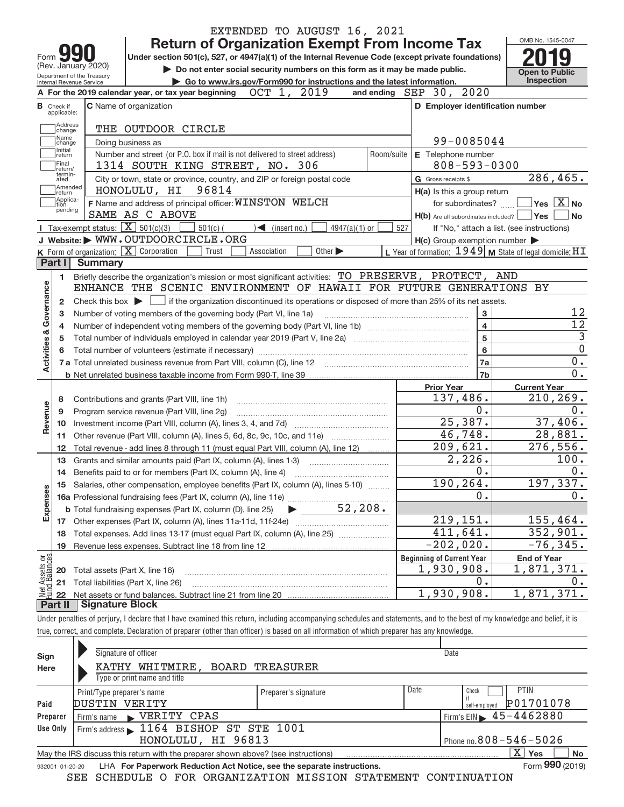|                                       |                                  |                                                        | EXTENDED TO AUGUST 16, 2021                                                                                                                                                |            |                                                     |                                                                    |
|---------------------------------------|----------------------------------|--------------------------------------------------------|----------------------------------------------------------------------------------------------------------------------------------------------------------------------------|------------|-----------------------------------------------------|--------------------------------------------------------------------|
|                                       |                                  |                                                        | <b>Return of Organization Exempt From Income Tax</b>                                                                                                                       |            |                                                     | OMB No. 1545-0047                                                  |
| Form                                  |                                  |                                                        | Under section 501(c), 527, or 4947(a)(1) of the Internal Revenue Code (except private foundations)                                                                         |            |                                                     |                                                                    |
|                                       |                                  | (Rev. January 2020)                                    | Do not enter social security numbers on this form as it may be made public.                                                                                                |            |                                                     | <b>Open to Public</b>                                              |
|                                       |                                  | Department of the Treasury<br>Internal Revenue Service | Go to www.irs.gov/Form990 for instructions and the latest information.                                                                                                     |            |                                                     | <b>Inspection</b>                                                  |
|                                       |                                  |                                                        | OCT 1, 2019<br>A For the 2019 calendar year, or tax year beginning                                                                                                         |            | and ending $SEP$ 30, $2020$                         |                                                                    |
|                                       | <b>B</b> Check if<br>applicable: |                                                        | <b>C</b> Name of organization                                                                                                                                              |            | D Employer identification number                    |                                                                    |
|                                       | Address<br>change                |                                                        | THE OUTDOOR CIRCLE                                                                                                                                                         |            |                                                     |                                                                    |
|                                       | Name<br>change                   |                                                        | Doing business as                                                                                                                                                          |            | 99-0085044                                          |                                                                    |
|                                       | Initial<br>return                |                                                        | Number and street (or P.O. box if mail is not delivered to street address)                                                                                                 | Room/suite | E Telephone number                                  |                                                                    |
|                                       | Final<br>return/                 |                                                        | 1314 SOUTH KING STREET, NO. 306                                                                                                                                            |            | $808 - 593 - 0300$                                  |                                                                    |
|                                       | termin-<br>ated                  |                                                        | City or town, state or province, country, and ZIP or foreign postal code                                                                                                   |            | G Gross receipts \$                                 | $\overline{286}$ , 465.                                            |
|                                       | Amended<br>return                |                                                        | HONOLULU, HI<br>96814                                                                                                                                                      |            | H(a) Is this a group return                         |                                                                    |
|                                       | Applica-<br>tion                 |                                                        | F Name and address of principal officer: WINSTON WELCH                                                                                                                     |            | for subordinates?                                   | $\sqrt{}$ Yes $\sqrt{}$ X $\sqrt{}$ No                             |
|                                       | pending                          |                                                        | SAME AS C ABOVE                                                                                                                                                            |            | $H(b)$ Are all subordinates included? $\Box$ Yes    | l No                                                               |
|                                       |                                  | Tax-exempt status: $\boxed{\mathbf{X}}$ 501(c)(3)      | $501(c)$ (<br>$\sum$ (insert no.)<br>$4947(a)(1)$ or                                                                                                                       | 527        |                                                     | If "No," attach a list. (see instructions)                         |
|                                       |                                  |                                                        | J Website: WWW.OUTDOORCIRCLE.ORG                                                                                                                                           |            | $H(c)$ Group exemption number $\blacktriangleright$ |                                                                    |
|                                       |                                  |                                                        | <b>K</b> Form of organization: $\boxed{\mathbf{X}}$ Corporation<br>Other $\blacktriangleright$<br>Trust<br>Association                                                     |            |                                                     | L Year of formation: $1949$ M State of legal domicile: $\text{HT}$ |
|                                       | Part I                           | <b>Summary</b>                                         |                                                                                                                                                                            |            |                                                     |                                                                    |
|                                       | 1                                |                                                        | Briefly describe the organization's mission or most significant activities: TO PRESERVE, PROTECT, AND                                                                      |            |                                                     |                                                                    |
|                                       |                                  |                                                        | ENHANCE THE SCENIC ENVIRONMENT OF HAWAII FOR FUTURE GENERATIONS BY                                                                                                         |            |                                                     |                                                                    |
| Governance                            | 2                                |                                                        | Check this box $\triangleright$ $\cdot$ if the organization discontinued its operations or disposed of more than 25% of its net assets.                                    |            |                                                     |                                                                    |
|                                       | 3                                |                                                        | Number of voting members of the governing body (Part VI, line 1a)                                                                                                          |            | 3                                                   | 12                                                                 |
|                                       | 4                                |                                                        |                                                                                                                                                                            |            | $\overline{4}$                                      | 12                                                                 |
|                                       | 5                                |                                                        |                                                                                                                                                                            |            | 5                                                   | $\overline{3}$                                                     |
| Activities &                          | 6                                |                                                        |                                                                                                                                                                            |            | 6                                                   | $\overline{0}$                                                     |
|                                       |                                  |                                                        |                                                                                                                                                                            |            | 7a                                                  | 0.                                                                 |
|                                       |                                  |                                                        |                                                                                                                                                                            |            | 7b                                                  | 0.                                                                 |
|                                       |                                  |                                                        |                                                                                                                                                                            |            | <b>Prior Year</b>                                   | <b>Current Year</b>                                                |
|                                       | 8                                |                                                        | Contributions and grants (Part VIII, line 1h)                                                                                                                              |            | 137,486.                                            | 210, 269.                                                          |
| Revenue                               | 9                                |                                                        | Program service revenue (Part VIII, line 2g)                                                                                                                               |            | 0.<br>25,387.                                       | 0.                                                                 |
|                                       | 10                               |                                                        |                                                                                                                                                                            |            | 46,748.                                             | 37,406.                                                            |
|                                       | 11                               |                                                        | Other revenue (Part VIII, column (A), lines 5, 6d, 8c, 9c, 10c, and 11e)                                                                                                   |            | 209,621.                                            | 28,881.                                                            |
|                                       | 12                               |                                                        | Total revenue - add lines 8 through 11 (must equal Part VIII, column (A), line 12)                                                                                         |            |                                                     | 276,556.                                                           |
|                                       | 13                               |                                                        | Grants and similar amounts paid (Part IX, column (A), lines 1-3)                                                                                                           |            | 2,226.<br>0.                                        | 100.<br>0.                                                         |
|                                       | 14                               |                                                        |                                                                                                                                                                            |            | 190,264.                                            | 197,337.                                                           |
|                                       |                                  |                                                        | 15 Salaries, other compensation, employee benefits (Part IX, column (A), lines 5-10)                                                                                       |            | 0.                                                  | 0.                                                                 |
| Expenses                              |                                  |                                                        | 52, 208.                                                                                                                                                                   |            |                                                     |                                                                    |
|                                       |                                  |                                                        | <b>b</b> Total fundraising expenses (Part IX, column (D), line 25)                                                                                                         |            | 219,151.                                            | 155,464.                                                           |
|                                       |                                  |                                                        | Total expenses. Add lines 13-17 (must equal Part IX, column (A), line 25)                                                                                                  |            | 411,641.                                            | 352,901.                                                           |
|                                       | 18                               |                                                        |                                                                                                                                                                            |            | $-202,020.$                                         | $-76, 345.$                                                        |
|                                       | 19                               |                                                        | Revenue less expenses. Subtract line 18 from line 12                                                                                                                       |            |                                                     |                                                                    |
| Net Assets or<br><b>Fund Balances</b> |                                  | Total assets (Part X, line 16)                         |                                                                                                                                                                            |            | <b>Beginning of Current Year</b><br>1,930,908.      | <b>End of Year</b><br>1,871,371.                                   |
|                                       | 20<br>21                         |                                                        | Total liabilities (Part X, line 26)                                                                                                                                        |            | 0.                                                  | 0.                                                                 |
|                                       | 22                               |                                                        |                                                                                                                                                                            |            | 1,930,908.                                          | 1,871,371.                                                         |
|                                       | Part II                          | <b>Signature Block</b>                                 |                                                                                                                                                                            |            |                                                     |                                                                    |
|                                       |                                  |                                                        | Under penalties of perjury, I declare that I have examined this return, including accompanying schedules and statements, and to the best of my knowledge and belief, it is |            |                                                     |                                                                    |
|                                       |                                  |                                                        |                                                                                                                                                                            |            |                                                     |                                                                    |

true, correct, and complete. Declaration of preparer (other than officer) is based on all information of which preparer has any knowledge.

| Sign     | Signature of officer                                                                                         |                      |                            | Date                         |  |  |  |  |  |  |  |
|----------|--------------------------------------------------------------------------------------------------------------|----------------------|----------------------------|------------------------------|--|--|--|--|--|--|--|
| Here     | WHITMIRE,<br>BOARD<br>KATHY                                                                                  | TREASURER            |                            |                              |  |  |  |  |  |  |  |
|          | Type or print name and title                                                                                 |                      |                            |                              |  |  |  |  |  |  |  |
|          | Print/Type preparer's name                                                                                   | Preparer's signature | Date                       | <b>PTIN</b><br>Check         |  |  |  |  |  |  |  |
| Paid     | VERITY<br>DUSTIN                                                                                             |                      |                            | P01701078<br>self-emploved   |  |  |  |  |  |  |  |
| Preparer | $\blacktriangleright$ VERITY CPAS<br>Firm's name                                                             |                      |                            | Firm's EIN $\, 45 - 4462880$ |  |  |  |  |  |  |  |
| Use Only | Firm's address 1164 BISHOP ST STE 1001                                                                       |                      |                            |                              |  |  |  |  |  |  |  |
|          | HONOLULU, HI 96813                                                                                           |                      | Phone no. 808 - 546 - 5026 |                              |  |  |  |  |  |  |  |
|          | May the IRS discuss this return with the preparer shown above? (see instructions)                            |                      |                            | X.<br><b>No</b><br>Yes       |  |  |  |  |  |  |  |
|          | Form 990 (2019)<br>LHA For Paperwork Reduction Act Notice, see the separate instructions.<br>932001 01-20-20 |                      |                            |                              |  |  |  |  |  |  |  |

SEE SCHEDULE O FOR ORGANIZATION MISSION STATEMENT CONTINUATION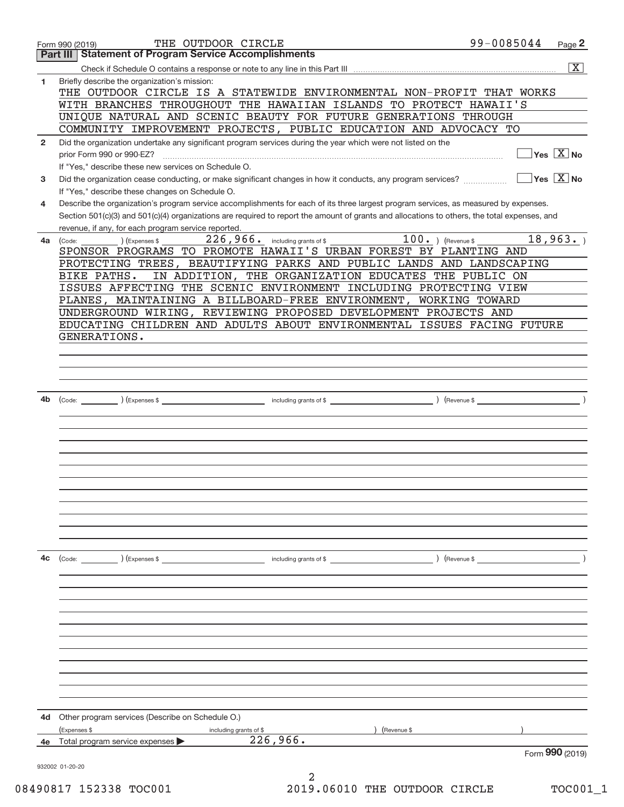|                | THE OUTDOOR CIRCLE<br>Form 990 (2019)                                                                                                                                                                                                                         | 99-0085044                                                                 | Page 2                                          |
|----------------|---------------------------------------------------------------------------------------------------------------------------------------------------------------------------------------------------------------------------------------------------------------|----------------------------------------------------------------------------|-------------------------------------------------|
|                | <b>Statement of Program Service Accomplishments</b><br>Part III                                                                                                                                                                                               |                                                                            |                                                 |
|                |                                                                                                                                                                                                                                                               |                                                                            | $\overline{\mathbf{X}}$                         |
| 1              | Briefly describe the organization's mission:<br>THE OUTDOOR CIRCLE IS A STATEWIDE ENVIRONMENTAL NON-PROFIT THAT WORKS<br>WITH BRANCHES THROUGHOUT THE HAWAIIAN ISLANDS TO PROTECT HAWAII'S<br>UNIQUE NATURAL AND SCENIC BEAUTY FOR FUTURE GENERATIONS THROUGH |                                                                            |                                                 |
|                | COMMUNITY IMPROVEMENT PROJECTS, PUBLIC EDUCATION AND ADVOCACY TO                                                                                                                                                                                              |                                                                            |                                                 |
| $\overline{2}$ | Did the organization undertake any significant program services during the year which were not listed on the<br>prior Form 990 or 990-EZ?<br>If "Yes," describe these new services on Schedule O.                                                             |                                                                            | $\overline{\ }$ Yes $\overline{\phantom{X}}$ No |
| 3              | If "Yes," describe these changes on Schedule O.                                                                                                                                                                                                               |                                                                            | $\Box$ Yes $\Box X \overline{X}$ No             |
| 4              | Describe the organization's program service accomplishments for each of its three largest program services, as measured by expenses.                                                                                                                          |                                                                            |                                                 |
|                | Section 501(c)(3) and 501(c)(4) organizations are required to report the amount of grants and allocations to others, the total expenses, and<br>revenue, if any, for each program service reported.                                                           |                                                                            |                                                 |
| 4a             | $100.$ (Revenue \$<br>$226$ , $966$ . including grants of \$<br>(Expenses \$<br>(Code:                                                                                                                                                                        |                                                                            | 18,963.                                         |
|                | SPONSOR PROGRAMS TO PROMOTE HAWAII'S URBAN FOREST BY PLANTING AND                                                                                                                                                                                             |                                                                            |                                                 |
|                | PROTECTING TREES, BEAUTIFYING PARKS AND PUBLIC LANDS AND LANDSCAPING<br>IN ADDITION, THE ORGANIZATION EDUCATES THE PUBLIC ON<br>BIKE PATHS.                                                                                                                   |                                                                            |                                                 |
|                | ISSUES AFFECTING THE SCENIC ENVIRONMENT INCLUDING PROTECTING VIEW                                                                                                                                                                                             |                                                                            |                                                 |
|                | PLANES, MAINTAINING A BILLBOARD-FREE ENVIRONMENT, WORKING TOWARD                                                                                                                                                                                              |                                                                            |                                                 |
|                | UNDERGROUND WIRING, REVIEWING PROPOSED DEVELOPMENT PROJECTS AND                                                                                                                                                                                               |                                                                            |                                                 |
|                | EDUCATING CHILDREN AND ADULTS ABOUT ENVIRONMENTAL ISSUES FACING FUTURE                                                                                                                                                                                        |                                                                            |                                                 |
|                | GENERATIONS.                                                                                                                                                                                                                                                  |                                                                            |                                                 |
|                |                                                                                                                                                                                                                                                               |                                                                            |                                                 |
|                |                                                                                                                                                                                                                                                               |                                                                            |                                                 |
|                |                                                                                                                                                                                                                                                               |                                                                            |                                                 |
| 4b             |                                                                                                                                                                                                                                                               | $\overline{\phantom{a}}$ $\overline{\phantom{a}}$ $\overline{\phantom{a}}$ |                                                 |
|                |                                                                                                                                                                                                                                                               |                                                                            |                                                 |
|                |                                                                                                                                                                                                                                                               |                                                                            |                                                 |
|                |                                                                                                                                                                                                                                                               |                                                                            |                                                 |
|                |                                                                                                                                                                                                                                                               |                                                                            |                                                 |
|                |                                                                                                                                                                                                                                                               |                                                                            |                                                 |
|                |                                                                                                                                                                                                                                                               |                                                                            |                                                 |
|                |                                                                                                                                                                                                                                                               |                                                                            |                                                 |
|                |                                                                                                                                                                                                                                                               |                                                                            |                                                 |
|                |                                                                                                                                                                                                                                                               |                                                                            |                                                 |
|                |                                                                                                                                                                                                                                                               |                                                                            |                                                 |
| 4c             | (Code: ) (Expenses \$<br>including grants of \$                                                                                                                                                                                                               | $\left(\text{Revenue }$                                                    |                                                 |
|                |                                                                                                                                                                                                                                                               |                                                                            |                                                 |
|                |                                                                                                                                                                                                                                                               |                                                                            |                                                 |
|                |                                                                                                                                                                                                                                                               |                                                                            |                                                 |
|                |                                                                                                                                                                                                                                                               |                                                                            |                                                 |
|                |                                                                                                                                                                                                                                                               |                                                                            |                                                 |
|                |                                                                                                                                                                                                                                                               |                                                                            |                                                 |
|                |                                                                                                                                                                                                                                                               |                                                                            |                                                 |
|                |                                                                                                                                                                                                                                                               |                                                                            |                                                 |
|                |                                                                                                                                                                                                                                                               |                                                                            |                                                 |
|                |                                                                                                                                                                                                                                                               |                                                                            |                                                 |
| 4d             |                                                                                                                                                                                                                                                               |                                                                            |                                                 |
|                | Other program services (Describe on Schedule O.)<br>(Expenses \$<br>(Revenue \$<br>including grants of \$                                                                                                                                                     |                                                                            |                                                 |
| 4e             | 226,966.<br>Total program service expenses                                                                                                                                                                                                                    |                                                                            |                                                 |
|                |                                                                                                                                                                                                                                                               |                                                                            | Form 990 (2019)                                 |
|                | 932002 01-20-20                                                                                                                                                                                                                                               |                                                                            |                                                 |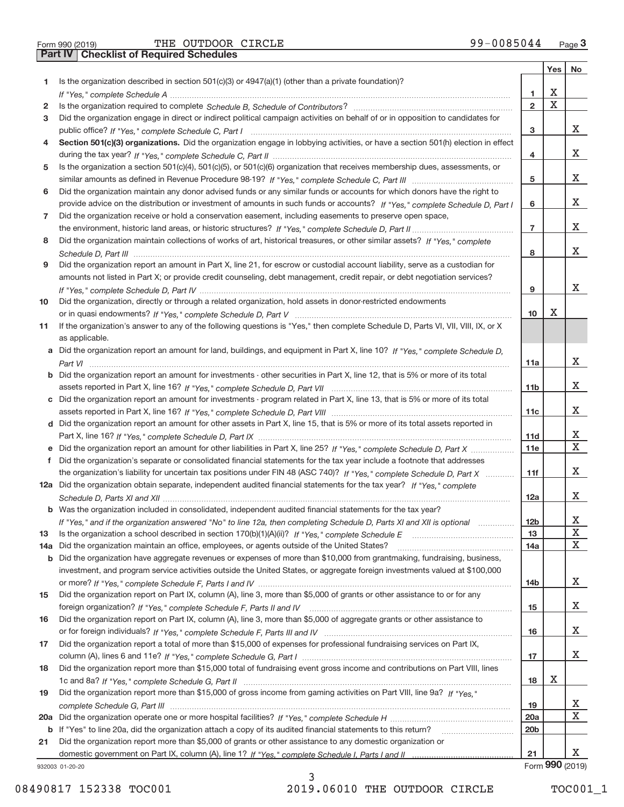**Part IV Checklist of Required Schedules**

Form 990 (2019) Page THE OUTDOOR CIRCLE 99-0085044

|     |                                                                                                                                                 |                 | Yes | No              |
|-----|-------------------------------------------------------------------------------------------------------------------------------------------------|-----------------|-----|-----------------|
| 1.  | Is the organization described in section $501(c)(3)$ or $4947(a)(1)$ (other than a private foundation)?                                         |                 |     |                 |
|     |                                                                                                                                                 | 1               | х   |                 |
| 2   |                                                                                                                                                 | $\overline{2}$  | Χ   |                 |
| 3   | Did the organization engage in direct or indirect political campaign activities on behalf of or in opposition to candidates for                 |                 |     |                 |
|     |                                                                                                                                                 | 3               |     | X.              |
| 4   | Section 501(c)(3) organizations. Did the organization engage in lobbying activities, or have a section 501(h) election in effect                |                 |     |                 |
|     |                                                                                                                                                 | 4               |     | X.              |
| 5   | Is the organization a section 501(c)(4), 501(c)(5), or 501(c)(6) organization that receives membership dues, assessments, or                    |                 |     |                 |
|     |                                                                                                                                                 | 5               |     | X.              |
| 6   | Did the organization maintain any donor advised funds or any similar funds or accounts for which donors have the right to                       |                 |     |                 |
|     | provide advice on the distribution or investment of amounts in such funds or accounts? If "Yes," complete Schedule D, Part I                    | 6               |     | X.              |
| 7   | Did the organization receive or hold a conservation easement, including easements to preserve open space,                                       |                 |     |                 |
|     |                                                                                                                                                 | $\overline{7}$  |     | X.              |
| 8   | Did the organization maintain collections of works of art, historical treasures, or other similar assets? If "Yes," complete                    |                 |     |                 |
|     |                                                                                                                                                 | 8               |     | X.              |
| 9   | Did the organization report an amount in Part X, line 21, for escrow or custodial account liability, serve as a custodian for                   |                 |     |                 |
|     | amounts not listed in Part X; or provide credit counseling, debt management, credit repair, or debt negotiation services?                       |                 |     | X.              |
|     |                                                                                                                                                 | 9               |     |                 |
| 10  | Did the organization, directly or through a related organization, hold assets in donor-restricted endowments                                    |                 | х   |                 |
|     |                                                                                                                                                 | 10              |     |                 |
| 11  | If the organization's answer to any of the following questions is "Yes," then complete Schedule D, Parts VI, VII, VIII, IX, or X                |                 |     |                 |
|     | as applicable.<br>a Did the organization report an amount for land, buildings, and equipment in Part X, line 10? If "Yes," complete Schedule D, |                 |     |                 |
|     |                                                                                                                                                 |                 |     | X.              |
|     | <b>b</b> Did the organization report an amount for investments - other securities in Part X, line 12, that is 5% or more of its total           | 11a             |     |                 |
|     |                                                                                                                                                 | 11 <sub>b</sub> |     | X.              |
|     | c Did the organization report an amount for investments - program related in Part X, line 13, that is 5% or more of its total                   |                 |     |                 |
|     |                                                                                                                                                 | 11c             |     | X.              |
|     | d Did the organization report an amount for other assets in Part X, line 15, that is 5% or more of its total assets reported in                 |                 |     |                 |
|     |                                                                                                                                                 | 11d             |     | X.              |
|     |                                                                                                                                                 | 11e             |     | X.              |
| f.  | Did the organization's separate or consolidated financial statements for the tax year include a footnote that addresses                         |                 |     |                 |
|     | the organization's liability for uncertain tax positions under FIN 48 (ASC 740)? If "Yes," complete Schedule D, Part X                          | 11f             |     | x               |
|     | 12a Did the organization obtain separate, independent audited financial statements for the tax year? If "Yes," complete                         |                 |     |                 |
|     |                                                                                                                                                 | 12a             |     | x               |
|     | <b>b</b> Was the organization included in consolidated, independent audited financial statements for the tax year?                              |                 |     |                 |
|     | If "Yes," and if the organization answered "No" to line 12a, then completing Schedule D, Parts XI and XII is optional                           | 12 <sub>b</sub> |     | х               |
| 13  | Is the organization a school described in section 170(b)(1)(A)(ii)? If "Yes," complete Schedule E                                               | 13              |     | X               |
| 14a | Did the organization maintain an office, employees, or agents outside of the United States?                                                     | 14a             |     | X.              |
|     | <b>b</b> Did the organization have aggregate revenues or expenses of more than \$10,000 from grantmaking, fundraising, business,                |                 |     |                 |
|     | investment, and program service activities outside the United States, or aggregate foreign investments valued at \$100,000                      |                 |     |                 |
|     |                                                                                                                                                 | 14b             |     | X.              |
| 15  | Did the organization report on Part IX, column (A), line 3, more than \$5,000 of grants or other assistance to or for any                       |                 |     |                 |
|     |                                                                                                                                                 | 15              |     | X.              |
| 16  | Did the organization report on Part IX, column (A), line 3, more than \$5,000 of aggregate grants or other assistance to                        |                 |     |                 |
|     |                                                                                                                                                 | 16              |     | X.              |
| 17  | Did the organization report a total of more than \$15,000 of expenses for professional fundraising services on Part IX,                         |                 |     |                 |
|     |                                                                                                                                                 | 17              |     | X.              |
| 18  | Did the organization report more than \$15,000 total of fundraising event gross income and contributions on Part VIII, lines                    |                 |     |                 |
|     |                                                                                                                                                 | 18              | х   |                 |
| 19  | Did the organization report more than \$15,000 of gross income from gaming activities on Part VIII, line 9a? If "Yes."                          |                 |     |                 |
|     |                                                                                                                                                 | 19              |     | X               |
|     |                                                                                                                                                 | 20a             |     | x               |
|     | b If "Yes" to line 20a, did the organization attach a copy of its audited financial statements to this return?                                  | 20 <sub>b</sub> |     |                 |
| 21  | Did the organization report more than \$5,000 of grants or other assistance to any domestic organization or                                     |                 |     |                 |
|     |                                                                                                                                                 | 21              |     | X.              |
|     | 932003 01-20-20                                                                                                                                 |                 |     | Form 990 (2019) |

932003 01‐20‐20

08490817 152338 TOC001 2019.06010 THE OUTDOOR CIRCLE TOC001\_1

3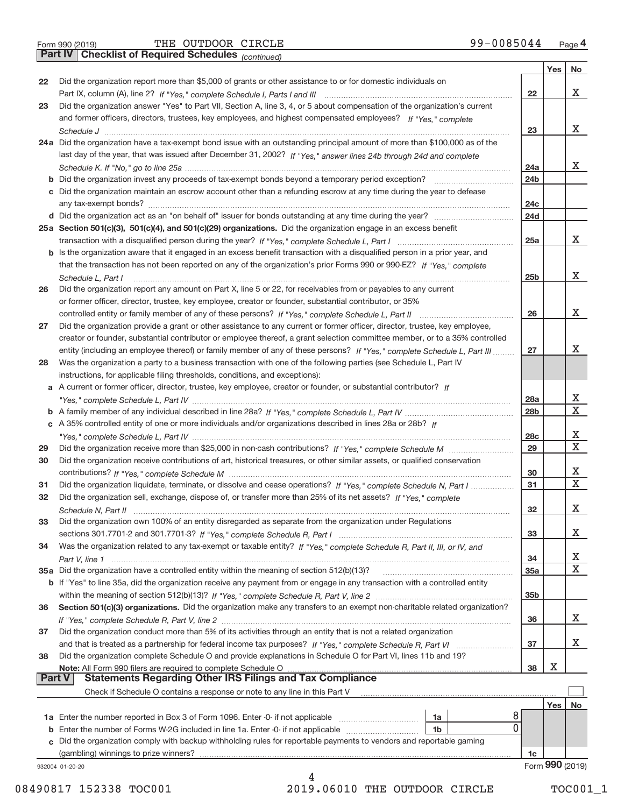**Part IV Checklist of Required Schedules**

THE OUTDOOR CIRCLE 99-0085044

*(continued)*

|        | $\mathsf{r}$ art iv   Griecklist of Required Scriedules $_{\textit{Continued}}$                                                   |                        |     |                 |
|--------|-----------------------------------------------------------------------------------------------------------------------------------|------------------------|-----|-----------------|
|        |                                                                                                                                   |                        | Yes | No              |
| 22     | Did the organization report more than \$5,000 of grants or other assistance to or for domestic individuals on                     |                        |     |                 |
|        |                                                                                                                                   | 22                     |     | х               |
| 23     | Did the organization answer "Yes" to Part VII, Section A, line 3, 4, or 5 about compensation of the organization's current        |                        |     |                 |
|        | and former officers, directors, trustees, key employees, and highest compensated employees? If "Yes," complete                    |                        |     | х               |
|        | 24a Did the organization have a tax-exempt bond issue with an outstanding principal amount of more than \$100,000 as of the       | 23                     |     |                 |
|        |                                                                                                                                   |                        |     |                 |
|        | last day of the year, that was issued after December 31, 2002? If "Yes," answer lines 24b through 24d and complete                | 24a                    |     | х               |
|        |                                                                                                                                   | 24 <sub>b</sub>        |     |                 |
|        | c Did the organization maintain an escrow account other than a refunding escrow at any time during the year to defease            |                        |     |                 |
|        |                                                                                                                                   | 24c                    |     |                 |
|        |                                                                                                                                   | 24d                    |     |                 |
|        | 25a Section 501(c)(3), 501(c)(4), and 501(c)(29) organizations. Did the organization engage in an excess benefit                  |                        |     |                 |
|        |                                                                                                                                   | 25a                    |     | х               |
|        | b Is the organization aware that it engaged in an excess benefit transaction with a disqualified person in a prior year, and      |                        |     |                 |
|        | that the transaction has not been reported on any of the organization's prior Forms 990 or 990-EZ? If "Yes." complete             |                        |     |                 |
|        | Schedule L, Part I                                                                                                                | 25 <sub>b</sub>        |     | х               |
| 26     | Did the organization report any amount on Part X, line 5 or 22, for receivables from or payables to any current                   |                        |     |                 |
|        | or former officer, director, trustee, key employee, creator or founder, substantial contributor, or 35%                           |                        |     |                 |
|        |                                                                                                                                   | 26                     |     | х               |
| 27     | Did the organization provide a grant or other assistance to any current or former officer, director, trustee, key employee,       |                        |     |                 |
|        | creator or founder, substantial contributor or employee thereof, a grant selection committee member, or to a 35% controlled       |                        |     |                 |
|        | entity (including an employee thereof) or family member of any of these persons? If "Yes," complete Schedule L, Part III          | 27                     |     | х               |
| 28     | Was the organization a party to a business transaction with one of the following parties (see Schedule L, Part IV                 |                        |     |                 |
|        | instructions, for applicable filing thresholds, conditions, and exceptions):                                                      |                        |     |                 |
|        | a A current or former officer, director, trustee, key employee, creator or founder, or substantial contributor? If                |                        |     | х               |
|        |                                                                                                                                   | 28a<br>28 <sub>b</sub> |     | $\mathbf X$     |
|        | c A 35% controlled entity of one or more individuals and/or organizations described in lines 28a or 28b? If                       |                        |     |                 |
|        |                                                                                                                                   | 28 <sub>c</sub>        |     | х               |
| 29     |                                                                                                                                   | 29                     |     | $\mathbf X$     |
| 30     | Did the organization receive contributions of art, historical treasures, or other similar assets, or qualified conservation       |                        |     |                 |
|        |                                                                                                                                   | 30                     |     | х               |
| 31     | Did the organization liquidate, terminate, or dissolve and cease operations? If "Yes," complete Schedule N, Part I                | 31                     |     | $\mathbf X$     |
| 32     | Did the organization sell, exchange, dispose of, or transfer more than 25% of its net assets? If "Yes," complete                  |                        |     |                 |
|        | Schedule N. Part II                                                                                                               | 32                     |     | X               |
| 33     | Did the organization own 100% of an entity disregarded as separate from the organization under Regulations                        |                        |     |                 |
|        |                                                                                                                                   | 33                     |     | х               |
| 34     | Was the organization related to any tax-exempt or taxable entity? If "Yes," complete Schedule R, Part II, III, or IV, and         |                        |     |                 |
|        |                                                                                                                                   | 34                     |     | X               |
|        |                                                                                                                                   | 35a                    |     | $\mathbf X$     |
|        | b If "Yes" to line 35a, did the organization receive any payment from or engage in any transaction with a controlled entity       |                        |     |                 |
|        |                                                                                                                                   | 35 <sub>b</sub>        |     |                 |
| 36     | Section 501(c)(3) organizations. Did the organization make any transfers to an exempt non-charitable related organization?        |                        |     |                 |
|        |                                                                                                                                   | 36                     |     | X               |
| 37     | Did the organization conduct more than 5% of its activities through an entity that is not a related organization                  |                        |     |                 |
|        |                                                                                                                                   | 37                     |     | x               |
| 38     | Did the organization complete Schedule O and provide explanations in Schedule O for Part VI, lines 11b and 19?                    |                        | х   |                 |
| Part V | Note: All Form 990 filers are required to complete Schedule O<br><b>Statements Regarding Other IRS Filings and Tax Compliance</b> | 38                     |     |                 |
|        | Check if Schedule O contains a response or note to any line in this Part V                                                        |                        |     |                 |
|        |                                                                                                                                   |                        | Yes | No              |
|        | 8<br><b>1a</b> Enter the number reported in Box 3 of Form 1096. Enter -0- if not applicable <i>manumumumum</i><br>1a              |                        |     |                 |
|        | 0<br><b>b</b> Enter the number of Forms W-2G included in line 1a. Enter -0- if not applicable<br>1b                               |                        |     |                 |
|        | c Did the organization comply with backup withholding rules for reportable payments to vendors and reportable gaming              |                        |     |                 |
|        | (gambling) winnings to prize winners?                                                                                             | 1c                     |     |                 |
|        | 932004 01-20-20                                                                                                                   |                        |     | Form 990 (2019) |
|        | 4                                                                                                                                 |                        |     |                 |

08490817 152338 TOC001 2019.06010 THE OUTDOOR CIRCLE TOC001\_1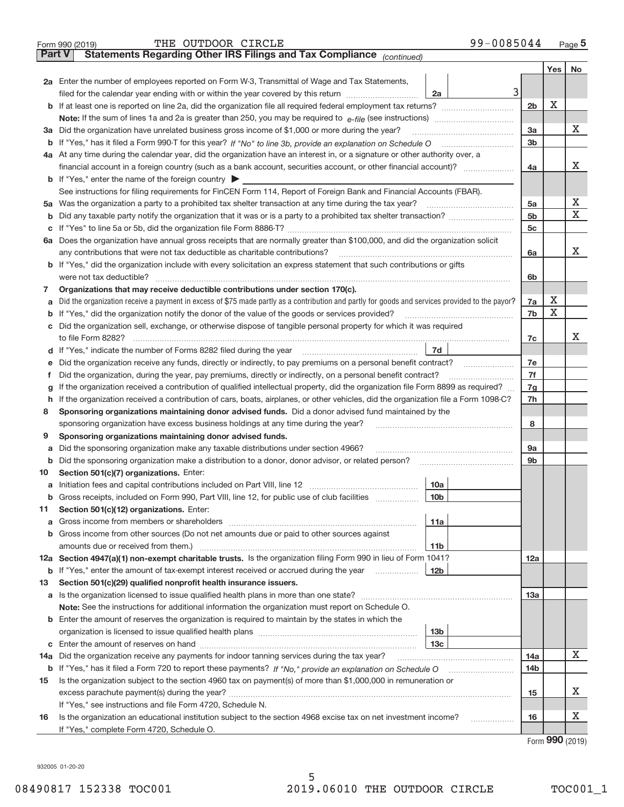| Part V | 99-0085044<br>THE OUTDOOR CIRCLE<br>Form 990 (2019)<br>Statements Regarding Other IRS Filings and Tax Compliance (continued)                                                                                                                                                               |                |     | Page 5 |  |  |  |  |  |  |  |
|--------|--------------------------------------------------------------------------------------------------------------------------------------------------------------------------------------------------------------------------------------------------------------------------------------------|----------------|-----|--------|--|--|--|--|--|--|--|
|        |                                                                                                                                                                                                                                                                                            |                | Yes | No     |  |  |  |  |  |  |  |
|        | 2a Enter the number of employees reported on Form W-3, Transmittal of Wage and Tax Statements,<br>3<br>filed for the calendar year ending with or within the year covered by this return [11] [11] filed for the calendar year ending with or within the year covered by this return<br>2a |                | X   |        |  |  |  |  |  |  |  |
|        |                                                                                                                                                                                                                                                                                            |                |     |        |  |  |  |  |  |  |  |
|        |                                                                                                                                                                                                                                                                                            |                |     |        |  |  |  |  |  |  |  |
|        | 3a Did the organization have unrelated business gross income of \$1,000 or more during the year?                                                                                                                                                                                           | 3a             |     | x      |  |  |  |  |  |  |  |
|        |                                                                                                                                                                                                                                                                                            | 3 <sub>b</sub> |     |        |  |  |  |  |  |  |  |
|        | 4a At any time during the calendar year, did the organization have an interest in, or a signature or other authority over, a                                                                                                                                                               |                |     |        |  |  |  |  |  |  |  |
|        | financial account in a foreign country (such as a bank account, securities account, or other financial account)?                                                                                                                                                                           | 4a             |     | х      |  |  |  |  |  |  |  |
|        | <b>b</b> If "Yes," enter the name of the foreign country $\blacktriangleright$                                                                                                                                                                                                             |                |     |        |  |  |  |  |  |  |  |
|        | See instructions for filing requirements for FinCEN Form 114, Report of Foreign Bank and Financial Accounts (FBAR).                                                                                                                                                                        |                |     |        |  |  |  |  |  |  |  |
|        | 5a Was the organization a party to a prohibited tax shelter transaction at any time during the tax year?                                                                                                                                                                                   | 5a             |     | х      |  |  |  |  |  |  |  |
|        |                                                                                                                                                                                                                                                                                            | 5 <sub>b</sub> |     | X      |  |  |  |  |  |  |  |
|        |                                                                                                                                                                                                                                                                                            | 5c             |     |        |  |  |  |  |  |  |  |
|        | 6a Does the organization have annual gross receipts that are normally greater than \$100,000, and did the organization solicit                                                                                                                                                             |                |     |        |  |  |  |  |  |  |  |
|        | any contributions that were not tax deductible as charitable contributions?                                                                                                                                                                                                                | 6a             |     | х      |  |  |  |  |  |  |  |
|        | <b>b</b> If "Yes," did the organization include with every solicitation an express statement that such contributions or gifts                                                                                                                                                              |                |     |        |  |  |  |  |  |  |  |
|        | were not tax deductible?                                                                                                                                                                                                                                                                   | 6b             |     |        |  |  |  |  |  |  |  |
| 7      | Organizations that may receive deductible contributions under section 170(c).                                                                                                                                                                                                              |                |     |        |  |  |  |  |  |  |  |
| a      | Did the organization receive a payment in excess of \$75 made partly as a contribution and partly for goods and services provided to the payor?                                                                                                                                            | 7a             | х   |        |  |  |  |  |  |  |  |
|        | <b>b</b> If "Yes," did the organization notify the donor of the value of the goods or services provided?                                                                                                                                                                                   | 7b             | Х   |        |  |  |  |  |  |  |  |
|        | c Did the organization sell, exchange, or otherwise dispose of tangible personal property for which it was required                                                                                                                                                                        |                |     |        |  |  |  |  |  |  |  |
|        | to file Form 8282?                                                                                                                                                                                                                                                                         | 7c             |     | х      |  |  |  |  |  |  |  |
|        | 7d<br>d If "Yes," indicate the number of Forms 8282 filed during the year                                                                                                                                                                                                                  |                |     |        |  |  |  |  |  |  |  |
| е      | Did the organization receive any funds, directly or indirectly, to pay premiums on a personal benefit contract?                                                                                                                                                                            | 7e             |     |        |  |  |  |  |  |  |  |
| f      | Did the organization, during the year, pay premiums, directly or indirectly, on a personal benefit contract?                                                                                                                                                                               | 7f             |     |        |  |  |  |  |  |  |  |
| g      | If the organization received a contribution of qualified intellectual property, did the organization file Form 8899 as required?                                                                                                                                                           | 7g             |     |        |  |  |  |  |  |  |  |
|        | h If the organization received a contribution of cars, boats, airplanes, or other vehicles, did the organization file a Form 1098-C?                                                                                                                                                       | 7h             |     |        |  |  |  |  |  |  |  |
| 8      | Sponsoring organizations maintaining donor advised funds. Did a donor advised fund maintained by the                                                                                                                                                                                       |                |     |        |  |  |  |  |  |  |  |
|        | sponsoring organization have excess business holdings at any time during the year?                                                                                                                                                                                                         | 8              |     |        |  |  |  |  |  |  |  |
| 9      | Sponsoring organizations maintaining donor advised funds.                                                                                                                                                                                                                                  |                |     |        |  |  |  |  |  |  |  |
| a      | Did the sponsoring organization make any taxable distributions under section 4966?                                                                                                                                                                                                         | 9а             |     |        |  |  |  |  |  |  |  |
|        | <b>b</b> Did the sponsoring organization make a distribution to a donor, donor advisor, or related person?                                                                                                                                                                                 | 9b             |     |        |  |  |  |  |  |  |  |
| 10     | Section 501(c)(7) organizations. Enter:                                                                                                                                                                                                                                                    |                |     |        |  |  |  |  |  |  |  |
|        | 10a                                                                                                                                                                                                                                                                                        |                |     |        |  |  |  |  |  |  |  |
|        | b Gross receipts, included on Form 990, Part VIII, line 12, for public use of club facilities<br>10 <sub>b</sub>                                                                                                                                                                           |                |     |        |  |  |  |  |  |  |  |
| 11     | Section 501(c)(12) organizations. Enter:                                                                                                                                                                                                                                                   |                |     |        |  |  |  |  |  |  |  |
| a      | 11a                                                                                                                                                                                                                                                                                        |                |     |        |  |  |  |  |  |  |  |
|        | b Gross income from other sources (Do not net amounts due or paid to other sources against                                                                                                                                                                                                 |                |     |        |  |  |  |  |  |  |  |
|        | 11 <sub>b</sub>                                                                                                                                                                                                                                                                            |                |     |        |  |  |  |  |  |  |  |
|        | 12a Section 4947(a)(1) non-exempt charitable trusts. Is the organization filing Form 990 in lieu of Form 1041?                                                                                                                                                                             | 12a            |     |        |  |  |  |  |  |  |  |
|        | <b>b</b> If "Yes," enter the amount of tax-exempt interest received or accrued during the year<br>12 <sub>b</sub>                                                                                                                                                                          |                |     |        |  |  |  |  |  |  |  |
| 13     | Section 501(c)(29) qualified nonprofit health insurance issuers.                                                                                                                                                                                                                           |                |     |        |  |  |  |  |  |  |  |
|        |                                                                                                                                                                                                                                                                                            | 13a            |     |        |  |  |  |  |  |  |  |
|        | Note: See the instructions for additional information the organization must report on Schedule O.                                                                                                                                                                                          |                |     |        |  |  |  |  |  |  |  |
|        | <b>b</b> Enter the amount of reserves the organization is required to maintain by the states in which the                                                                                                                                                                                  |                |     |        |  |  |  |  |  |  |  |
|        | 13 <sub>b</sub>                                                                                                                                                                                                                                                                            |                |     |        |  |  |  |  |  |  |  |
|        | 13 <sub>c</sub>                                                                                                                                                                                                                                                                            |                |     | х      |  |  |  |  |  |  |  |
| 14a    | Did the organization receive any payments for indoor tanning services during the tax year?                                                                                                                                                                                                 | 14a            |     |        |  |  |  |  |  |  |  |
|        |                                                                                                                                                                                                                                                                                            | 14b            |     |        |  |  |  |  |  |  |  |
| 15     | Is the organization subject to the section 4960 tax on payment(s) of more than \$1,000,000 in remuneration or                                                                                                                                                                              |                |     | х      |  |  |  |  |  |  |  |
|        |                                                                                                                                                                                                                                                                                            | 15             |     |        |  |  |  |  |  |  |  |
|        | If "Yes," see instructions and file Form 4720, Schedule N.                                                                                                                                                                                                                                 | 16             |     | x      |  |  |  |  |  |  |  |
| 16     | Is the organization an educational institution subject to the section 4968 excise tax on net investment income?<br>.<br>If "Yes," complete Form 4720, Schedule O.                                                                                                                          |                |     |        |  |  |  |  |  |  |  |
|        |                                                                                                                                                                                                                                                                                            |                |     |        |  |  |  |  |  |  |  |

Form (2019) **990**

932005 01‐20‐20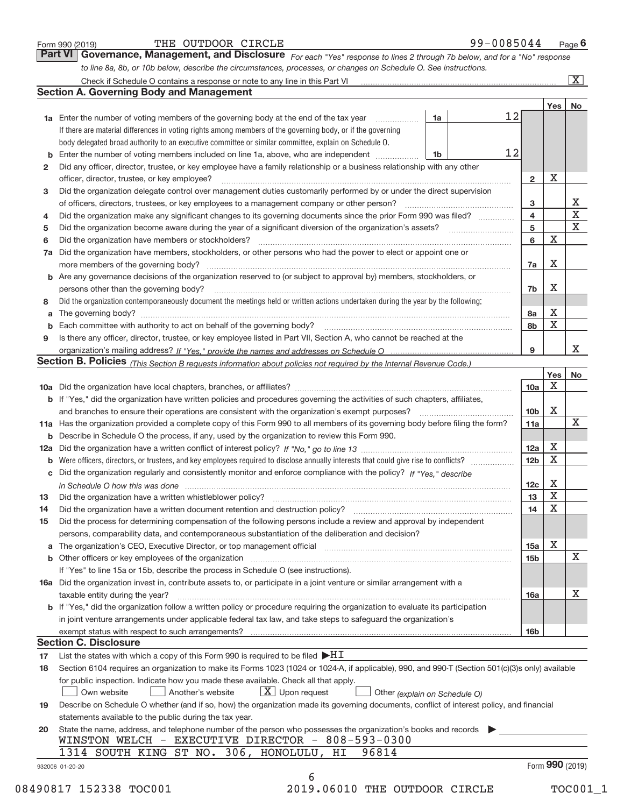| Form 990 (2019) |  |  |
|-----------------|--|--|
|                 |  |  |

| Form 990 (2019) | THE OUTDOOR CIRCLE |  | 99-0085044 | Page |
|-----------------|--------------------|--|------------|------|
|-----------------|--------------------|--|------------|------|

*For each "Yes" response to lines 2 through 7b below, and for a "No" response to line 8a, 8b, or 10b below, describe the circumstances, processes, or changes on Schedule O. See instructions.* **Part VI Governance, Management, and Disclosure** 

|              |                                                                                                                                                                            |    |    |                 | Yes         | No                           |
|--------------|----------------------------------------------------------------------------------------------------------------------------------------------------------------------------|----|----|-----------------|-------------|------------------------------|
|              | <b>1a</b> Enter the number of voting members of the governing body at the end of the tax year                                                                              | 1a | 12 |                 |             |                              |
|              | If there are material differences in voting rights among members of the governing body, or if the governing                                                                |    |    |                 |             |                              |
|              | body delegated broad authority to an executive committee or similar committee, explain on Schedule O.                                                                      |    |    |                 |             |                              |
|              | <b>b</b> Enter the number of voting members included on line 1a, above, who are independent <i>manumum</i>                                                                 | 1b | 12 |                 |             |                              |
| $\mathbf{2}$ | Did any officer, director, trustee, or key employee have a family relationship or a business relationship with any other                                                   |    |    |                 |             |                              |
|              | officer, director, trustee, or key employee?                                                                                                                               |    |    | $\overline{2}$  | X           |                              |
| 3            | Did the organization delegate control over management duties customarily performed by or under the direct supervision                                                      |    |    |                 |             |                              |
|              | of officers, directors, trustees, or key employees to a management company or other person?                                                                                |    |    | 3               |             | X<br>$\overline{\mathbf{x}}$ |
| 4            | Did the organization make any significant changes to its governing documents since the prior Form 990 was filed?                                                           |    |    | $\overline{4}$  |             |                              |
| 5            |                                                                                                                                                                            |    |    | 5               |             | X                            |
| 6            | Did the organization have members or stockholders?                                                                                                                         |    |    | 6               | $\mathbf X$ |                              |
| 7a           | Did the organization have members, stockholders, or other persons who had the power to elect or appoint one or                                                             |    |    |                 |             |                              |
|              |                                                                                                                                                                            |    |    | 7a              | Х           |                              |
|              | <b>b</b> Are any governance decisions of the organization reserved to (or subject to approval by) members, stockholders, or                                                |    |    |                 |             |                              |
|              | persons other than the governing body?                                                                                                                                     |    |    | 7b              | х           |                              |
| 8            | Did the organization contemporaneously document the meetings held or written actions undertaken during the year by the following:                                          |    |    |                 |             |                              |
| a            |                                                                                                                                                                            |    |    | 8a              | X           |                              |
|              |                                                                                                                                                                            |    |    | 8b              | X           |                              |
| 9            | Is there any officer, director, trustee, or key employee listed in Part VII, Section A, who cannot be reached at the                                                       |    |    |                 |             |                              |
|              |                                                                                                                                                                            |    |    | 9               |             | X.                           |
|              | <b>Section B. Policies</b> (This Section B requests information about policies not required by the Internal Revenue Code.)                                                 |    |    |                 |             |                              |
|              |                                                                                                                                                                            |    |    |                 | Yes         | No                           |
|              |                                                                                                                                                                            |    |    | 10a             | X           |                              |
|              | <b>b</b> If "Yes," did the organization have written policies and procedures governing the activities of such chapters, affiliates,                                        |    |    |                 |             |                              |
|              |                                                                                                                                                                            |    |    | 10 <sub>b</sub> | Х           |                              |
|              | 11a Has the organization provided a complete copy of this Form 990 to all members of its governing body before filing the form?                                            |    |    | 11a             |             | X                            |
|              | <b>b</b> Describe in Schedule O the process, if any, used by the organization to review this Form 990.                                                                     |    |    |                 |             |                              |
|              |                                                                                                                                                                            |    |    | 12a             | X           |                              |
| b            | Were officers, directors, or trustees, and key employees required to disclose annually interests that could give rise to conflicts?                                        |    |    | 12 <sub>b</sub> | X           |                              |
|              | c Did the organization regularly and consistently monitor and enforce compliance with the policy? If "Yes." describe                                                       |    |    |                 |             |                              |
|              | in Schedule O how this was done manufactured and continuum control of the Schedule O how this was done manufactured and the state of the Schedule O how this was done      |    |    | 12c             | Х           |                              |
| 13           |                                                                                                                                                                            |    |    | 13              | X           |                              |
| 14           | Did the organization have a written document retention and destruction policy? manufactured and the organization have a written document retention and destruction policy? |    |    | 14              | X           |                              |
| 15           | Did the process for determining compensation of the following persons include a review and approval by independent                                                         |    |    |                 |             |                              |
|              | persons, comparability data, and contemporaneous substantiation of the deliberation and decision?                                                                          |    |    |                 |             |                              |
|              |                                                                                                                                                                            |    |    | 15a             | х           |                              |
|              |                                                                                                                                                                            |    |    | 15 <sub>b</sub> |             | X                            |
|              | If "Yes" to line 15a or 15b, describe the process in Schedule O (see instructions).                                                                                        |    |    |                 |             |                              |
|              | 16a Did the organization invest in, contribute assets to, or participate in a joint venture or similar arrangement with a                                                  |    |    |                 |             |                              |
|              | taxable entity during the year?                                                                                                                                            |    |    | 16a             |             | х                            |
|              | <b>b</b> If "Yes," did the organization follow a written policy or procedure requiring the organization to evaluate its participation                                      |    |    |                 |             |                              |
|              | in joint venture arrangements under applicable federal tax law, and take steps to safeguard the organization's                                                             |    |    |                 |             |                              |
|              | exempt status with respect to such arrangements?                                                                                                                           |    |    | 16 <sub>b</sub> |             |                              |
|              | <b>Section C. Disclosure</b>                                                                                                                                               |    |    |                 |             |                              |
| 17           | List the states with which a copy of this Form 990 is required to be filed $\blacktriangleright$ HI                                                                        |    |    |                 |             |                              |
| 18           | Section 6104 requires an organization to make its Forms 1023 (1024 or 1024-A, if applicable), 990, and 990-T (Section 501(c)(3)s only) available                           |    |    |                 |             |                              |
|              | for public inspection. Indicate how you made these available. Check all that apply.                                                                                        |    |    |                 |             |                              |
|              | $X$ Upon request<br>Own website<br>Another's website<br>Other (explain on Schedule O)                                                                                      |    |    |                 |             |                              |
| 19           | Describe on Schedule O whether (and if so, how) the organization made its governing documents, conflict of interest policy, and financial                                  |    |    |                 |             |                              |
|              |                                                                                                                                                                            |    |    |                 |             |                              |
|              | statements available to the public during the tax year.                                                                                                                    |    |    |                 |             |                              |
| 20           | State the name, address, and telephone number of the person who possesses the organization's books and records<br>WINSTON WELCH - EXECUTIVE DIRECTOR - 808-593-0300        |    |    |                 |             |                              |
|              | 1314 SOUTH KING ST NO. 306, HONOLULU, HI<br>96814                                                                                                                          |    |    |                 |             |                              |
|              |                                                                                                                                                                            |    |    |                 |             |                              |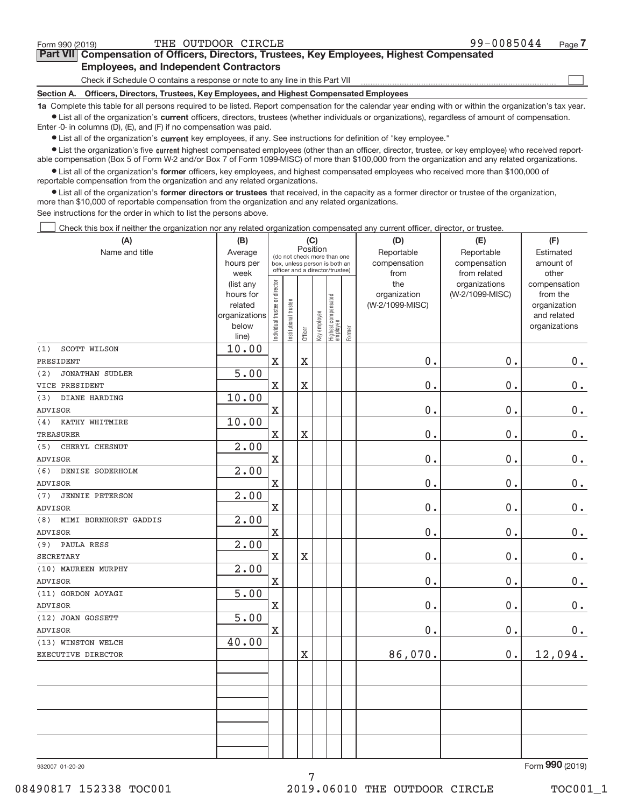$\begin{array}{c} \boxed{1} \\ \boxed{1} \\ \end{array}$ 

| Part VII Compensation of Officers, Directors, Trustees, Key Employees, Highest Compensated |
|--------------------------------------------------------------------------------------------|
| <b>Employees, and Independent Contractors</b>                                              |

Check if Schedule O contains a response or note to any line in this Part VII

**Section A. Officers, Directors, Trustees, Key Employees, and Highest Compensated Employees**

**1a**  Complete this table for all persons required to be listed. Report compensation for the calendar year ending with or within the organization's tax year. **•** List all of the organization's current officers, directors, trustees (whether individuals or organizations), regardless of amount of compensation.

Enter ‐0‐ in columns (D), (E), and (F) if no compensation was paid.

**•** List all of the organization's current key employees, if any. See instructions for definition of "key employee."

● List the organization's five current highest compensated employees (other than an officer, director, trustee, or key employee) who received report‐ able compensation (Box 5 of Form W‐2 and/or Box 7 of Form 1099‐MISC) of more than \$100,000 from the organization and any related organizations.

 $\bullet$  List all of the organization's former officers, key employees, and highest compensated employees who received more than \$100,000 of reportable compensation from the organization and any related organizations.

**•** List all of the organization's former directors or trustees that received, in the capacity as a former director or trustee of the organization, more than \$10,000 of reportable compensation from the organization and any related organizations.

See instructions for the order in which to list the persons above.

Check this box if neither the organization nor any related organization compensated any current officer, director, or trustee.  $\Box$ 

| (A)                           | (B)                  |                               |                                                                  | (C)                   |              |                                   |        | (D)                             | (E)             | (F)                         |
|-------------------------------|----------------------|-------------------------------|------------------------------------------------------------------|-----------------------|--------------|-----------------------------------|--------|---------------------------------|-----------------|-----------------------------|
| Name and title                | Average              |                               | (do not check more than one                                      | Position              |              |                                   |        | Reportable                      | Reportable      | Estimated                   |
|                               | hours per            |                               | box, unless person is both an<br>officer and a director/trustee) |                       |              |                                   |        | compensation                    | compensation    | amount of                   |
|                               | week                 |                               |                                                                  |                       |              |                                   |        | from                            | from related    | other                       |
|                               | (list any            |                               |                                                                  |                       |              |                                   |        | the                             | organizations   | compensation                |
|                               | hours for<br>related |                               |                                                                  |                       |              |                                   |        | organization<br>(W-2/1099-MISC) | (W-2/1099-MISC) | from the<br>organization    |
|                               | organizations        |                               |                                                                  |                       |              |                                   |        |                                 |                 | and related                 |
|                               | below                | ndividual trustee or director | nstitutional trustee                                             |                       | key employee |                                   |        |                                 |                 | organizations               |
|                               | line)                |                               |                                                                  | Officer               |              | Highest compensated<br>  employee | Former |                                 |                 |                             |
| SCOTT WILSON<br>(1)           | 10.00                |                               |                                                                  |                       |              |                                   |        |                                 |                 |                             |
| PRESIDENT                     |                      | $\mathbf X$                   |                                                                  | $\rm X$               |              |                                   |        | 0.                              | 0.              | $\mathbf 0$ .               |
| <b>JONATHAN SUDLER</b><br>(2) | 5.00                 |                               |                                                                  |                       |              |                                   |        |                                 |                 |                             |
| VICE PRESIDENT                |                      | $\mathbf X$                   |                                                                  | $\overline{\text{X}}$ |              |                                   |        | 0.                              | 0.              | $0$ .                       |
| (3)<br>DIANE HARDING          | 10.00                |                               |                                                                  |                       |              |                                   |        |                                 |                 |                             |
| ADVISOR                       |                      | $\mathbf X$                   |                                                                  |                       |              |                                   |        | $0$ .                           | 0.              | $0 \cdot$                   |
| KATHY WHITMIRE<br>(4)         | 10.00                |                               |                                                                  |                       |              |                                   |        |                                 |                 |                             |
| TREASURER                     |                      | $\mathbf X$                   |                                                                  | $\overline{\text{X}}$ |              |                                   |        | 0.                              | 0.              | $\mathbf 0$ .               |
| CHERYL CHESNUT<br>(5)         | 2.00                 |                               |                                                                  |                       |              |                                   |        |                                 |                 |                             |
| ADVISOR                       |                      | $\mathbf X$                   |                                                                  |                       |              |                                   |        | 0.                              | 0.              | $0$ .                       |
| DENISE SODERHOLM<br>(6)       | 2.00                 |                               |                                                                  |                       |              |                                   |        |                                 |                 |                             |
| <b>ADVISOR</b>                |                      | $\mathbf X$                   |                                                                  |                       |              |                                   |        | 0.                              | 0.              | $\mathbf 0$ .               |
| <b>JENNIE PETERSON</b><br>(7) | 2.00                 |                               |                                                                  |                       |              |                                   |        |                                 |                 |                             |
| ADVISOR                       |                      | $\mathbf X$                   |                                                                  |                       |              |                                   |        | 0.                              | 0.              | 0.                          |
| MIMI BORNHORST GADDIS<br>(8)  | 2.00                 |                               |                                                                  |                       |              |                                   |        |                                 |                 |                             |
| ADVISOR                       |                      | $\mathbf X$                   |                                                                  |                       |              |                                   |        | 0.                              | 0.              | $0$ .                       |
| PAULA RESS<br>(9)             | $\overline{2.00}$    |                               |                                                                  |                       |              |                                   |        |                                 |                 |                             |
| <b>SECRETARY</b>              |                      | $\mathbf X$                   |                                                                  | X                     |              |                                   |        | 0.                              | 0.              | $0$ .                       |
| (10) MAUREEN MURPHY           | 2.00                 |                               |                                                                  |                       |              |                                   |        |                                 |                 |                             |
| <b>ADVISOR</b>                |                      | $\mathbf X$                   |                                                                  |                       |              |                                   |        | 0.                              | 0.              | $0$ .                       |
| (11) GORDON AOYAGI            | 5.00                 |                               |                                                                  |                       |              |                                   |        |                                 |                 |                             |
| <b>ADVISOR</b>                |                      | $\mathbf X$                   |                                                                  |                       |              |                                   |        | 0.                              | 0.              | 0.                          |
| (12) JOAN GOSSETT             | 5.00                 |                               |                                                                  |                       |              |                                   |        |                                 |                 |                             |
| ADVISOR                       |                      | $\mathbf X$                   |                                                                  |                       |              |                                   |        | $0$ .                           | 0.              | $0$ .                       |
| (13) WINSTON WELCH            | 40.00                |                               |                                                                  |                       |              |                                   |        |                                 |                 |                             |
| EXECUTIVE DIRECTOR            |                      |                               |                                                                  | X                     |              |                                   |        | 86,070.                         | 0.              | 12,094.                     |
|                               |                      |                               |                                                                  |                       |              |                                   |        |                                 |                 |                             |
|                               |                      |                               |                                                                  |                       |              |                                   |        |                                 |                 |                             |
|                               |                      |                               |                                                                  |                       |              |                                   |        |                                 |                 |                             |
|                               |                      |                               |                                                                  |                       |              |                                   |        |                                 |                 |                             |
|                               |                      |                               |                                                                  |                       |              |                                   |        |                                 |                 |                             |
|                               |                      |                               |                                                                  |                       |              |                                   |        |                                 |                 |                             |
|                               |                      |                               |                                                                  |                       |              |                                   |        |                                 |                 |                             |
|                               |                      |                               |                                                                  |                       |              |                                   |        |                                 |                 | $000 \times 0.00$<br>$\sim$ |

7

932007 01‐20‐20

Form (2019) **990**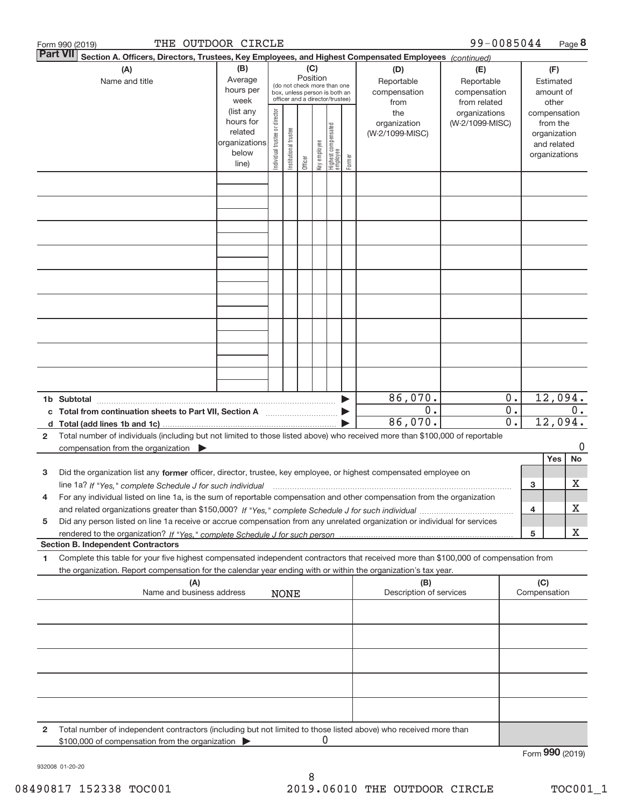|    | THE OUTDOOR CIRCLE<br>Form 990 (2019)                                                                                                |                   |                                                                                  |                       |         |              |                                  |        |                         | 99-0085044                       |                  |                 |               | Page 8 |
|----|--------------------------------------------------------------------------------------------------------------------------------------|-------------------|----------------------------------------------------------------------------------|-----------------------|---------|--------------|----------------------------------|--------|-------------------------|----------------------------------|------------------|-----------------|---------------|--------|
|    | <b>Part VII</b><br>Section A. Officers, Directors, Trustees, Key Employees, and Highest Compensated Employees (continued)            |                   |                                                                                  |                       |         |              |                                  |        |                         |                                  |                  |                 |               |        |
|    | (B)<br>(C)<br>(A)<br>(D)<br>(E)                                                                                                      |                   |                                                                                  |                       |         |              |                                  |        |                         |                                  |                  |                 | (F)           |        |
|    | Name and title                                                                                                                       | Average           | Position<br>Reportable<br>(do not check more than one<br>hours per               |                       |         |              |                                  |        | Reportable              |                                  | Estimated        |                 |               |        |
|    |                                                                                                                                      |                   | compensation<br>box, unless person is both an<br>officer and a director/trustee) |                       |         |              |                                  |        | compensation            |                                  |                  | amount of       |               |        |
|    |                                                                                                                                      | week<br>(list any |                                                                                  |                       | from    |              |                                  |        |                         | from related                     |                  |                 | other         |        |
|    |                                                                                                                                      | hours for         | Individual trustee or director                                                   |                       |         |              |                                  |        | the<br>organization     | organizations<br>(W-2/1099-MISC) |                  | compensation    | from the      |        |
|    |                                                                                                                                      | related           |                                                                                  |                       |         |              |                                  |        | (W-2/1099-MISC)         |                                  |                  |                 | organization  |        |
|    |                                                                                                                                      | organizations     |                                                                                  | Institutional trustee |         |              |                                  |        |                         |                                  |                  |                 | and related   |        |
|    |                                                                                                                                      | below             |                                                                                  |                       |         | Key employee |                                  |        |                         |                                  |                  |                 | organizations |        |
|    |                                                                                                                                      | line)             |                                                                                  |                       | Officer |              | Highest compensated<br> employee | Former |                         |                                  |                  |                 |               |        |
|    |                                                                                                                                      |                   |                                                                                  |                       |         |              |                                  |        |                         |                                  |                  |                 |               |        |
|    |                                                                                                                                      |                   |                                                                                  |                       |         |              |                                  |        |                         |                                  |                  |                 |               |        |
|    |                                                                                                                                      |                   |                                                                                  |                       |         |              |                                  |        |                         |                                  |                  |                 |               |        |
|    |                                                                                                                                      |                   |                                                                                  |                       |         |              |                                  |        |                         |                                  |                  |                 |               |        |
|    |                                                                                                                                      |                   |                                                                                  |                       |         |              |                                  |        |                         |                                  |                  |                 |               |        |
|    |                                                                                                                                      |                   |                                                                                  |                       |         |              |                                  |        |                         |                                  |                  |                 |               |        |
|    |                                                                                                                                      |                   |                                                                                  |                       |         |              |                                  |        |                         |                                  |                  |                 |               |        |
|    |                                                                                                                                      |                   |                                                                                  |                       |         |              |                                  |        |                         |                                  |                  |                 |               |        |
|    |                                                                                                                                      |                   |                                                                                  |                       |         |              |                                  |        |                         |                                  |                  |                 |               |        |
|    |                                                                                                                                      |                   |                                                                                  |                       |         |              |                                  |        |                         |                                  |                  |                 |               |        |
|    |                                                                                                                                      |                   |                                                                                  |                       |         |              |                                  |        |                         |                                  |                  |                 |               |        |
|    |                                                                                                                                      |                   |                                                                                  |                       |         |              |                                  |        |                         |                                  |                  |                 |               |        |
|    |                                                                                                                                      |                   |                                                                                  |                       |         |              |                                  |        |                         |                                  |                  |                 |               |        |
|    |                                                                                                                                      |                   |                                                                                  |                       |         |              |                                  |        |                         |                                  |                  |                 |               |        |
|    |                                                                                                                                      |                   |                                                                                  |                       |         |              |                                  |        |                         |                                  |                  |                 |               |        |
|    |                                                                                                                                      |                   |                                                                                  |                       |         |              |                                  |        |                         |                                  |                  |                 |               |        |
|    |                                                                                                                                      |                   |                                                                                  |                       |         |              |                                  |        |                         |                                  |                  |                 |               |        |
|    |                                                                                                                                      |                   |                                                                                  |                       |         |              |                                  |        |                         |                                  |                  |                 |               |        |
|    |                                                                                                                                      |                   |                                                                                  |                       |         |              |                                  |        | 86,070.                 |                                  | $0$ .            |                 | 12,094.       |        |
|    |                                                                                                                                      |                   |                                                                                  |                       |         |              |                                  |        | 0.                      |                                  | $0$ .            |                 |               | 0.     |
| d  |                                                                                                                                      |                   |                                                                                  |                       |         |              |                                  |        | 86,070.                 |                                  | $\overline{0}$ . |                 | 12,094.       |        |
| 2  | Total number of individuals (including but not limited to those listed above) who received more than \$100,000 of reportable         |                   |                                                                                  |                       |         |              |                                  |        |                         |                                  |                  |                 |               |        |
|    | compensation from the organization $\qquad \qquad$                                                                                   |                   |                                                                                  |                       |         |              |                                  |        |                         |                                  |                  |                 |               | 0      |
|    |                                                                                                                                      |                   |                                                                                  |                       |         |              |                                  |        |                         |                                  |                  |                 | Yes           | No     |
| 3  | Did the organization list any former officer, director, trustee, key employee, or highest compensated employee on                    |                   |                                                                                  |                       |         |              |                                  |        |                         |                                  |                  |                 |               |        |
|    |                                                                                                                                      |                   |                                                                                  |                       |         |              |                                  |        |                         |                                  |                  | 3               |               | х      |
|    | For any individual listed on line 1a, is the sum of reportable compensation and other compensation from the organization             |                   |                                                                                  |                       |         |              |                                  |        |                         |                                  |                  |                 |               |        |
|    |                                                                                                                                      |                   |                                                                                  |                       |         |              |                                  |        |                         |                                  |                  | 4               |               | х      |
|    |                                                                                                                                      |                   |                                                                                  |                       |         |              |                                  |        |                         |                                  |                  |                 |               |        |
| 5  | Did any person listed on line 1a receive or accrue compensation from any unrelated organization or individual for services           |                   |                                                                                  |                       |         |              |                                  |        |                         |                                  |                  | 5               |               | х      |
|    | <b>Section B. Independent Contractors</b>                                                                                            |                   |                                                                                  |                       |         |              |                                  |        |                         |                                  |                  |                 |               |        |
| 1. | Complete this table for your five highest compensated independent contractors that received more than \$100,000 of compensation from |                   |                                                                                  |                       |         |              |                                  |        |                         |                                  |                  |                 |               |        |
|    | the organization. Report compensation for the calendar year ending with or within the organization's tax year.                       |                   |                                                                                  |                       |         |              |                                  |        |                         |                                  |                  |                 |               |        |
|    | (A)                                                                                                                                  |                   |                                                                                  |                       |         |              |                                  |        | (B)                     |                                  |                  | (C)             |               |        |
|    | Name and business address                                                                                                            |                   |                                                                                  | <b>NONE</b>           |         |              |                                  |        | Description of services |                                  |                  | Compensation    |               |        |
|    |                                                                                                                                      |                   |                                                                                  |                       |         |              |                                  |        |                         |                                  |                  |                 |               |        |
|    |                                                                                                                                      |                   |                                                                                  |                       |         |              |                                  |        |                         |                                  |                  |                 |               |        |
|    |                                                                                                                                      |                   |                                                                                  |                       |         |              |                                  |        |                         |                                  |                  |                 |               |        |
|    |                                                                                                                                      |                   |                                                                                  |                       |         |              |                                  |        |                         |                                  |                  |                 |               |        |
|    |                                                                                                                                      |                   |                                                                                  |                       |         |              |                                  |        |                         |                                  |                  |                 |               |        |
|    |                                                                                                                                      |                   |                                                                                  |                       |         |              |                                  |        |                         |                                  |                  |                 |               |        |
|    |                                                                                                                                      |                   |                                                                                  |                       |         |              |                                  |        |                         |                                  |                  |                 |               |        |
|    |                                                                                                                                      |                   |                                                                                  |                       |         |              |                                  |        |                         |                                  |                  |                 |               |        |
|    |                                                                                                                                      |                   |                                                                                  |                       |         |              |                                  |        |                         |                                  |                  |                 |               |        |
|    |                                                                                                                                      |                   |                                                                                  |                       |         |              |                                  |        |                         |                                  |                  |                 |               |        |
|    |                                                                                                                                      |                   |                                                                                  |                       |         |              |                                  |        |                         |                                  |                  |                 |               |        |
| 2  | Total number of independent contractors (including but not limited to those listed above) who received more than                     |                   |                                                                                  |                       |         |              |                                  |        |                         |                                  |                  |                 |               |        |
|    | \$100,000 of compensation from the organization                                                                                      |                   |                                                                                  |                       |         | 0            |                                  |        |                         |                                  |                  |                 |               |        |
|    |                                                                                                                                      |                   |                                                                                  |                       |         |              |                                  |        |                         |                                  |                  | Form 990 (2019) |               |        |

932008 01‐20‐20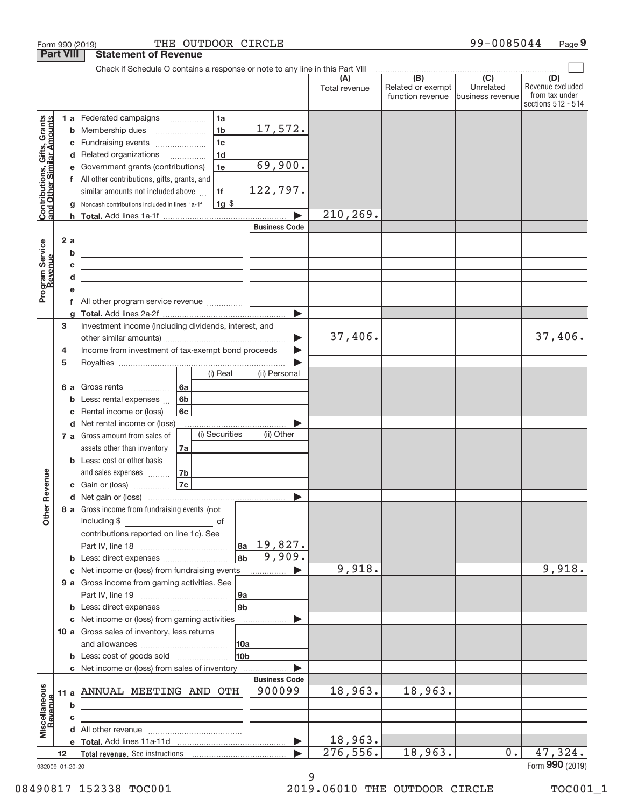|                                                                  | <b>Part VIII</b>             | <b>Statement of Revenue</b>                                                                                                                                                                                                                                                                                                                                        |                                               |                      |                                              |                                                   |                                                                 |
|------------------------------------------------------------------|------------------------------|--------------------------------------------------------------------------------------------------------------------------------------------------------------------------------------------------------------------------------------------------------------------------------------------------------------------------------------------------------------------|-----------------------------------------------|----------------------|----------------------------------------------|---------------------------------------------------|-----------------------------------------------------------------|
|                                                                  |                              | Check if Schedule O contains a response or note to any line in this Part VIII                                                                                                                                                                                                                                                                                      |                                               |                      |                                              |                                                   |                                                                 |
|                                                                  |                              |                                                                                                                                                                                                                                                                                                                                                                    |                                               | (A)<br>Total revenue | (B)<br>Related or exempt<br>function revenue | $\overline{(C)}$<br>Unrelated<br>business revenue | (D)<br>Revenue excluded<br>from tax under<br>sections 512 - 514 |
| <b>Contributions, Gifts, Grants</b><br>and Other Similar Amounts | с<br>d                       | 1 a Federated campaigns<br>1a<br>1 <sub>b</sub><br><b>b</b> Membership dues<br>1 <sub>c</sub><br>Fundraising events<br>1 <sub>d</sub><br>Related organizations<br>Government grants (contributions)<br>1e<br>f All other contributions, gifts, grants, and<br>similar amounts not included above<br>1f<br>$1g$ \$<br>Noncash contributions included in lines 1a-1f | 17,572.<br>69,900.<br>122,797.                | 210, 269.            |                                              |                                                   |                                                                 |
| Program Service<br>Revenue                                       | 2 a<br>b<br>c<br>d<br>f<br>a | <u> 1989 - Johann Barn, mars ann an Catharin ann an t-</u><br><u> 1980 - Andrea Andrew Maria (h. 1980).</u><br><u> 1989 - Johann Stein, mars et al. (b. 1989)</u><br><u> 1989 - Johann Barn, mars ann an t-Amhain ann an t-Amhain an t-Amhain an t-Amhain an t-Amhain an t-Amhain an t-</u><br>All other program service revenue                                   | <b>Business Code</b><br>$\blacktriangleright$ |                      |                                              |                                                   |                                                                 |
|                                                                  | 3<br>4<br>5                  | Investment income (including dividends, interest, and<br>Income from investment of tax-exempt bond proceeds<br>(i) Real<br>6a<br>6 a Gross rents<br>.                                                                                                                                                                                                              | ▶<br>(ii) Personal                            | 37,406.              |                                              |                                                   | 37,406.                                                         |
|                                                                  | b<br>c                       | 6 <sub>b</sub><br>Less: rental expenses<br>Rental income or (loss)<br>6c<br>d Net rental income or (loss)<br>(i) Securities<br>7 a Gross amount from sales of<br>assets other than inventory<br>7a                                                                                                                                                                 | (ii) Other                                    |                      |                                              |                                                   |                                                                 |
| Revenue<br>Other                                                 |                              | <b>b</b> Less: cost or other basis<br>and sales expenses<br>7b<br>7c<br>c Gain or (loss)<br>8 a Gross income from fundraising events (not                                                                                                                                                                                                                          | $\blacktriangleright$                         |                      |                                              |                                                   |                                                                 |
|                                                                  |                              | including \$<br><u>____________________________</u> _ of<br>contributions reported on line 1c). See<br>8a<br> 8b <br>c Net income or (loss) from fundraising events<br>9 a Gross income from gaming activities. See                                                                                                                                                | 19,827.<br>9,909.                             | 9,918.               |                                              |                                                   | 9,918.                                                          |
|                                                                  |                              | 9a<br>9b<br>c Net income or (loss) from gaming activities<br>10 a Gross sales of inventory, less returns<br> 10a <br><b>b</b> Less: cost of goods sold<br>10b                                                                                                                                                                                                      |                                               |                      |                                              |                                                   |                                                                 |
| Miscellaneous<br>Revenue                                         | b                            | c Net income or (loss) from sales of inventory<br>11 a ANNUAL MEETING AND OTH<br><u> 1989 - Johann Barn, amerikansk politiker (d. 1989)</u>                                                                                                                                                                                                                        | <b>Business Code</b><br>900099                | 18,963.              | 18,963.                                      |                                                   |                                                                 |
|                                                                  | C<br>12                      |                                                                                                                                                                                                                                                                                                                                                                    | ▶                                             | 18,963.<br>276,556.  | 18,963.                                      | 0.1                                               | 47,324.<br>Form 990 (2019)                                      |

932009 01‐20‐20

9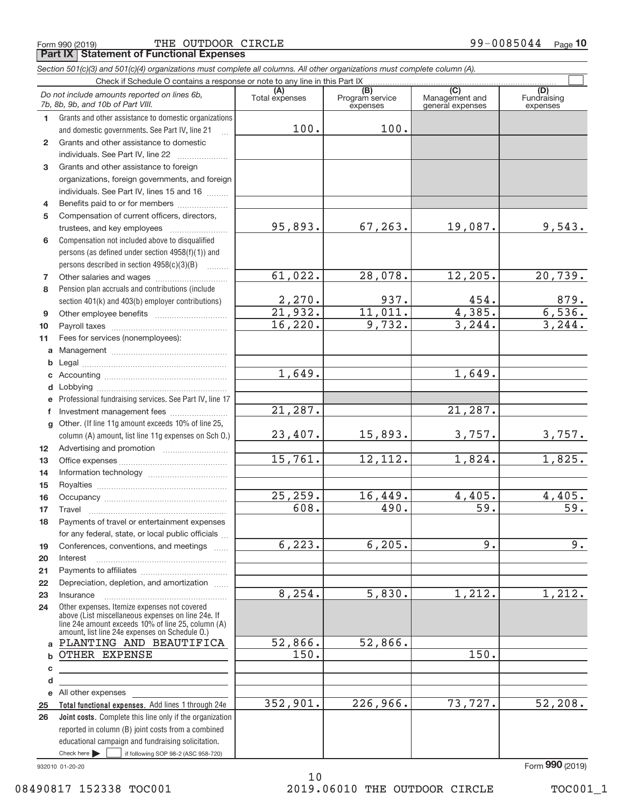Form 990 (2019) Page **Part IX Statement of Functional Expenses** THE OUTDOOR CIRCLE 99-0085044

|                 | Section 501(c)(3) and 501(c)(4) organizations must complete all columns. All other organizations must complete column (A).                                                                                 |                |                             |                                    |                                |
|-----------------|------------------------------------------------------------------------------------------------------------------------------------------------------------------------------------------------------------|----------------|-----------------------------|------------------------------------|--------------------------------|
|                 | Check if Schedule O contains a response or note to any line in this Part IX                                                                                                                                | (A)            | (B)                         | (C)                                |                                |
|                 | Do not include amounts reported on lines 6b,<br>7b, 8b, 9b, and 10b of Part VIII.                                                                                                                          | Total expenses | Program service<br>expenses | Management and<br>general expenses | (D)<br>Fundraising<br>expenses |
| 1.              | Grants and other assistance to domestic organizations                                                                                                                                                      |                |                             |                                    |                                |
|                 | and domestic governments. See Part IV, line 21                                                                                                                                                             | 100.           | 100.                        |                                    |                                |
| $\mathbf{2}$    | Grants and other assistance to domestic                                                                                                                                                                    |                |                             |                                    |                                |
|                 | individuals. See Part IV, line 22                                                                                                                                                                          |                |                             |                                    |                                |
| 3               | Grants and other assistance to foreign                                                                                                                                                                     |                |                             |                                    |                                |
|                 | organizations, foreign governments, and foreign                                                                                                                                                            |                |                             |                                    |                                |
|                 | individuals. See Part IV, lines 15 and 16                                                                                                                                                                  |                |                             |                                    |                                |
| 4               | Benefits paid to or for members                                                                                                                                                                            |                |                             |                                    |                                |
| 5               | Compensation of current officers, directors,                                                                                                                                                               |                |                             |                                    |                                |
|                 |                                                                                                                                                                                                            | 95,893.        | 67, 263.                    | 19,087.                            | 9,543.                         |
| 6               | Compensation not included above to disqualified                                                                                                                                                            |                |                             |                                    |                                |
|                 | persons (as defined under section 4958(f)(1)) and                                                                                                                                                          |                |                             |                                    |                                |
|                 | persons described in section $4958(c)(3)(B)$<br>$\sim$                                                                                                                                                     |                |                             |                                    |                                |
| 7               |                                                                                                                                                                                                            | 61,022.        | 28,078.                     | 12, 205.                           | 20,739.                        |
| 8               | Pension plan accruals and contributions (include                                                                                                                                                           |                |                             |                                    |                                |
|                 | section 401(k) and 403(b) employer contributions)                                                                                                                                                          | 2,270.         | 937.                        | 454.                               | 879.                           |
| 9               |                                                                                                                                                                                                            | 21,932.        | 11,011.                     | 4,385.                             | 6,536.                         |
| 10              |                                                                                                                                                                                                            | 16, 220.       | 9,732.                      | 3, 244.                            | 3, 244.                        |
| 11              | Fees for services (nonemployees):                                                                                                                                                                          |                |                             |                                    |                                |
| a               |                                                                                                                                                                                                            |                |                             |                                    |                                |
| b               |                                                                                                                                                                                                            |                |                             |                                    |                                |
| c               |                                                                                                                                                                                                            | 1,649.         |                             | 1,649.                             |                                |
| d               |                                                                                                                                                                                                            |                |                             |                                    |                                |
| e               | Professional fundraising services. See Part IV, line 17                                                                                                                                                    |                |                             |                                    |                                |
| f               | Investment management fees                                                                                                                                                                                 | 21,287.        |                             | 21,287.                            |                                |
| g               | Other. (If line 11g amount exceeds 10% of line 25,                                                                                                                                                         |                |                             |                                    |                                |
|                 | column (A) amount, list line 11g expenses on Sch O.)                                                                                                                                                       | 23,407.        | 15,893.                     | 3,757.                             | 3,757.                         |
| 12 <sup>2</sup> |                                                                                                                                                                                                            |                |                             |                                    |                                |
| 13              |                                                                                                                                                                                                            | 15,761.        | 12,112.                     | 1,824.                             | 1,825.                         |
| 14              |                                                                                                                                                                                                            |                |                             |                                    |                                |
| 15              |                                                                                                                                                                                                            |                |                             |                                    |                                |
| 16              |                                                                                                                                                                                                            | 25,259.        | 16,449.                     | 4,405.                             | 4,405.                         |
| 17              |                                                                                                                                                                                                            | 608.           | 490.                        | 59.                                | 59.                            |
| 18              | Payments of travel or entertainment expenses                                                                                                                                                               |                |                             |                                    |                                |
|                 | for any federal, state, or local public officials                                                                                                                                                          | 6, 223.        |                             | 9.                                 | 9.                             |
| 19              | Conferences, conventions, and meetings                                                                                                                                                                     |                | 6, 205.                     |                                    |                                |
| 20              | Interest                                                                                                                                                                                                   |                |                             |                                    |                                |
| 21              |                                                                                                                                                                                                            |                |                             |                                    |                                |
| 22              | Depreciation, depletion, and amortization                                                                                                                                                                  | 8, 254.        | 5,830.                      | 1,212.                             | 1,212.                         |
| 23              | Insurance                                                                                                                                                                                                  |                |                             |                                    |                                |
| 24              | Other expenses. Itemize expenses not covered<br>above (List miscellaneous expenses on line 24e. If<br>line 24e amount exceeds 10% of line 25, column (A)<br>amount, list line 24e expenses on Schedule O.) |                |                             |                                    |                                |
| a               | PLANTING AND BEAUTIFICA                                                                                                                                                                                    | 52,866.        | 52,866.                     |                                    |                                |
| b               | OTHER EXPENSE                                                                                                                                                                                              | 150.           |                             | 150.                               |                                |
| c               |                                                                                                                                                                                                            |                |                             |                                    |                                |
| d               |                                                                                                                                                                                                            |                |                             |                                    |                                |
|                 | e All other expenses                                                                                                                                                                                       |                |                             |                                    |                                |
| 25              | Total functional expenses. Add lines 1 through 24e                                                                                                                                                         | 352,901.       | 226,966.                    | 73,727.                            | 52, 208.                       |
| 26              | Joint costs. Complete this line only if the organization                                                                                                                                                   |                |                             |                                    |                                |
|                 | reported in column (B) joint costs from a combined                                                                                                                                                         |                |                             |                                    |                                |
|                 | educational campaign and fundraising solicitation.                                                                                                                                                         |                |                             |                                    |                                |

932010 01‐20‐20

Check here

If following SOP 98-2 (ASC 958-720)

10 08490817 152338 TOC001 2019.06010 THE OUTDOOR CIRCLE TOC001\_1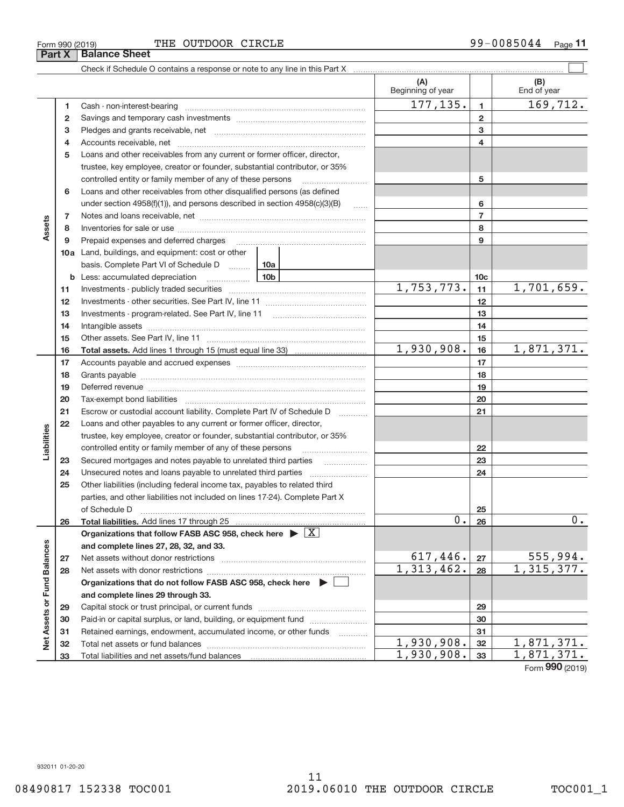**33**

11

Total liabilities and net assets/fund balances

 $1,930,908.$  33 1,871,371.

**33**

Form (2019) **990**

 $\boxed{\phantom{1}}$ 

**(A) (B)**

#### Beginning of year  $\vert$  | End of year  $177, 135. | 1 | 169, 712.$ **1 1** Cash ‐ non‐interest‐bearing ~~~~~~~~~~~~~~~~~~~~~~~~~ **2 2** Savings and temporary cash investments ~~~~~~~~~~~~~~~~~~ **3 3** Pledges and grants receivable, net ~~~~~~~~~~~~~~~~~~~~~ 4 Accounts receivable, net **communically accounts receivable**, net **4 5** Loans and other receivables from any current or former officer, director, trustee, key employee, creator or founder, substantial contributor, or 35% controlled entity or family member of any of these persons ............................ **5** Loans and other receivables from other disqualified persons (as defined **6** under section  $4958(f)(1)$ , and persons described in section  $4958(c)(3)(B)$ **6 7 7** Notes and loans receivable, net ~~~~~~~~~~~~~~~~~~~~~~~ **Assets 8 8** Inventories for sale or use ~~~~~~~~~~~~~~~~~~~~~~~~~~ **9 9** Prepaid expenses and deferred charges ~~~~~~~~~~~~~~~~~~ **10 a** Land, buildings, and equipment: cost or other basis. Complete Part VI of Schedule D ......... 10a **10c b 10b** Less: accumulated depreciation ~~~~~~  $1,753,773.$   $1,1$   $1,701,659.$ **11 11** Investments ‐ publicly traded securities ~~~~~~~~~~~~~~~~~~~ **12 12** Investments ‐ other securities. See Part IV, line 11 ~~~~~~~~~~~~~~ **13 13** Investments - program-related. See Part IV, line 11 [2010] [2010] [2010] [2010] [2010] [2010] [2010] [2010] [2 **14 14** Intangible assets ~~~~~~~~~~~~~~~~~~~~~~~~~~~~~~ Other assets. See Part IV, line 11 ~~~~~~~~~~~~~~~~~~~~~~ **15 15** 1,930,908. 16 1,871,371. **16 16 Total assets.**  Add lines 1 through 15 (must equal line 33) **17 17** Accounts payable and accrued expenses ~~~~~~~~~~~~~~~~~~ **18 18** Grants payable ~~~~~~~~~~~~~~~~~~~~~~~~~~~~~~~ **19 19** Deferred revenue **communications** contains a construction of the construction of the construction of the construction of the construction of the construction of the construction of the construction of the construction of t **20 20** Tax‐exempt bond liabilities ~~~~~~~~~~~~~~~~~~~~~~~~~ **21** Escrow or custodial account liability. Complete Part IV of Schedule D [ \\timm\] **21 22** Loans and other payables to any current or former officer, director, **Liabilities** trustee, key employee, creator or founder, substantial contributor, or 35% controlled entity or family member of any of these persons ~~~~~~~~~ **22** Secured mortgages and notes payable to unrelated third parties  $\ldots$ **23 23** Unsecured notes and loans payable to unrelated third parties  $\ldots$ **24 24 25** Other liabilities (including federal income tax, payables to related third parties, and other liabilities not included on lines 17‐24). Complete Part X of Schedule D ~~~~~~~~~~~~~~~~~~~~~~~~~~~~~~~ **25**  $0.26$  0. **26 26 Total liabilities.**  Add lines 17 through 25 Organizations that follow FASB ASC 958, check here  $\blacktriangleright \boxed{\text{X}}$ Assets or Fund Balances **Net Assets or Fund Balances and complete lines 27, 28, 32, and 33.**  $617,446. |z_7|$  555,994. **27 27** Net assets without donor restrictions ~~~~~~~~~~~~~~~~~~~~  $1,313,462. |28 | 1,315,377.$ **28 28** Net assets with donor restrictions ~~~~~~~~~~~~~~~~~~~~~~ **Organizations that do not follow FASB ASC 958, check here** | **and complete lines 29 through 33. 29 29** Capital stock or trust principal, or current funds ~~~~~~~~~~~~~~~ **30 30** Paid-in or capital surplus, or land, building, or equipment fund *willerthounder* **31 31** Retained earnings, endowment, accumulated income, or other funds ~~~~ Net Total net assets or fund balances ~~~~~~~~~~~~~~~~~~~~~~  $1,930,908.$   $32$  1,871,371. **32 32**

**Part X Balance Sheet** 

 $\frac{1}{2}$  Form 990 (2019) Page  $\frac{1}{2}$  THE OUTDOOR CIRCLE  $\frac{1}{2}$  99–0085044  $\frac{1}{2}$ 

Check if Schedule O contains a response or note to any line in this Part X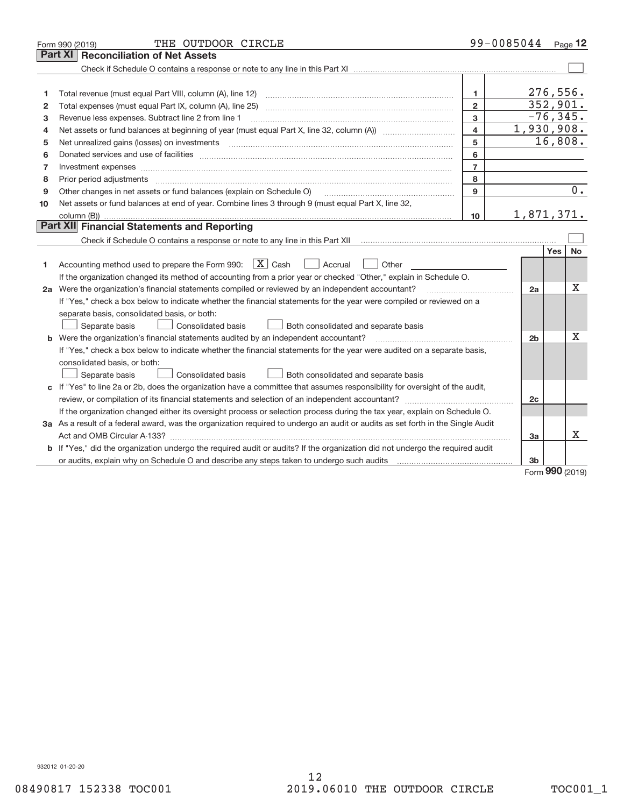|    | THE OUTDOOR CIRCLE<br>Form 990 (2019)                                                                                           |                         | 99-0085044 Page 12 |                       |  |  |
|----|---------------------------------------------------------------------------------------------------------------------------------|-------------------------|--------------------|-----------------------|--|--|
|    | <b>Part XI   Reconciliation of Net Assets</b>                                                                                   |                         |                    |                       |  |  |
|    |                                                                                                                                 |                         |                    |                       |  |  |
|    |                                                                                                                                 |                         |                    |                       |  |  |
| 1  |                                                                                                                                 | 1.                      |                    | 276,556.              |  |  |
| 2  |                                                                                                                                 | $\overline{2}$          |                    | 352,901.              |  |  |
| 3  | Revenue less expenses. Subtract line 2 from line 1                                                                              | 3                       |                    | $-76, 345.$           |  |  |
| 4  |                                                                                                                                 | $\overline{\mathbf{4}}$ |                    | 1,930,908.<br>16,808. |  |  |
| 5  | 5                                                                                                                               |                         |                    |                       |  |  |
| 6  |                                                                                                                                 | 6                       |                    |                       |  |  |
| 7  |                                                                                                                                 | $\overline{7}$          |                    |                       |  |  |
| 8  |                                                                                                                                 | 8                       |                    |                       |  |  |
| 9  | Other changes in net assets or fund balances (explain on Schedule O)                                                            | 9                       |                    | 0.                    |  |  |
| 10 | Net assets or fund balances at end of year. Combine lines 3 through 9 (must equal Part X, line 32,                              |                         |                    |                       |  |  |
|    |                                                                                                                                 | 10                      |                    | 1,871,371.            |  |  |
|    | Part XII Financial Statements and Reporting                                                                                     |                         |                    |                       |  |  |
|    |                                                                                                                                 |                         |                    |                       |  |  |
|    |                                                                                                                                 |                         |                    | Yes<br><b>No</b>      |  |  |
| 1  | Accounting method used to prepare the Form 990: $\boxed{\textbf{X}}$ Cash<br>  Accrual<br>Other                                 |                         |                    |                       |  |  |
|    | If the organization changed its method of accounting from a prior year or checked "Other," explain in Schedule O.               |                         |                    |                       |  |  |
|    | 2a Were the organization's financial statements compiled or reviewed by an independent accountant?                              |                         | 2a                 | х                     |  |  |
|    | If "Yes," check a box below to indicate whether the financial statements for the year were compiled or reviewed on a            |                         |                    |                       |  |  |
|    | separate basis, consolidated basis, or both:                                                                                    |                         |                    |                       |  |  |
|    | Both consolidated and separate basis<br>Separate basis<br>Consolidated basis                                                    |                         |                    |                       |  |  |
|    | <b>b</b> Were the organization's financial statements audited by an independent accountant?                                     |                         | 2 <sub>b</sub>     | X                     |  |  |
|    | If "Yes," check a box below to indicate whether the financial statements for the year were audited on a separate basis,         |                         |                    |                       |  |  |
|    | consolidated basis, or both:                                                                                                    |                         |                    |                       |  |  |
|    | Separate basis<br>Consolidated basis<br>Both consolidated and separate basis                                                    |                         |                    |                       |  |  |
|    | c If "Yes" to line 2a or 2b, does the organization have a committee that assumes responsibility for oversight of the audit,     |                         |                    |                       |  |  |
|    | review, or compilation of its financial statements and selection of an independent accountant?                                  |                         | 2c                 |                       |  |  |
|    | If the organization changed either its oversight process or selection process during the tax year, explain on Schedule O.       |                         |                    |                       |  |  |
|    | 3a As a result of a federal award, was the organization required to undergo an audit or audits as set forth in the Single Audit |                         |                    |                       |  |  |
|    |                                                                                                                                 |                         | За                 | х                     |  |  |
|    | b If "Yes," did the organization undergo the required audit or audits? If the organization did not undergo the required audit   |                         |                    |                       |  |  |
|    |                                                                                                                                 |                         | 3 <sub>b</sub>     | $\sim$                |  |  |

Form (2019) **990**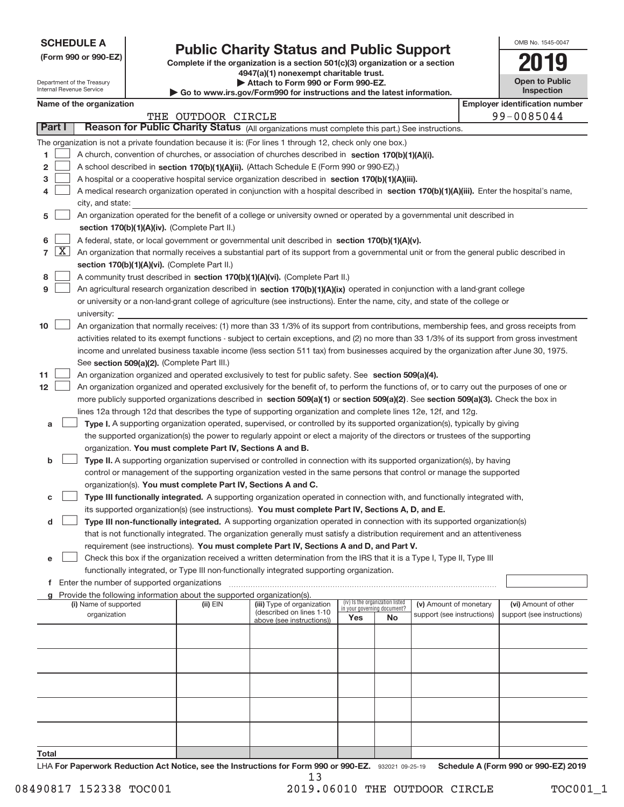| <b>SCHEDULE A</b> |
|-------------------|
|-------------------|

Department of the Treasury Internal Revenue Service

# **Public Charity Status and Public Support 2019**

**(Form 990 or 990‐EZ) Complete if the organization is a section 501(c)(3) organization or a section 4947(a)(1) nonexempt charitable trust. | Attach to Form 990 or Form 990‐EZ.** 

| <b>P</b> AGUUT QI VIIII YYY VI LYIIII YYY LEI                           |
|-------------------------------------------------------------------------|
| ► Go to www.irs.gov/Form990 for instructions and the latest information |
|                                                                         |

|  | w.irs.gov/Form990 for instructions and the latest information. |
|--|----------------------------------------------------------------|
|  |                                                                |

| OMB No. 1545-0047                   |
|-------------------------------------|
|                                     |
| <b>Open to Public</b><br>Inspection |

|                  | Name of the organization |                                                                                                                                                                                                                                  |                    |                                                        |                             |                                 | <b>Employer identification number</b> |  |                            |
|------------------|--------------------------|----------------------------------------------------------------------------------------------------------------------------------------------------------------------------------------------------------------------------------|--------------------|--------------------------------------------------------|-----------------------------|---------------------------------|---------------------------------------|--|----------------------------|
|                  |                          |                                                                                                                                                                                                                                  | THE OUTDOOR CIRCLE |                                                        |                             |                                 |                                       |  | 99-0085044                 |
|                  | Part I                   | Reason for Public Charity Status (All organizations must complete this part.) See instructions.                                                                                                                                  |                    |                                                        |                             |                                 |                                       |  |                            |
|                  |                          | The organization is not a private foundation because it is: (For lines 1 through 12, check only one box.)                                                                                                                        |                    |                                                        |                             |                                 |                                       |  |                            |
| 1.               |                          | A church, convention of churches, or association of churches described in section 170(b)(1)(A)(i).                                                                                                                               |                    |                                                        |                             |                                 |                                       |  |                            |
| 2                |                          | A school described in section 170(b)(1)(A)(ii). (Attach Schedule E (Form 990 or 990-EZ).)                                                                                                                                        |                    |                                                        |                             |                                 |                                       |  |                            |
| 3                |                          | A hospital or a cooperative hospital service organization described in section 170(b)(1)(A)(iii).                                                                                                                                |                    |                                                        |                             |                                 |                                       |  |                            |
| 4                |                          | A medical research organization operated in conjunction with a hospital described in section 170(b)(1)(A)(iii). Enter the hospital's name,                                                                                       |                    |                                                        |                             |                                 |                                       |  |                            |
|                  |                          | city, and state:                                                                                                                                                                                                                 |                    |                                                        |                             |                                 |                                       |  |                            |
| 5                |                          | An organization operated for the benefit of a college or university owned or operated by a governmental unit described in                                                                                                        |                    |                                                        |                             |                                 |                                       |  |                            |
|                  |                          | section 170(b)(1)(A)(iv). (Complete Part II.)                                                                                                                                                                                    |                    |                                                        |                             |                                 |                                       |  |                            |
| 6                |                          | A federal, state, or local government or governmental unit described in section 170(b)(1)(A)(v).                                                                                                                                 |                    |                                                        |                             |                                 |                                       |  |                            |
|                  | $7 \times$               | An organization that normally receives a substantial part of its support from a governmental unit or from the general public described in                                                                                        |                    |                                                        |                             |                                 |                                       |  |                            |
|                  |                          | section 170(b)(1)(A)(vi). (Complete Part II.)                                                                                                                                                                                    |                    |                                                        |                             |                                 |                                       |  |                            |
| 8                |                          | A community trust described in section 170(b)(1)(A)(vi). (Complete Part II.)                                                                                                                                                     |                    |                                                        |                             |                                 |                                       |  |                            |
| 9                |                          | An agricultural research organization described in section 170(b)(1)(A)(ix) operated in conjunction with a land-grant college                                                                                                    |                    |                                                        |                             |                                 |                                       |  |                            |
|                  |                          | or university or a non-land-grant college of agriculture (see instructions). Enter the name, city, and state of the college or                                                                                                   |                    |                                                        |                             |                                 |                                       |  |                            |
|                  |                          | university:                                                                                                                                                                                                                      |                    |                                                        |                             |                                 |                                       |  |                            |
| 10               |                          | An organization that normally receives: (1) more than 33 1/3% of its support from contributions, membership fees, and gross receipts from                                                                                        |                    |                                                        |                             |                                 |                                       |  |                            |
|                  |                          | activities related to its exempt functions - subject to certain exceptions, and (2) no more than 33 1/3% of its support from gross investment                                                                                    |                    |                                                        |                             |                                 |                                       |  |                            |
|                  |                          | income and unrelated business taxable income (less section 511 tax) from businesses acquired by the organization after June 30, 1975.                                                                                            |                    |                                                        |                             |                                 |                                       |  |                            |
|                  |                          | See section 509(a)(2). (Complete Part III.)                                                                                                                                                                                      |                    |                                                        |                             |                                 |                                       |  |                            |
| 11               |                          | An organization organized and operated exclusively to test for public safety. See section 509(a)(4).                                                                                                                             |                    |                                                        |                             |                                 |                                       |  |                            |
| 12 <sup>12</sup> |                          | An organization organized and operated exclusively for the benefit of, to perform the functions of, or to carry out the purposes of one or                                                                                       |                    |                                                        |                             |                                 |                                       |  |                            |
|                  |                          | more publicly supported organizations described in section 509(a)(1) or section 509(a)(2). See section 509(a)(3). Check the box in                                                                                               |                    |                                                        |                             |                                 |                                       |  |                            |
|                  |                          | lines 12a through 12d that describes the type of supporting organization and complete lines 12e, 12f, and 12g.                                                                                                                   |                    |                                                        |                             |                                 |                                       |  |                            |
| a                |                          | Type I. A supporting organization operated, supervised, or controlled by its supported organization(s), typically by giving                                                                                                      |                    |                                                        |                             |                                 |                                       |  |                            |
|                  |                          | the supported organization(s) the power to regularly appoint or elect a majority of the directors or trustees of the supporting                                                                                                  |                    |                                                        |                             |                                 |                                       |  |                            |
|                  |                          | organization. You must complete Part IV, Sections A and B.                                                                                                                                                                       |                    |                                                        |                             |                                 |                                       |  |                            |
| b                |                          | Type II. A supporting organization supervised or controlled in connection with its supported organization(s), by having                                                                                                          |                    |                                                        |                             |                                 |                                       |  |                            |
|                  |                          | control or management of the supporting organization vested in the same persons that control or manage the supported                                                                                                             |                    |                                                        |                             |                                 |                                       |  |                            |
|                  |                          | organization(s). You must complete Part IV, Sections A and C.                                                                                                                                                                    |                    |                                                        |                             |                                 |                                       |  |                            |
| с                |                          | Type III functionally integrated. A supporting organization operated in connection with, and functionally integrated with,<br>its supported organization(s) (see instructions). You must complete Part IV, Sections A, D, and E. |                    |                                                        |                             |                                 |                                       |  |                            |
| d                |                          | Type III non-functionally integrated. A supporting organization operated in connection with its supported organization(s)                                                                                                        |                    |                                                        |                             |                                 |                                       |  |                            |
|                  |                          | that is not functionally integrated. The organization generally must satisfy a distribution requirement and an attentiveness                                                                                                     |                    |                                                        |                             |                                 |                                       |  |                            |
|                  |                          | requirement (see instructions). You must complete Part IV, Sections A and D, and Part V.                                                                                                                                         |                    |                                                        |                             |                                 |                                       |  |                            |
|                  |                          | Check this box if the organization received a written determination from the IRS that it is a Type I, Type II, Type III                                                                                                          |                    |                                                        |                             |                                 |                                       |  |                            |
|                  |                          | functionally integrated, or Type III non-functionally integrated supporting organization.                                                                                                                                        |                    |                                                        |                             |                                 |                                       |  |                            |
|                  |                          | f Enter the number of supported organizations                                                                                                                                                                                    |                    |                                                        |                             |                                 |                                       |  |                            |
|                  |                          | g Provide the following information about the supported organization(s).                                                                                                                                                         |                    |                                                        |                             |                                 |                                       |  |                            |
|                  |                          | (i) Name of supported                                                                                                                                                                                                            | $(ii)$ $EIN$       | (iii) Type of organization<br>(described on lines 1-10 | in your governing document? | (iv) Is the organization listed | (v) Amount of monetary                |  | (vi) Amount of other       |
|                  |                          | organization                                                                                                                                                                                                                     |                    | above (see instructions))                              | Yes                         | No                              | support (see instructions)            |  | support (see instructions) |
|                  |                          |                                                                                                                                                                                                                                  |                    |                                                        |                             |                                 |                                       |  |                            |
|                  |                          |                                                                                                                                                                                                                                  |                    |                                                        |                             |                                 |                                       |  |                            |
|                  |                          |                                                                                                                                                                                                                                  |                    |                                                        |                             |                                 |                                       |  |                            |
|                  |                          |                                                                                                                                                                                                                                  |                    |                                                        |                             |                                 |                                       |  |                            |
|                  |                          |                                                                                                                                                                                                                                  |                    |                                                        |                             |                                 |                                       |  |                            |
|                  |                          |                                                                                                                                                                                                                                  |                    |                                                        |                             |                                 |                                       |  |                            |
|                  |                          |                                                                                                                                                                                                                                  |                    |                                                        |                             |                                 |                                       |  |                            |
|                  |                          |                                                                                                                                                                                                                                  |                    |                                                        |                             |                                 |                                       |  |                            |
|                  |                          |                                                                                                                                                                                                                                  |                    |                                                        |                             |                                 |                                       |  |                            |
| Total            |                          |                                                                                                                                                                                                                                  |                    |                                                        |                             |                                 |                                       |  |                            |

932021 09‐25‐19 **For Paperwork Reduction Act Notice, see the Instructions for Form 990 or 990‐EZ. Schedule A (Form 990 or 990‐EZ) 2019** LHA 13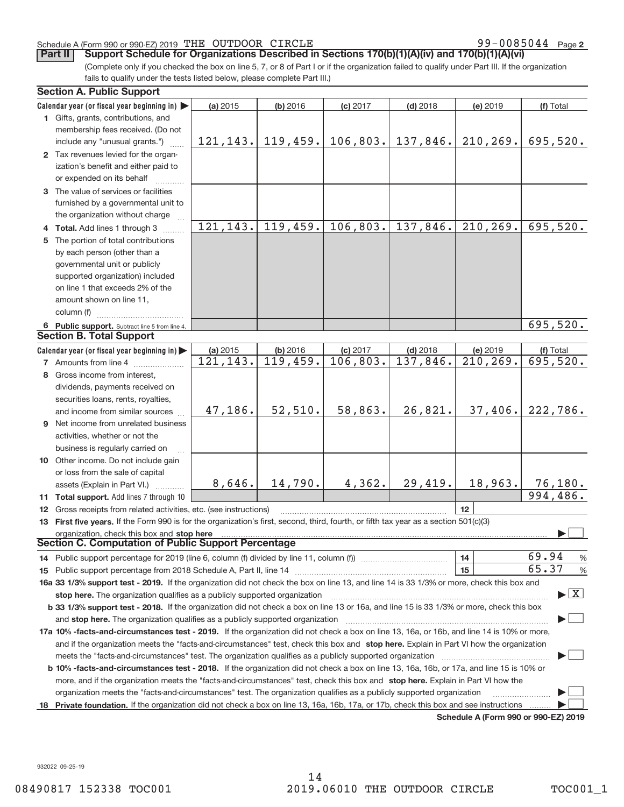#### Schedule A (Form 990 or 990‐EZ) 2019 「THE OUTDOOR CIRCLE  $99-0085044$  Page

99-0085044 Page 2

(Complete only if you checked the box on line 5, 7, or 8 of Part I or if the organization failed to qualify under Part III. If the organization fails to qualify under the tests listed below, please complete Part III.) **Part II** Support Schedule for Organizations Described in Sections 170(b)(1)(A)(iv) and 170(b)(1)(A)(vi)

|     | <b>Section A. Public Support</b>                                                                                                           |                      |                      |                        |                        |                                      |                                 |  |
|-----|--------------------------------------------------------------------------------------------------------------------------------------------|----------------------|----------------------|------------------------|------------------------|--------------------------------------|---------------------------------|--|
|     | Calendar year (or fiscal year beginning in)                                                                                                | (a) 2015             | (b) 2016             | $(c)$ 2017             | $(d)$ 2018             | (e) 2019                             | (f) Total                       |  |
|     | 1 Gifts, grants, contributions, and                                                                                                        |                      |                      |                        |                        |                                      |                                 |  |
|     | membership fees received. (Do not                                                                                                          |                      |                      |                        |                        |                                      |                                 |  |
|     | include any "unusual grants.")                                                                                                             | 121, 143.            | 119,459.             |                        | $106,803.$ 137,846.    | 210, 269.                            | 695,520.                        |  |
|     | 2 Tax revenues levied for the organ-                                                                                                       |                      |                      |                        |                        |                                      |                                 |  |
|     | ization's benefit and either paid to                                                                                                       |                      |                      |                        |                        |                                      |                                 |  |
|     | or expended on its behalf                                                                                                                  |                      |                      |                        |                        |                                      |                                 |  |
|     | 3 The value of services or facilities                                                                                                      |                      |                      |                        |                        |                                      |                                 |  |
|     | furnished by a governmental unit to                                                                                                        |                      |                      |                        |                        |                                      |                                 |  |
|     | the organization without charge                                                                                                            |                      |                      |                        |                        |                                      |                                 |  |
|     | 4 Total. Add lines 1 through 3                                                                                                             | 121, 143.            | 119,459.             | 106,803.               | 137,846.               | 210, 269.                            | 695,520.                        |  |
| 5   | The portion of total contributions                                                                                                         |                      |                      |                        |                        |                                      |                                 |  |
|     | by each person (other than a                                                                                                               |                      |                      |                        |                        |                                      |                                 |  |
|     | governmental unit or publicly                                                                                                              |                      |                      |                        |                        |                                      |                                 |  |
|     | supported organization) included                                                                                                           |                      |                      |                        |                        |                                      |                                 |  |
|     | on line 1 that exceeds 2% of the                                                                                                           |                      |                      |                        |                        |                                      |                                 |  |
|     | amount shown on line 11,                                                                                                                   |                      |                      |                        |                        |                                      |                                 |  |
|     | column (f)                                                                                                                                 |                      |                      |                        |                        |                                      |                                 |  |
|     |                                                                                                                                            |                      |                      |                        |                        |                                      | 695,520.                        |  |
|     | 6 Public support. Subtract line 5 from line 4.<br><b>Section B. Total Support</b>                                                          |                      |                      |                        |                        |                                      |                                 |  |
|     |                                                                                                                                            |                      |                      |                        |                        |                                      |                                 |  |
|     | Calendar year (or fiscal year beginning in)                                                                                                | (a) 2015<br>121,143. | (b) 2016<br>119,459. | $(c)$ 2017<br>106,803. | $(d)$ 2018<br>137,846. | (e) 2019<br>210, 269.                | (f) Total<br>695,520.           |  |
|     | <b>7</b> Amounts from line 4                                                                                                               |                      |                      |                        |                        |                                      |                                 |  |
|     | 8 Gross income from interest,                                                                                                              |                      |                      |                        |                        |                                      |                                 |  |
|     | dividends, payments received on                                                                                                            |                      |                      |                        |                        |                                      |                                 |  |
|     | securities loans, rents, royalties,                                                                                                        |                      |                      |                        |                        |                                      |                                 |  |
|     | and income from similar sources                                                                                                            | 47,186.              | 52,510.              | 58,863.                | 26,821.                | 37,406.                              | 222,786.                        |  |
|     | <b>9</b> Net income from unrelated business                                                                                                |                      |                      |                        |                        |                                      |                                 |  |
|     | activities, whether or not the                                                                                                             |                      |                      |                        |                        |                                      |                                 |  |
|     | business is regularly carried on                                                                                                           |                      |                      |                        |                        |                                      |                                 |  |
|     | 10 Other income. Do not include gain                                                                                                       |                      |                      |                        |                        |                                      |                                 |  |
|     | or loss from the sale of capital                                                                                                           |                      |                      |                        |                        |                                      |                                 |  |
|     | assets (Explain in Part VI.)                                                                                                               | 8,646.               | 14,790.              | 4,362.                 | 29,419.                | 18,963.                              | 76,180.                         |  |
|     | 11 Total support. Add lines 7 through 10                                                                                                   |                      |                      |                        |                        |                                      | 994,486.                        |  |
|     | 12 Gross receipts from related activities, etc. (see instructions)                                                                         |                      |                      |                        |                        | 12                                   |                                 |  |
|     | 13 First five years. If the Form 990 is for the organization's first, second, third, fourth, or fifth tax year as a section 501(c)(3)      |                      |                      |                        |                        |                                      |                                 |  |
|     | organization, check this box and stop here                                                                                                 |                      |                      |                        |                        |                                      |                                 |  |
|     | <b>Section C. Computation of Public Support Percentage</b>                                                                                 |                      |                      |                        |                        |                                      |                                 |  |
|     | 14 Public support percentage for 2019 (line 6, column (f) divided by line 11, column (f) <i>manumanomeron</i> enter-                       |                      |                      |                        |                        | 14                                   | 69.94<br>$\frac{0}{6}$          |  |
|     |                                                                                                                                            |                      |                      |                        |                        | 15                                   | 65.37<br>$\%$                   |  |
|     | 16a 33 1/3% support test - 2019. If the organization did not check the box on line 13, and line 14 is 33 1/3% or more, check this box and  |                      |                      |                        |                        |                                      |                                 |  |
|     | stop here. The organization qualifies as a publicly supported organization                                                                 |                      |                      |                        |                        |                                      | $\blacktriangleright$ $\vert$ X |  |
|     | b 33 1/3% support test - 2018. If the organization did not check a box on line 13 or 16a, and line 15 is 33 1/3% or more, check this box   |                      |                      |                        |                        |                                      |                                 |  |
|     | and <b>stop here.</b> The organization qualifies as a publicly supported organization                                                      |                      |                      |                        |                        |                                      |                                 |  |
|     | 17a 10% -facts-and-circumstances test - 2019. If the organization did not check a box on line 13, 16a, or 16b, and line 14 is 10% or more, |                      |                      |                        |                        |                                      |                                 |  |
|     | and if the organization meets the "facts-and-circumstances" test, check this box and stop here. Explain in Part VI how the organization    |                      |                      |                        |                        |                                      |                                 |  |
|     | meets the "facts-and-circumstances" test. The organization qualifies as a publicly supported organization                                  |                      |                      |                        |                        |                                      |                                 |  |
|     | b 10% -facts-and-circumstances test - 2018. If the organization did not check a box on line 13, 16a, 16b, or 17a, and line 15 is 10% or    |                      |                      |                        |                        |                                      |                                 |  |
|     | more, and if the organization meets the "facts-and-circumstances" test, check this box and stop here. Explain in Part VI how the           |                      |                      |                        |                        |                                      |                                 |  |
|     | organization meets the "facts-and-circumstances" test. The organization qualifies as a publicly supported organization                     |                      |                      |                        |                        |                                      |                                 |  |
| 18. | Private foundation. If the organization did not check a box on line 13, 16a, 16b, 17a, or 17b, check this box and see instructions         |                      |                      |                        |                        |                                      |                                 |  |
|     |                                                                                                                                            |                      |                      |                        |                        | Schedule A (Form 990 or 990-F7) 2019 |                                 |  |

**Schedule A (Form 990 or 990‐EZ) 2019**

932022 09‐25‐19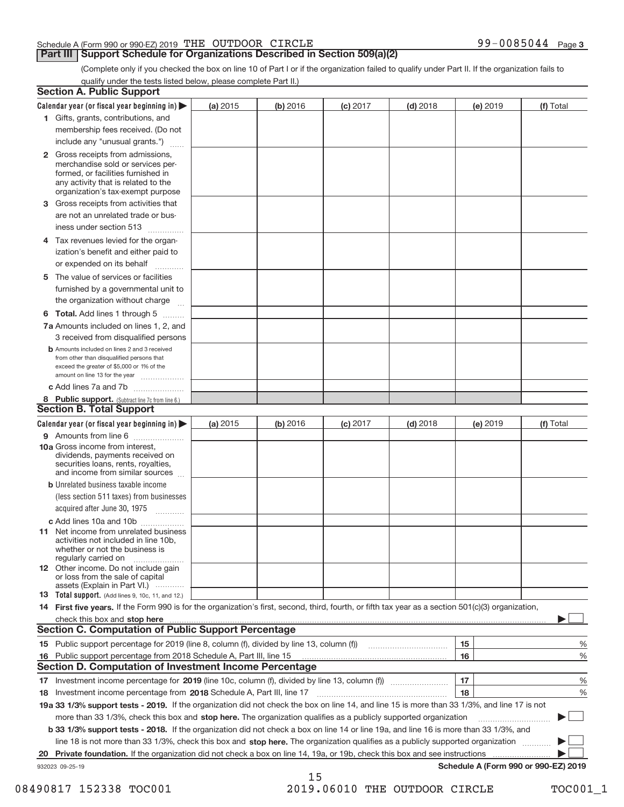### Schedule A (Form 990 or 990‐EZ) 2019 「THE OUTDOOR CIRCLE  $99-0085044$  Page

# **Part III | Support Schedule for Organizations Described in Section 509(a)(2)**

99-0085044 Page 3

(Complete only if you checked the box on line 10 of Part I or if the organization failed to qualify under Part II. If the organization fails to qualify under the tests listed below, please complete Part II.)

|    | <b>Section A. Public Support</b>                                                                                                                                                                                                             |          |          |            |            |          |                                      |
|----|----------------------------------------------------------------------------------------------------------------------------------------------------------------------------------------------------------------------------------------------|----------|----------|------------|------------|----------|--------------------------------------|
|    | Calendar year (or fiscal year beginning in) $\blacktriangleright$                                                                                                                                                                            | (a) 2015 | (b) 2016 | $(c)$ 2017 | $(d)$ 2018 | (e) 2019 | (f) Total                            |
|    | 1 Gifts, grants, contributions, and                                                                                                                                                                                                          |          |          |            |            |          |                                      |
|    | membership fees received. (Do not                                                                                                                                                                                                            |          |          |            |            |          |                                      |
|    | include any "unusual grants.")                                                                                                                                                                                                               |          |          |            |            |          |                                      |
|    | <b>2</b> Gross receipts from admissions,<br>merchandise sold or services per-<br>formed, or facilities furnished in<br>any activity that is related to the<br>organization's tax-exempt purpose                                              |          |          |            |            |          |                                      |
|    | 3 Gross receipts from activities that                                                                                                                                                                                                        |          |          |            |            |          |                                      |
|    | are not an unrelated trade or bus-                                                                                                                                                                                                           |          |          |            |            |          |                                      |
|    | iness under section 513                                                                                                                                                                                                                      |          |          |            |            |          |                                      |
|    | 4 Tax revenues levied for the organ-<br>ization's benefit and either paid to                                                                                                                                                                 |          |          |            |            |          |                                      |
|    | or expended on its behalf<br>.                                                                                                                                                                                                               |          |          |            |            |          |                                      |
| 5. | The value of services or facilities                                                                                                                                                                                                          |          |          |            |            |          |                                      |
|    | furnished by a governmental unit to                                                                                                                                                                                                          |          |          |            |            |          |                                      |
|    | the organization without charge                                                                                                                                                                                                              |          |          |            |            |          |                                      |
|    | <b>6 Total.</b> Add lines 1 through 5                                                                                                                                                                                                        |          |          |            |            |          |                                      |
|    | 7a Amounts included on lines 1, 2, and                                                                                                                                                                                                       |          |          |            |            |          |                                      |
|    | 3 received from disqualified persons                                                                                                                                                                                                         |          |          |            |            |          |                                      |
|    | <b>b</b> Amounts included on lines 2 and 3 received<br>from other than disqualified persons that<br>exceed the greater of \$5,000 or 1% of the<br>amount on line 13 for the year                                                             |          |          |            |            |          |                                      |
|    | c Add lines 7a and 7b                                                                                                                                                                                                                        |          |          |            |            |          |                                      |
|    | 8 Public support. (Subtract line 7c from line 6.)                                                                                                                                                                                            |          |          |            |            |          |                                      |
|    | <b>Section B. Total Support</b>                                                                                                                                                                                                              |          |          |            |            |          |                                      |
|    | Calendar year (or fiscal year beginning in)                                                                                                                                                                                                  | (a) 2015 | (b) 2016 | $(c)$ 2017 | $(d)$ 2018 | (e) 2019 | (f) Total                            |
|    | 9 Amounts from line 6                                                                                                                                                                                                                        |          |          |            |            |          |                                      |
|    | 10a Gross income from interest,<br>dividends, payments received on<br>securities loans, rents, royalties,<br>and income from similar sources                                                                                                 |          |          |            |            |          |                                      |
|    | <b>b</b> Unrelated business taxable income<br>(less section 511 taxes) from businesses<br>acquired after June 30, 1975                                                                                                                       |          |          |            |            |          |                                      |
|    | $\overline{\phantom{a}}$                                                                                                                                                                                                                     |          |          |            |            |          |                                      |
|    | c Add lines 10a and 10b<br><b>11</b> Net income from unrelated business<br>activities not included in line 10b.<br>whether or not the business is<br>regularly carried on                                                                    |          |          |            |            |          |                                      |
|    | 12 Other income. Do not include gain<br>or loss from the sale of capital<br>assets (Explain in Part VI.)                                                                                                                                     |          |          |            |            |          |                                      |
|    | 13 Total support. (Add lines 9, 10c, 11, and 12.)                                                                                                                                                                                            |          |          |            |            |          |                                      |
|    | 14 First five years. If the Form 990 is for the organization's first, second, third, fourth, or fifth tax year as a section 501(c)(3) organization,                                                                                          |          |          |            |            |          |                                      |
|    | check this box and stop here <b>construction and construction</b> and stop here <b>constructed</b> this box and stop here <b>constructed</b> that the state of the state of the state of the state of the state of the state of the state of |          |          |            |            |          |                                      |
|    | <b>Section C. Computation of Public Support Percentage</b>                                                                                                                                                                                   |          |          |            |            |          |                                      |
|    | 15 Public support percentage for 2019 (line 8, column (f), divided by line 13, column (f))                                                                                                                                                   |          |          |            |            | 15       | %                                    |
|    | 16 Public support percentage from 2018 Schedule A, Part III, line 15                                                                                                                                                                         |          |          |            |            | 16       | %                                    |
|    | <b>Section D. Computation of Investment Income Percentage</b>                                                                                                                                                                                |          |          |            |            |          |                                      |
|    |                                                                                                                                                                                                                                              |          |          |            |            | 17       | %                                    |
|    | 18 Investment income percentage from 2018 Schedule A, Part III, line 17                                                                                                                                                                      |          |          |            |            | 18       | %                                    |
|    | 19a 33 1/3% support tests - 2019. If the organization did not check the box on line 14, and line 15 is more than 33 1/3%, and line 17 is not                                                                                                 |          |          |            |            |          |                                      |
|    | more than 33 1/3%, check this box and stop here. The organization qualifies as a publicly supported organization                                                                                                                             |          |          |            |            |          |                                      |
|    | b 33 1/3% support tests - 2018. If the organization did not check a box on line 14 or line 19a, and line 16 is more than 33 1/3%, and                                                                                                        |          |          |            |            |          |                                      |
|    | line 18 is not more than 33 1/3%, check this box and stop here. The organization qualifies as a publicly supported organization                                                                                                              |          |          |            |            |          |                                      |
| 20 | Private foundation. If the organization did not check a box on line 14, 19a, or 19b, check this box and see instructions                                                                                                                     |          |          |            |            |          |                                      |
|    | 932023 09-25-19                                                                                                                                                                                                                              |          |          |            |            |          | Schedule A (Form 990 or 990-EZ) 2019 |
|    |                                                                                                                                                                                                                                              |          | 15       |            |            |          |                                      |

<sup>08490817 152338</sup> TOC001 2019.06010 THE OUTDOOR CIRCLE TOC001\_1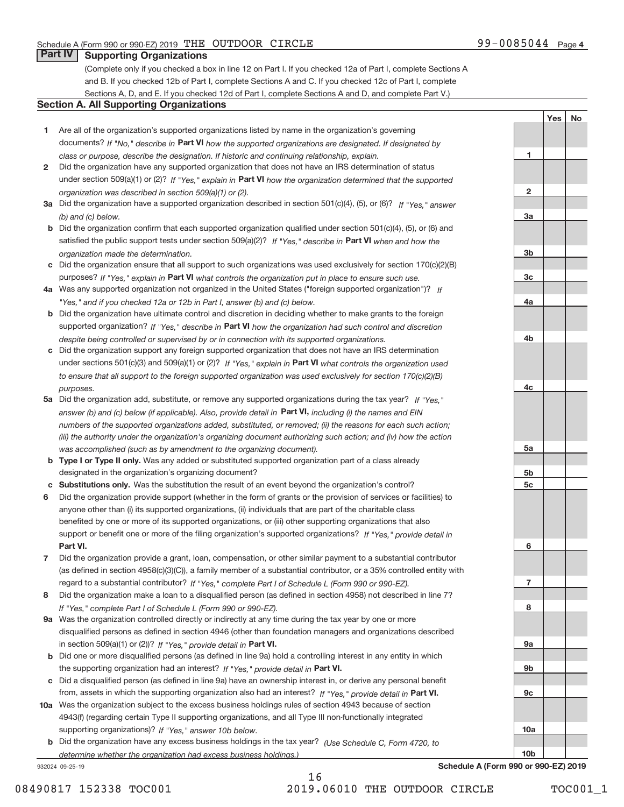**1**

**2**

**3a**

**3b**

**3c**

**4a**

**4b**

**4c**

**5a**

**5b 5c**

**6**

**7**

**8**

**9a**

**9b**

**9c**

**10a**

Yes | No

# **Part IV Supporting Organizations**

(Complete only if you checked a box in line 12 on Part I. If you checked 12a of Part I, complete Sections A and B. If you checked 12b of Part I, complete Sections A and C. If you checked 12c of Part I, complete Sections A, D, and E. If you checked 12d of Part I, complete Sections A and D, and complete Part V.)

#### **Section A. All Supporting Organizations**

- **1** Are all of the organization's supported organizations listed by name in the organization's governing documents? If "No," describe in Part VI how the supported organizations are designated. If designated by *class or purpose, describe the designation. If historic and continuing relationship, explain.*
- **2** Did the organization have any supported organization that does not have an IRS determination of status under section 509(a)(1) or (2)? If "Yes," explain in Part VI how the organization determined that the supported *organization was described in section 509(a)(1) or (2).*
- **3a** Did the organization have a supported organization described in section 501(c)(4), (5), or (6)? If "Yes," answer *(b) and (c) below.*
- **b** Did the organization confirm that each supported organization qualified under section 501(c)(4), (5), or (6) and satisfied the public support tests under section 509(a)(2)? If "Yes," describe in Part VI when and how the *organization made the determination.*
- **c** Did the organization ensure that all support to such organizations was used exclusively for section 170(c)(2)(B) purposes? If "Yes," explain in Part VI what controls the organization put in place to ensure such use.
- **4 a** *If* Was any supported organization not organized in the United States ("foreign supported organization")? *"Yes," and if you checked 12a or 12b in Part I, answer (b) and (c) below.*
- **b** Did the organization have ultimate control and discretion in deciding whether to make grants to the foreign supported organization? If "Yes," describe in Part VI how the organization had such control and discretion *despite being controlled or supervised by or in connection with its supported organizations.*
- **c** Did the organization support any foreign supported organization that does not have an IRS determination under sections 501(c)(3) and 509(a)(1) or (2)? If "Yes," explain in Part VI what controls the organization used *to ensure that all support to the foreign supported organization was used exclusively for section 170(c)(2)(B) purposes.*
- **5a** Did the organization add, substitute, or remove any supported organizations during the tax year? If "Yes," answer (b) and (c) below (if applicable). Also, provide detail in **Part VI,** including (i) the names and EIN *numbers of the supported organizations added, substituted, or removed; (ii) the reasons for each such action; (iii) the authority under the organization's organizing document authorizing such action; and (iv) how the action was accomplished (such as by amendment to the organizing document).*
- **b** Type I or Type II only. Was any added or substituted supported organization part of a class already designated in the organization's organizing document?
- **c Substitutions only.**  Was the substitution the result of an event beyond the organization's control?
- **6** Did the organization provide support (whether in the form of grants or the provision of services or facilities) to **Part VI.** *If "Yes," provide detail in* support or benefit one or more of the filing organization's supported organizations? anyone other than (i) its supported organizations, (ii) individuals that are part of the charitable class benefited by one or more of its supported organizations, or (iii) other supporting organizations that also
- **7** Did the organization provide a grant, loan, compensation, or other similar payment to a substantial contributor regard to a substantial contributor? If "Yes," complete Part I of Schedule L (Form 990 or 990-EZ). (as defined in section 4958(c)(3)(C)), a family member of a substantial contributor, or a 35% controlled entity with
- **8** Did the organization make a loan to a disqualified person (as defined in section 4958) not described in line 7? *If "Yes," complete Part I of Schedule L (Form 990 or 990-EZ).*
- **9 a** Was the organization controlled directly or indirectly at any time during the tax year by one or more in section 509(a)(1) or (2))? If "Yes," provide detail in Part VI. disqualified persons as defined in section 4946 (other than foundation managers and organizations described
- **b** the supporting organization had an interest? If "Yes," provide detail in Part VI. Did one or more disqualified persons (as defined in line 9a) hold a controlling interest in any entity in which
- **c** Did a disqualified person (as defined in line 9a) have an ownership interest in, or derive any personal benefit from, assets in which the supporting organization also had an interest? If "Yes," provide detail in Part VI.
- **10 a** Was the organization subject to the excess business holdings rules of section 4943 because of section supporting organizations)? If "Yes," answer 10b below. 4943(f) (regarding certain Type II supporting organizations, and all Type III non-functionally integrated
- **b** Did the organization have any excess business holdings in the tax year? (Use Schedule C, Form 4720, to *determine whether the organization had excess business holdings.)*

932024 09‐25‐19

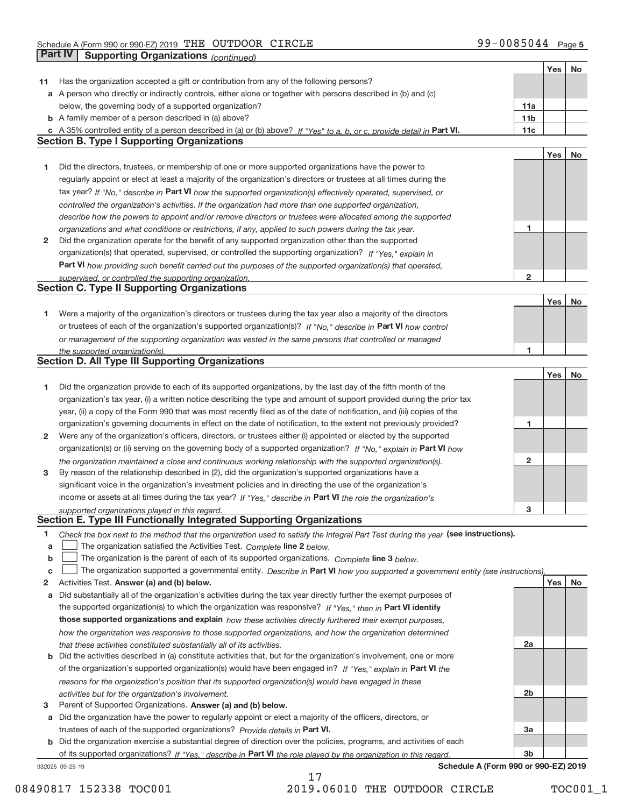|    |                                                                                                                                   |                 | Yes | No |
|----|-----------------------------------------------------------------------------------------------------------------------------------|-----------------|-----|----|
| 11 | Has the organization accepted a gift or contribution from any of the following persons?                                           |                 |     |    |
|    | a A person who directly or indirectly controls, either alone or together with persons described in (b) and (c)                    |                 |     |    |
|    | below, the governing body of a supported organization?                                                                            | 11a             |     |    |
|    | <b>b</b> A family member of a person described in (a) above?                                                                      | 11 <sub>b</sub> |     |    |
|    | c A 35% controlled entity of a person described in (a) or (b) above? If "Yes" to a, b, or c, provide detail in Part VI.           | 11c             |     |    |
|    | <b>Section B. Type I Supporting Organizations</b>                                                                                 |                 |     |    |
|    |                                                                                                                                   |                 | Yes | No |
| 1  | Did the directors, trustees, or membership of one or more supported organizations have the power to                               |                 |     |    |
|    |                                                                                                                                   |                 |     |    |
|    | regularly appoint or elect at least a majority of the organization's directors or trustees at all times during the                |                 |     |    |
|    | tax year? If "No," describe in Part VI how the supported organization(s) effectively operated, supervised, or                     |                 |     |    |
|    | controlled the organization's activities. If the organization had more than one supported organization,                           |                 |     |    |
|    | describe how the powers to appoint and/or remove directors or trustees were allocated among the supported                         |                 |     |    |
|    | organizations and what conditions or restrictions, if any, applied to such powers during the tax year.                            | 1               |     |    |
| 2  | Did the organization operate for the benefit of any supported organization other than the supported                               |                 |     |    |
|    | organization(s) that operated, supervised, or controlled the supporting organization? If "Yes," explain in                        |                 |     |    |
|    | Part VI how providing such benefit carried out the purposes of the supported organization(s) that operated,                       |                 |     |    |
|    | supervised, or controlled the supporting organization.                                                                            | $\mathbf{2}$    |     |    |
|    | <b>Section C. Type II Supporting Organizations</b>                                                                                |                 |     |    |
|    |                                                                                                                                   |                 | Yes | No |
| 1  | Were a majority of the organization's directors or trustees during the tax year also a majority of the directors                  |                 |     |    |
|    | or trustees of each of the organization's supported organization(s)? If "No," describe in Part VI how control                     |                 |     |    |
|    | or management of the supporting organization was vested in the same persons that controlled or managed                            |                 |     |    |
|    | the supported organization(s).                                                                                                    | 1               |     |    |
|    | <b>Section D. All Type III Supporting Organizations</b>                                                                           |                 |     |    |
|    |                                                                                                                                   |                 | Yes | No |
| 1  | Did the organization provide to each of its supported organizations, by the last day of the fifth month of the                    |                 |     |    |
|    | organization's tax year, (i) a written notice describing the type and amount of support provided during the prior tax             |                 |     |    |
|    | year, (ii) a copy of the Form 990 that was most recently filed as of the date of notification, and (iii) copies of the            |                 |     |    |
|    | organization's governing documents in effect on the date of notification, to the extent not previously provided?                  | 1               |     |    |
| 2  | Were any of the organization's officers, directors, or trustees either (i) appointed or elected by the supported                  |                 |     |    |
|    | organization(s) or (ii) serving on the governing body of a supported organization? If "No," explain in Part VI how                |                 |     |    |
|    | the organization maintained a close and continuous working relationship with the supported organization(s).                       | $\mathbf{2}$    |     |    |
| 3  | By reason of the relationship described in (2), did the organization's supported organizations have a                             |                 |     |    |
|    | significant voice in the organization's investment policies and in directing the use of the organization's                        |                 |     |    |
|    | income or assets at all times during the tax year? If "Yes," describe in Part VI the role the organization's                      |                 |     |    |
|    | supported organizations played in this regard.                                                                                    | з               |     |    |
|    | Section E. Type III Functionally Integrated Supporting Organizations                                                              |                 |     |    |
| 1  | Check the box next to the method that the organization used to satisfy the Integral Part Test during the year (see instructions). |                 |     |    |
| a  | The organization satisfied the Activities Test. Complete line 2 below.                                                            |                 |     |    |
| b  | The organization is the parent of each of its supported organizations. Complete line 3 below.                                     |                 |     |    |
| C  | The organization supported a governmental entity. Describe in Part VI how you supported a government entity (see instructions),   |                 |     |    |
| 2  | Activities Test. Answer (a) and (b) below.                                                                                        |                 | Yes | No |
| a  | Did substantially all of the organization's activities during the tax year directly further the exempt purposes of                |                 |     |    |
|    | the supported organization(s) to which the organization was responsive? If "Yes," then in Part VI identify                        |                 |     |    |
|    | those supported organizations and explain how these activities directly furthered their exempt purposes,                          |                 |     |    |
|    | how the organization was responsive to those supported organizations, and how the organization determined                         |                 |     |    |
|    | that these activities constituted substantially all of its activities.                                                            | 2a              |     |    |
|    | <b>b</b> Did the activities described in (a) constitute activities that, but for the organization's involvement, one or more      |                 |     |    |
|    | of the organization's supported organization(s) would have been engaged in? If "Yes," explain in Part VI the                      |                 |     |    |
|    |                                                                                                                                   |                 |     |    |
|    | reasons for the organization's position that its supported organization(s) would have engaged in these                            | 2b              |     |    |
| 3  | activities but for the organization's involvement.<br>Parent of Supported Organizations. Answer (a) and (b) below.                |                 |     |    |
|    |                                                                                                                                   |                 |     |    |
| а  | Did the organization have the power to regularly appoint or elect a majority of the officers, directors, or                       |                 |     |    |
|    | trustees of each of the supported organizations? Provide details in Part VI.                                                      | Зa              |     |    |
|    | <b>b</b> Did the organization exercise a substantial degree of direction over the policies, programs, and activities of each      |                 |     |    |
|    | of its supported organizations? If "Yes," describe in Part VI the role played by the organization in this regard                  | 3b              |     |    |
|    | Schedule A (Form 990 or 990-EZ) 2019<br>932025 09-25-19                                                                           |                 |     |    |

08490817 152338 TOC001 2019.06010 THE OUTDOOR CIRCLE TOC001\_1

17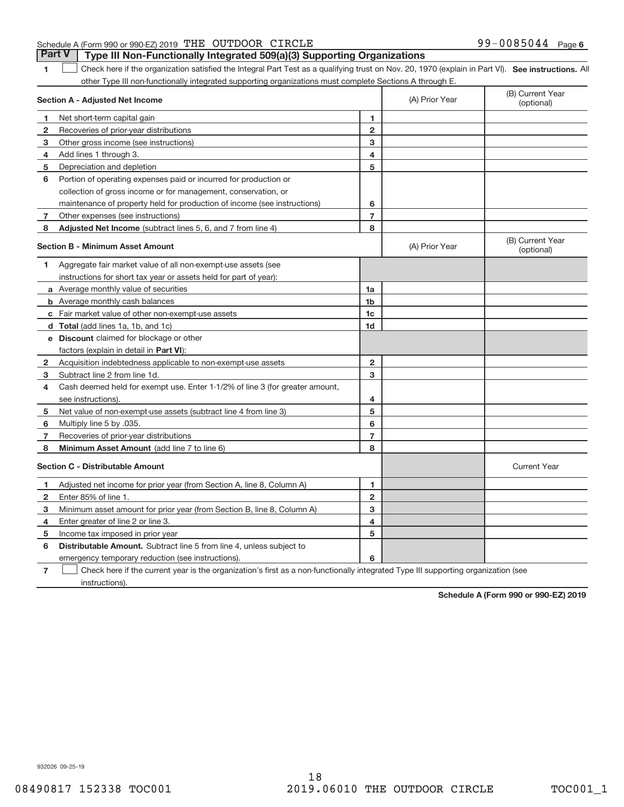## Schedule A (Form 990 or 990‐EZ) 2019 「THE OUTDOOR CIRCLE  $99-0085044$  Page **Part V** Type III Non-Functionally Integrated 509(a)(3) Supporting Organizations

1 **1** Check here if the organization satisfied the Integral Part Test as a qualifying trust on Nov. 20, 1970 (explain in Part VI). See instructions. All other Type III non‐functionally integrated supporting organizations must complete Sections A through E.

|                | Section A - Adjusted Net Income                                                                                                   |                         | (A) Prior Year | (B) Current Year<br>(optional) |
|----------------|-----------------------------------------------------------------------------------------------------------------------------------|-------------------------|----------------|--------------------------------|
| 1.             | Net short-term capital gain                                                                                                       | 1                       |                |                                |
| 2              | Recoveries of prior-year distributions                                                                                            | $\overline{2}$          |                |                                |
| 3              | Other gross income (see instructions)                                                                                             | 3                       |                |                                |
| 4              | Add lines 1 through 3.                                                                                                            | 4                       |                |                                |
| 5              | Depreciation and depletion                                                                                                        | 5                       |                |                                |
| 6              | Portion of operating expenses paid or incurred for production or                                                                  |                         |                |                                |
|                | collection of gross income or for management, conservation, or                                                                    |                         |                |                                |
|                | maintenance of property held for production of income (see instructions)                                                          | 6                       |                |                                |
| 7              | Other expenses (see instructions)                                                                                                 | $\overline{7}$          |                |                                |
| 8              | <b>Adjusted Net Income</b> (subtract lines 5, 6, and 7 from line 4)                                                               | 8                       |                |                                |
|                | <b>Section B - Minimum Asset Amount</b>                                                                                           |                         | (A) Prior Year | (B) Current Year<br>(optional) |
| 1              | Aggregate fair market value of all non-exempt-use assets (see                                                                     |                         |                |                                |
|                | instructions for short tax year or assets held for part of year):                                                                 |                         |                |                                |
|                | a Average monthly value of securities                                                                                             | 1a                      |                |                                |
|                | <b>b</b> Average monthly cash balances                                                                                            | 1b                      |                |                                |
|                | c Fair market value of other non-exempt-use assets                                                                                | 1 <sub>c</sub>          |                |                                |
|                | d Total (add lines 1a, 1b, and 1c)                                                                                                | 1 <sub>d</sub>          |                |                                |
|                | e Discount claimed for blockage or other                                                                                          |                         |                |                                |
|                | factors (explain in detail in Part VI):                                                                                           |                         |                |                                |
| 2              | Acquisition indebtedness applicable to non-exempt-use assets                                                                      | $\overline{2}$          |                |                                |
| 3              | Subtract line 2 from line 1d.                                                                                                     | 3                       |                |                                |
| 4              | Cash deemed held for exempt use. Enter 1-1/2% of line 3 (for greater amount,                                                      |                         |                |                                |
|                | see instructions)                                                                                                                 | 4                       |                |                                |
| 5              | Net value of non-exempt-use assets (subtract line 4 from line 3)                                                                  | 5                       |                |                                |
| 6              | Multiply line 5 by .035.                                                                                                          | 6                       |                |                                |
| 7              | Recoveries of prior-year distributions                                                                                            | $\overline{7}$          |                |                                |
| 8              | Minimum Asset Amount (add line 7 to line 6)                                                                                       | 8                       |                |                                |
|                | <b>Section C - Distributable Amount</b>                                                                                           |                         |                | <b>Current Year</b>            |
| 1.             | Adjusted net income for prior year (from Section A, line 8, Column A)                                                             | 1                       |                |                                |
| 2              | Enter 85% of line 1.                                                                                                              | $\overline{\mathbf{c}}$ |                |                                |
| 3              | Minimum asset amount for prior year (from Section B, line 8, Column A)                                                            | 3                       |                |                                |
| 4              | Enter greater of line 2 or line 3.                                                                                                | 4                       |                |                                |
| 5              | Income tax imposed in prior year                                                                                                  | 5                       |                |                                |
| 6              | <b>Distributable Amount.</b> Subtract line 5 from line 4, unless subject to                                                       |                         |                |                                |
|                | emergency temporary reduction (see instructions).                                                                                 | 6                       |                |                                |
| $\overline{7}$ | Check here if the current year is the organization's first as a non-functionally integrated Type III supporting organization (see |                         |                |                                |

instructions).

**Schedule A (Form 990 or 990‐EZ) 2019**

932026 09‐25‐19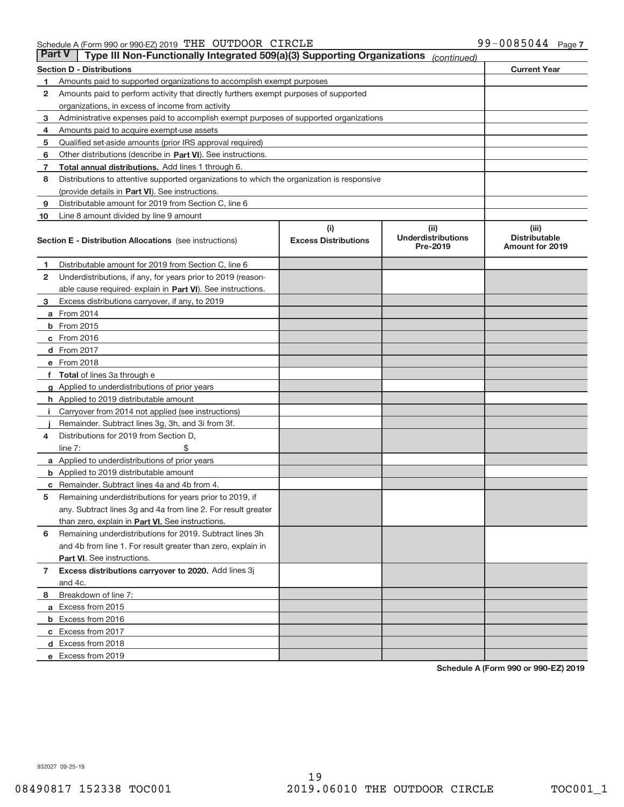#### Schedule A (Form 990 or 990‐EZ) 2019 「THE OUTDOOR CIRCLE  $99-0085044$  Page

| <b>Part V</b> | Type III Non-Functionally Integrated 509(a)(3) Supporting Organizations                    |                             | (continued)                                  |                                                |
|---------------|--------------------------------------------------------------------------------------------|-----------------------------|----------------------------------------------|------------------------------------------------|
|               | <b>Section D - Distributions</b>                                                           |                             |                                              | <b>Current Year</b>                            |
| 1             | Amounts paid to supported organizations to accomplish exempt purposes                      |                             |                                              |                                                |
| 2             | Amounts paid to perform activity that directly furthers exempt purposes of supported       |                             |                                              |                                                |
|               | organizations, in excess of income from activity                                           |                             |                                              |                                                |
| 3             | Administrative expenses paid to accomplish exempt purposes of supported organizations      |                             |                                              |                                                |
| 4             | Amounts paid to acquire exempt-use assets                                                  |                             |                                              |                                                |
| 5             | Qualified set-aside amounts (prior IRS approval required)                                  |                             |                                              |                                                |
| 6             | Other distributions (describe in Part VI). See instructions.                               |                             |                                              |                                                |
| 7             | Total annual distributions. Add lines 1 through 6.                                         |                             |                                              |                                                |
| 8             | Distributions to attentive supported organizations to which the organization is responsive |                             |                                              |                                                |
|               | (provide details in Part VI). See instructions.                                            |                             |                                              |                                                |
| 9             | Distributable amount for 2019 from Section C, line 6                                       |                             |                                              |                                                |
| 10            | Line 8 amount divided by line 9 amount                                                     |                             |                                              |                                                |
|               |                                                                                            | (i)                         | (iii)                                        | (iii)                                          |
|               | <b>Section E - Distribution Allocations</b> (see instructions)                             | <b>Excess Distributions</b> | <b>Underdistributions</b><br><b>Pre-2019</b> | <b>Distributable</b><br><b>Amount for 2019</b> |
| 1.            | Distributable amount for 2019 from Section C, line 6                                       |                             |                                              |                                                |
| 2             | Underdistributions, if any, for years prior to 2019 (reason-                               |                             |                                              |                                                |
|               | able cause required-explain in Part VI). See instructions.                                 |                             |                                              |                                                |
| 3             | Excess distributions carryover, if any, to 2019                                            |                             |                                              |                                                |
|               | <b>a</b> From 2014                                                                         |                             |                                              |                                                |
|               | <b>b</b> From $2015$                                                                       |                             |                                              |                                                |
|               | $c$ From 2016                                                                              |                             |                                              |                                                |
|               | <b>d</b> From 2017                                                                         |                             |                                              |                                                |
|               | e From 2018                                                                                |                             |                                              |                                                |
|               | f Total of lines 3a through e                                                              |                             |                                              |                                                |
|               | g Applied to underdistributions of prior years                                             |                             |                                              |                                                |
|               | <b>h</b> Applied to 2019 distributable amount                                              |                             |                                              |                                                |
| Ť.            | Carryover from 2014 not applied (see instructions)                                         |                             |                                              |                                                |
|               | Remainder. Subtract lines 3g, 3h, and 3i from 3f.                                          |                             |                                              |                                                |
| 4             | Distributions for 2019 from Section D,                                                     |                             |                                              |                                                |
|               | line $7:$                                                                                  |                             |                                              |                                                |
|               | a Applied to underdistributions of prior years                                             |                             |                                              |                                                |
|               | <b>b</b> Applied to 2019 distributable amount                                              |                             |                                              |                                                |
| С             | Remainder. Subtract lines 4a and 4b from 4.                                                |                             |                                              |                                                |
| 5             | Remaining underdistributions for years prior to 2019, if                                   |                             |                                              |                                                |
|               | any. Subtract lines 3g and 4a from line 2. For result greater                              |                             |                                              |                                                |
|               | than zero, explain in Part VI. See instructions.                                           |                             |                                              |                                                |
| 6             | Remaining underdistributions for 2019. Subtract lines 3h                                   |                             |                                              |                                                |
|               | and 4b from line 1. For result greater than zero, explain in                               |                             |                                              |                                                |
|               | Part VI. See instructions.                                                                 |                             |                                              |                                                |
| $\mathbf{7}$  | Excess distributions carryover to 2020. Add lines 3j                                       |                             |                                              |                                                |
|               | and 4c.                                                                                    |                             |                                              |                                                |
| 8             | Breakdown of line 7:                                                                       |                             |                                              |                                                |
|               | a Excess from 2015                                                                         |                             |                                              |                                                |
|               | <b>b</b> Excess from 2016                                                                  |                             |                                              |                                                |
|               | c Excess from 2017                                                                         |                             |                                              |                                                |
|               | d Excess from 2018                                                                         |                             |                                              |                                                |
|               | e Excess from 2019                                                                         |                             |                                              |                                                |

**Schedule A (Form 990 or 990‐EZ) 2019**

932027 09‐25‐19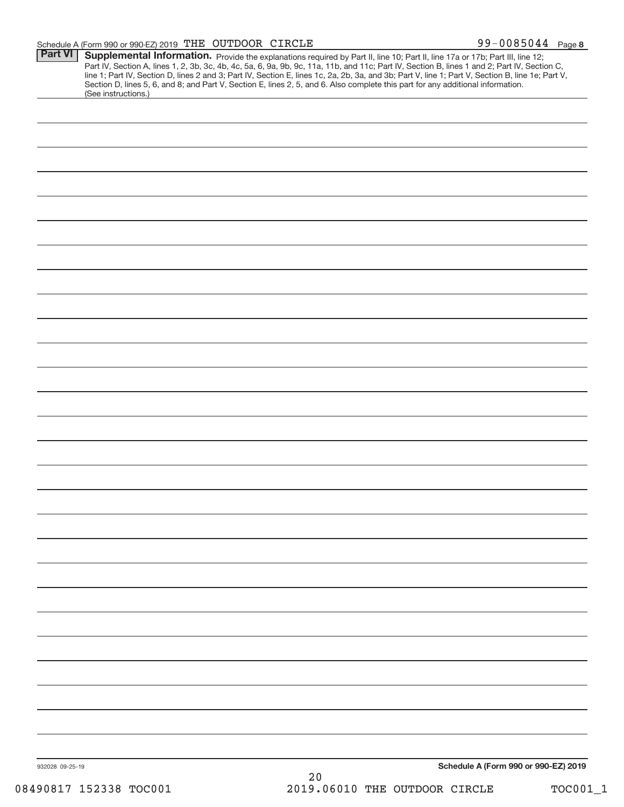### Schedule A (Form 990 or 990‐EZ) 2019 「THE OUTDOOR CIRCLE  $99-0085044$  Page

| <b>Part VI</b>  | Supplemental Information. Provide the explanations required by Part II, line 10; Part II, line 17a or 17b; Part III, line 12;                    |      |                                      |
|-----------------|--------------------------------------------------------------------------------------------------------------------------------------------------|------|--------------------------------------|
|                 | Part IV, Section A, lines 1, 2, 3b, 3c, 4b, 4c, 5a, 6, 9a, 9b, 9c, 11a, 11b, and 11c; Part IV, Section B, lines 1 and 2; Part IV, Section C,     |      |                                      |
|                 | line 1; Part IV, Section D, lines 2 and 3; Part IV, Section E, lines 1c, 2a, 2b, 3a, and 3b; Part V, line 1; Part V, Section B, line 1e; Part V, |      |                                      |
|                 | Section D, lines 5, 6, and 8; and Part V, Section E, lines 2, 5, and 6. Also complete this part for any additional information.                  |      |                                      |
|                 | (See instructions.)                                                                                                                              |      |                                      |
|                 |                                                                                                                                                  |      |                                      |
|                 |                                                                                                                                                  |      |                                      |
|                 |                                                                                                                                                  |      |                                      |
|                 |                                                                                                                                                  |      |                                      |
|                 |                                                                                                                                                  |      |                                      |
|                 |                                                                                                                                                  |      |                                      |
|                 |                                                                                                                                                  |      |                                      |
|                 |                                                                                                                                                  |      |                                      |
|                 |                                                                                                                                                  |      |                                      |
|                 |                                                                                                                                                  |      |                                      |
|                 |                                                                                                                                                  |      |                                      |
|                 |                                                                                                                                                  |      |                                      |
|                 |                                                                                                                                                  |      |                                      |
|                 |                                                                                                                                                  |      |                                      |
|                 |                                                                                                                                                  |      |                                      |
|                 |                                                                                                                                                  |      |                                      |
|                 |                                                                                                                                                  |      |                                      |
|                 |                                                                                                                                                  |      |                                      |
|                 |                                                                                                                                                  |      |                                      |
|                 |                                                                                                                                                  |      |                                      |
|                 |                                                                                                                                                  |      |                                      |
|                 |                                                                                                                                                  |      |                                      |
|                 |                                                                                                                                                  |      |                                      |
|                 |                                                                                                                                                  |      |                                      |
|                 |                                                                                                                                                  |      |                                      |
|                 |                                                                                                                                                  |      |                                      |
|                 |                                                                                                                                                  |      |                                      |
|                 |                                                                                                                                                  |      |                                      |
|                 |                                                                                                                                                  |      |                                      |
|                 |                                                                                                                                                  |      |                                      |
|                 |                                                                                                                                                  |      |                                      |
|                 |                                                                                                                                                  |      |                                      |
|                 |                                                                                                                                                  |      |                                      |
|                 |                                                                                                                                                  |      |                                      |
|                 |                                                                                                                                                  |      |                                      |
|                 |                                                                                                                                                  |      |                                      |
|                 |                                                                                                                                                  |      |                                      |
|                 |                                                                                                                                                  |      |                                      |
|                 |                                                                                                                                                  |      |                                      |
|                 |                                                                                                                                                  |      |                                      |
|                 |                                                                                                                                                  |      |                                      |
|                 |                                                                                                                                                  |      |                                      |
|                 |                                                                                                                                                  |      |                                      |
|                 |                                                                                                                                                  |      |                                      |
|                 |                                                                                                                                                  |      |                                      |
|                 |                                                                                                                                                  |      |                                      |
|                 |                                                                                                                                                  |      |                                      |
|                 |                                                                                                                                                  |      |                                      |
|                 |                                                                                                                                                  |      |                                      |
|                 |                                                                                                                                                  |      |                                      |
|                 |                                                                                                                                                  |      |                                      |
|                 |                                                                                                                                                  |      |                                      |
|                 |                                                                                                                                                  |      |                                      |
|                 |                                                                                                                                                  |      |                                      |
|                 |                                                                                                                                                  |      |                                      |
|                 |                                                                                                                                                  |      |                                      |
|                 |                                                                                                                                                  |      |                                      |
|                 |                                                                                                                                                  |      |                                      |
|                 |                                                                                                                                                  |      |                                      |
|                 |                                                                                                                                                  |      |                                      |
|                 |                                                                                                                                                  |      |                                      |
|                 |                                                                                                                                                  |      |                                      |
|                 |                                                                                                                                                  |      |                                      |
|                 |                                                                                                                                                  |      |                                      |
| 932028 09-25-19 |                                                                                                                                                  |      | Schedule A (Form 990 or 990-EZ) 2019 |
|                 |                                                                                                                                                  | $20$ |                                      |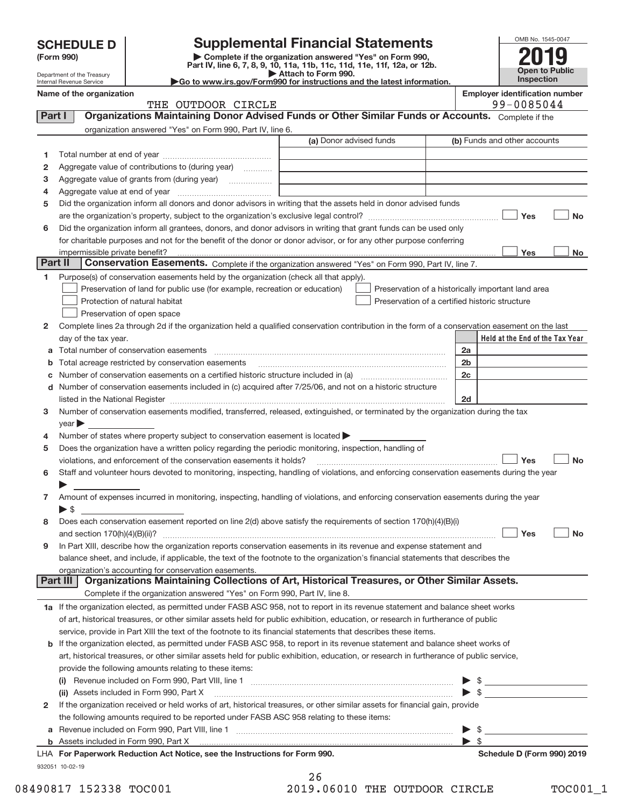|              | <b>SCHEDULE D</b>                                      | <b>Supplemental Financial Statements</b>                                                                                                                            |                                                                                                 |  |                          |                                                    | OMB No. 1545-0047 |
|--------------|--------------------------------------------------------|---------------------------------------------------------------------------------------------------------------------------------------------------------------------|-------------------------------------------------------------------------------------------------|--|--------------------------|----------------------------------------------------|-------------------|
|              | (Form 990)                                             |                                                                                                                                                                     | Complete if the organization answered "Yes" on Form 990,                                        |  |                          |                                                    |                   |
|              |                                                        |                                                                                                                                                                     | Part IV, line 6, 7, 8, 9, 10, 11a, 11b, 11c, 11d, 11e, 11f, 12a, or 12b.<br>Attach to Form 990. |  |                          | <b>Open to Public</b>                              |                   |
|              | Department of the Treasury<br>Internal Revenue Service |                                                                                                                                                                     | Go to www.irs.gov/Form990 for instructions and the latest information.                          |  |                          | Inspection                                         |                   |
|              | Name of the organization                               |                                                                                                                                                                     |                                                                                                 |  |                          | <b>Employer identification number</b>              |                   |
|              |                                                        | THE OUTDOOR CIRCLE                                                                                                                                                  |                                                                                                 |  |                          | 99-0085044                                         |                   |
| Part I       |                                                        | Organizations Maintaining Donor Advised Funds or Other Similar Funds or Accounts. Complete if the                                                                   |                                                                                                 |  |                          |                                                    |                   |
|              |                                                        | organization answered "Yes" on Form 990, Part IV, line 6.                                                                                                           |                                                                                                 |  |                          |                                                    |                   |
|              |                                                        |                                                                                                                                                                     | (a) Donor advised funds                                                                         |  |                          | (b) Funds and other accounts                       |                   |
| 1            |                                                        |                                                                                                                                                                     |                                                                                                 |  |                          |                                                    |                   |
| $\mathbf{2}$ |                                                        | Aggregate value of contributions to (during year)                                                                                                                   |                                                                                                 |  |                          |                                                    |                   |
| 3            |                                                        |                                                                                                                                                                     |                                                                                                 |  |                          |                                                    |                   |
| 4            |                                                        |                                                                                                                                                                     |                                                                                                 |  |                          |                                                    |                   |
| 5            |                                                        | Did the organization inform all donors and donor advisors in writing that the assets held in donor advised funds                                                    |                                                                                                 |  |                          |                                                    |                   |
|              |                                                        |                                                                                                                                                                     |                                                                                                 |  |                          | Yes                                                | No                |
| 6            |                                                        | Did the organization inform all grantees, donors, and donor advisors in writing that grant funds can be used only                                                   |                                                                                                 |  |                          |                                                    |                   |
|              |                                                        | for charitable purposes and not for the benefit of the donor or donor advisor, or for any other purpose conferring                                                  |                                                                                                 |  |                          |                                                    |                   |
| Part II      | impermissible private benefit?                         | Conservation Easements. Complete if the organization answered "Yes" on Form 990, Part IV, line 7.                                                                   |                                                                                                 |  |                          | Yes                                                | No                |
|              |                                                        |                                                                                                                                                                     |                                                                                                 |  |                          |                                                    |                   |
| 1            |                                                        | Purpose(s) of conservation easements held by the organization (check all that apply).<br>Preservation of land for public use (for example, recreation or education) |                                                                                                 |  |                          |                                                    |                   |
|              |                                                        | Protection of natural habitat                                                                                                                                       | Preservation of a certified historic structure                                                  |  |                          | Preservation of a historically important land area |                   |
|              |                                                        | Preservation of open space                                                                                                                                          |                                                                                                 |  |                          |                                                    |                   |
| 2            |                                                        | Complete lines 2a through 2d if the organization held a qualified conservation contribution in the form of a conservation easement on the last                      |                                                                                                 |  |                          |                                                    |                   |
|              | day of the tax year.                                   |                                                                                                                                                                     |                                                                                                 |  |                          | Held at the End of the Tax Year                    |                   |
|              |                                                        |                                                                                                                                                                     |                                                                                                 |  | 2a                       |                                                    |                   |
|              |                                                        | Total acreage restricted by conservation easements                                                                                                                  |                                                                                                 |  | 2 <sub>b</sub>           |                                                    |                   |
|              |                                                        |                                                                                                                                                                     |                                                                                                 |  | 2 <sub>c</sub>           |                                                    |                   |
| d            |                                                        | Number of conservation easements included in (c) acquired after 7/25/06, and not on a historic structure                                                            |                                                                                                 |  |                          |                                                    |                   |
|              |                                                        | listed in the National Register [111] [12] https://www.mail.com/mail.com/mail.com/mail.com/mail.com/mail.com/m                                                      |                                                                                                 |  | 2d                       |                                                    |                   |
| 3            |                                                        | Number of conservation easements modified, transferred, released, extinguished, or terminated by the organization during the tax                                    |                                                                                                 |  |                          |                                                    |                   |
|              | $\mathsf{year}$                                        |                                                                                                                                                                     |                                                                                                 |  |                          |                                                    |                   |
| 4            |                                                        | Number of states where property subject to conservation easement is located $\blacktriangleright$                                                                   |                                                                                                 |  |                          |                                                    |                   |
| 5            |                                                        | Does the organization have a written policy regarding the periodic monitoring, inspection, handling of                                                              |                                                                                                 |  |                          |                                                    |                   |
|              |                                                        | violations, and enforcement of the conservation easements it holds?                                                                                                 |                                                                                                 |  |                          | Yes                                                | No                |
| 6            |                                                        | Staff and volunteer hours devoted to monitoring, inspecting, handling of violations, and enforcing conservation easements during the year                           |                                                                                                 |  |                          |                                                    |                   |
|              |                                                        |                                                                                                                                                                     |                                                                                                 |  |                          |                                                    |                   |
|              |                                                        | Amount of expenses incurred in monitoring, inspecting, handling of violations, and enforcing conservation easements during the year                                 |                                                                                                 |  |                          |                                                    |                   |
|              | $\blacktriangleright$ s                                |                                                                                                                                                                     |                                                                                                 |  |                          |                                                    |                   |
| 8            |                                                        | Does each conservation easement reported on line 2(d) above satisfy the requirements of section 170(h)(4)(B)(i)                                                     |                                                                                                 |  |                          |                                                    |                   |
|              | and section 170(h)(4)(B)(ii)?                          |                                                                                                                                                                     |                                                                                                 |  |                          | Yes                                                | No                |
| 9            |                                                        | In Part XIII, describe how the organization reports conservation easements in its revenue and expense statement and                                                 |                                                                                                 |  |                          |                                                    |                   |
|              |                                                        | balance sheet, and include, if applicable, the text of the footnote to the organization's financial statements that describes the                                   |                                                                                                 |  |                          |                                                    |                   |
|              |                                                        | organization's accounting for conservation easements.                                                                                                               |                                                                                                 |  |                          |                                                    |                   |
|              | Part III                                               | Organizations Maintaining Collections of Art, Historical Treasures, or Other Similar Assets.                                                                        |                                                                                                 |  |                          |                                                    |                   |
|              |                                                        | Complete if the organization answered "Yes" on Form 990, Part IV, line 8.                                                                                           |                                                                                                 |  |                          |                                                    |                   |
|              |                                                        | 1a If the organization elected, as permitted under FASB ASC 958, not to report in its revenue statement and balance sheet works                                     |                                                                                                 |  |                          |                                                    |                   |
|              |                                                        | of art, historical treasures, or other similar assets held for public exhibition, education, or research in furtherance of public                                   |                                                                                                 |  |                          |                                                    |                   |
|              |                                                        | service, provide in Part XIII the text of the footnote to its financial statements that describes these items.                                                      |                                                                                                 |  |                          |                                                    |                   |
| b            |                                                        | If the organization elected, as permitted under FASB ASC 958, to report in its revenue statement and balance sheet works of                                         |                                                                                                 |  |                          |                                                    |                   |
|              |                                                        | art, historical treasures, or other similar assets held for public exhibition, education, or research in furtherance of public service,                             |                                                                                                 |  |                          |                                                    |                   |
|              |                                                        | provide the following amounts relating to these items:                                                                                                              |                                                                                                 |  |                          |                                                    |                   |
|              |                                                        |                                                                                                                                                                     |                                                                                                 |  |                          |                                                    |                   |
|              |                                                        | (ii) Assets included in Form 990, Part X                                                                                                                            |                                                                                                 |  |                          | $\blacktriangleright$ \$                           |                   |
| 2            |                                                        | If the organization received or held works of art, historical treasures, or other similar assets for financial gain, provide                                        |                                                                                                 |  |                          |                                                    |                   |
|              |                                                        | the following amounts required to be reported under FASB ASC 958 relating to these items:                                                                           |                                                                                                 |  |                          |                                                    |                   |
|              |                                                        |                                                                                                                                                                     |                                                                                                 |  | $\blacktriangleright$ \$ |                                                    |                   |

| <b>b</b> Assets included in Form 990, Part X                               |  |
|----------------------------------------------------------------------------|--|
| LHA For Paperwork Reduction Act Notice, see the Instructions for Form 990. |  |
| 932051 10-02-19                                                            |  |

**For Paper Reduction Reduction Act No. 30.** Schedule D (Form 990) 2019

| ---------------        |  |                               |  |          |
|------------------------|--|-------------------------------|--|----------|
| 08490817 152338 TOC001 |  | 2019.06010 THE OUTDOOR CIRCLE |  | TOC001 1 |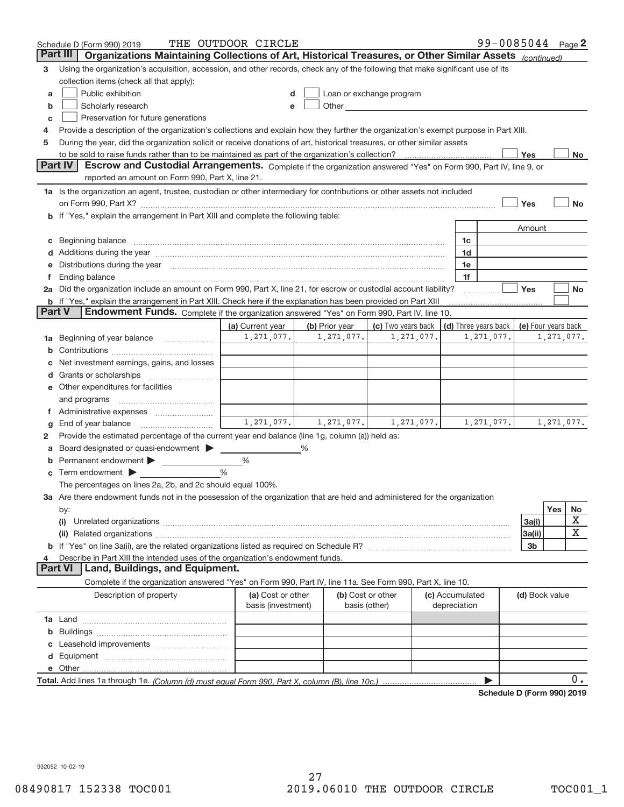|        | Schedule D (Form 990) 2019                                                                                                                                                                                                           | THE OUTDOOR CIRCLE                      |                |            |                                                                                                                                                                                                                               |                                 | 99-0085044 Page 2          |                     |            |           |
|--------|--------------------------------------------------------------------------------------------------------------------------------------------------------------------------------------------------------------------------------------|-----------------------------------------|----------------|------------|-------------------------------------------------------------------------------------------------------------------------------------------------------------------------------------------------------------------------------|---------------------------------|----------------------------|---------------------|------------|-----------|
|        | Organizations Maintaining Collections of Art, Historical Treasures, or Other Similar Assets (continued)<br>Part III                                                                                                                  |                                         |                |            |                                                                                                                                                                                                                               |                                 |                            |                     |            |           |
| 3      | Using the organization's acquisition, accession, and other records, check any of the following that make significant use of its                                                                                                      |                                         |                |            |                                                                                                                                                                                                                               |                                 |                            |                     |            |           |
|        | collection items (check all that apply):                                                                                                                                                                                             |                                         |                |            |                                                                                                                                                                                                                               |                                 |                            |                     |            |           |
| a      | Public exhibition                                                                                                                                                                                                                    |                                         |                |            | Loan or exchange program                                                                                                                                                                                                      |                                 |                            |                     |            |           |
| b      | Scholarly research                                                                                                                                                                                                                   | e                                       |                |            | Other and the contract of the contract of the contract of the contract of the contract of the contract of the contract of the contract of the contract of the contract of the contract of the contract of the contract of the |                                 |                            |                     |            |           |
| C      | Preservation for future generations                                                                                                                                                                                                  |                                         |                |            |                                                                                                                                                                                                                               |                                 |                            |                     |            |           |
| 4      | Provide a description of the organization's collections and explain how they further the organization's exempt purpose in Part XIII.                                                                                                 |                                         |                |            |                                                                                                                                                                                                                               |                                 |                            |                     |            |           |
| 5      | During the year, did the organization solicit or receive donations of art, historical treasures, or other similar assets                                                                                                             |                                         |                |            |                                                                                                                                                                                                                               |                                 |                            |                     |            |           |
|        |                                                                                                                                                                                                                                      |                                         |                |            |                                                                                                                                                                                                                               |                                 |                            | Yes                 |            | No        |
|        | <b>Part IV</b><br>Escrow and Custodial Arrangements. Complete if the organization answered "Yes" on Form 990, Part IV, line 9, or<br>reported an amount on Form 990, Part X, line 21.                                                |                                         |                |            |                                                                                                                                                                                                                               |                                 |                            |                     |            |           |
|        | 1a Is the organization an agent, trustee, custodian or other intermediary for contributions or other assets not included                                                                                                             |                                         |                |            |                                                                                                                                                                                                                               |                                 |                            |                     |            |           |
|        |                                                                                                                                                                                                                                      |                                         |                |            |                                                                                                                                                                                                                               |                                 |                            | Yes                 |            | <b>No</b> |
|        | <b>b</b> If "Yes," explain the arrangement in Part XIII and complete the following table:                                                                                                                                            |                                         |                |            |                                                                                                                                                                                                                               |                                 |                            |                     |            |           |
|        |                                                                                                                                                                                                                                      |                                         |                |            |                                                                                                                                                                                                                               |                                 |                            | Amount              |            |           |
|        | Beginning balance <b>contract to the contract of the contract of the contract of the contract of the contract of the contract of the contract of the contract of the contract of the contract of the contract of the contract of</b> |                                         |                |            |                                                                                                                                                                                                                               |                                 | 1c                         |                     |            |           |
|        | Additions during the year manufactured and an annual contract of the year manufactured and a set of the year manufactured and a set of the year manufactured and a set of the year manufactured and set of the year manufactur       |                                         |                |            |                                                                                                                                                                                                                               |                                 | 1d                         |                     |            |           |
|        | Distributions during the year manufactured and continuum and continuum and the year manufactured and continuum                                                                                                                       |                                         |                |            |                                                                                                                                                                                                                               |                                 | 1e                         |                     |            |           |
|        |                                                                                                                                                                                                                                      |                                         |                |            |                                                                                                                                                                                                                               |                                 | 1f                         |                     |            |           |
|        | 2a Did the organization include an amount on Form 990, Part X, line 21, for escrow or custodial account liability?                                                                                                                   |                                         |                |            |                                                                                                                                                                                                                               |                                 |                            | Yes                 |            | No        |
|        | <b>b</b> If "Yes," explain the arrangement in Part XIII. Check here if the explanation has been provided on Part XIII                                                                                                                |                                         |                |            |                                                                                                                                                                                                                               |                                 |                            |                     |            |           |
| Part V | Endowment Funds. Complete if the organization answered "Yes" on Form 990, Part IV, line 10.                                                                                                                                          |                                         |                |            |                                                                                                                                                                                                                               |                                 |                            |                     |            |           |
|        |                                                                                                                                                                                                                                      | (a) Current year                        | (b) Prior year |            | (c) Two years back                                                                                                                                                                                                            |                                 | (d) Three years back       | (e) Four years back |            |           |
| 1а     | Beginning of year balance                                                                                                                                                                                                            | 1,271,077.                              |                | 1,271,077. | 1,271,077.                                                                                                                                                                                                                    |                                 | 1,271,077.                 |                     | 1,271,077. |           |
| b      |                                                                                                                                                                                                                                      |                                         |                |            |                                                                                                                                                                                                                               |                                 |                            |                     |            |           |
|        | Net investment earnings, gains, and losses                                                                                                                                                                                           |                                         |                |            |                                                                                                                                                                                                                               |                                 |                            |                     |            |           |
|        |                                                                                                                                                                                                                                      |                                         |                |            |                                                                                                                                                                                                                               |                                 |                            |                     |            |           |
|        | Other expenditures for facilities                                                                                                                                                                                                    |                                         |                |            |                                                                                                                                                                                                                               |                                 |                            |                     |            |           |
|        | and programs                                                                                                                                                                                                                         |                                         |                |            |                                                                                                                                                                                                                               |                                 |                            |                     |            |           |
|        |                                                                                                                                                                                                                                      | $1, 271, 077.$ $1, 271, 077.$           |                |            | 1, 271, 077.                                                                                                                                                                                                                  |                                 |                            |                     |            |           |
| g      | End of year balance                                                                                                                                                                                                                  |                                         |                |            |                                                                                                                                                                                                                               |                                 | 1,271,077.                 |                     | 1,271,077. |           |
| 2      | Provide the estimated percentage of the current year end balance (line 1g, column (a)) held as:                                                                                                                                      |                                         |                |            |                                                                                                                                                                                                                               |                                 |                            |                     |            |           |
|        | Board designated or quasi-endowment<br>Permanent endowment > 1                                                                                                                                                                       | %                                       | %              |            |                                                                                                                                                                                                                               |                                 |                            |                     |            |           |
| b      | Term endowment $\blacktriangleright$                                                                                                                                                                                                 | %                                       |                |            |                                                                                                                                                                                                                               |                                 |                            |                     |            |           |
| С      | The percentages on lines 2a, 2b, and 2c should equal 100%.                                                                                                                                                                           |                                         |                |            |                                                                                                                                                                                                                               |                                 |                            |                     |            |           |
|        | 3a Are there endowment funds not in the possession of the organization that are held and administered for the organization                                                                                                           |                                         |                |            |                                                                                                                                                                                                                               |                                 |                            |                     |            |           |
|        | by:                                                                                                                                                                                                                                  |                                         |                |            |                                                                                                                                                                                                                               |                                 |                            |                     | Yes        | No        |
|        | (i)                                                                                                                                                                                                                                  |                                         |                |            |                                                                                                                                                                                                                               |                                 |                            | 3a(i)               |            | X         |
|        |                                                                                                                                                                                                                                      |                                         |                |            |                                                                                                                                                                                                                               |                                 |                            | 3a(ii)              |            | х         |
|        |                                                                                                                                                                                                                                      |                                         |                |            |                                                                                                                                                                                                                               |                                 |                            | 3b                  |            |           |
|        | Describe in Part XIII the intended uses of the organization's endowment funds.                                                                                                                                                       |                                         |                |            |                                                                                                                                                                                                                               |                                 |                            |                     |            |           |
|        | Land, Buildings, and Equipment.<br>Part VI                                                                                                                                                                                           |                                         |                |            |                                                                                                                                                                                                                               |                                 |                            |                     |            |           |
|        | Complete if the organization answered "Yes" on Form 990, Part IV, line 11a. See Form 990, Part X, line 10.                                                                                                                           |                                         |                |            |                                                                                                                                                                                                                               |                                 |                            |                     |            |           |
|        | Description of property                                                                                                                                                                                                              | (a) Cost or other<br>basis (investment) |                |            | (b) Cost or other<br>basis (other)                                                                                                                                                                                            | (c) Accumulated<br>depreciation |                            | (d) Book value      |            |           |
|        |                                                                                                                                                                                                                                      |                                         |                |            |                                                                                                                                                                                                                               |                                 |                            |                     |            |           |
| b      |                                                                                                                                                                                                                                      |                                         |                |            |                                                                                                                                                                                                                               |                                 |                            |                     |            |           |
|        |                                                                                                                                                                                                                                      |                                         |                |            |                                                                                                                                                                                                                               |                                 |                            |                     |            |           |
| d      |                                                                                                                                                                                                                                      |                                         |                |            |                                                                                                                                                                                                                               |                                 |                            |                     |            |           |
|        |                                                                                                                                                                                                                                      |                                         |                |            |                                                                                                                                                                                                                               |                                 |                            |                     |            |           |
|        |                                                                                                                                                                                                                                      |                                         |                |            |                                                                                                                                                                                                                               |                                 |                            |                     |            | 0.        |
|        |                                                                                                                                                                                                                                      |                                         |                |            |                                                                                                                                                                                                                               |                                 | Schodule D (Form 000) 2010 |                     |            |           |

**Schedule D (Form 990) 2019**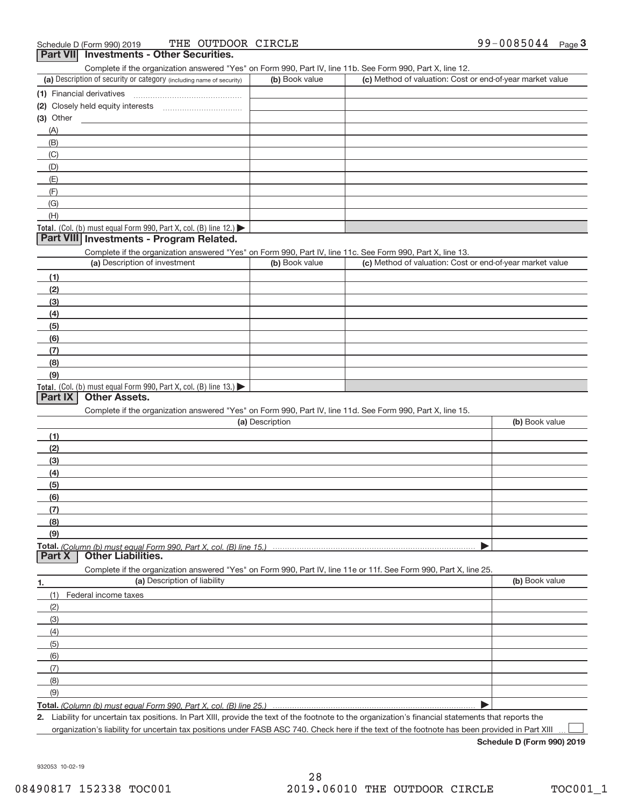| . <b></b><br><b>THE SERVICE CONTROL</b><br>Complete if the organization answered "Yes" on Form 990, Part IV, line 11b. See Form 990, Part X, line 12. |                 |                                                           |                |
|-------------------------------------------------------------------------------------------------------------------------------------------------------|-----------------|-----------------------------------------------------------|----------------|
| (a) Description of security or category (including name of security)                                                                                  | (b) Book value  | (c) Method of valuation: Cost or end-of-year market value |                |
| (1) Financial derivatives                                                                                                                             |                 |                                                           |                |
|                                                                                                                                                       |                 |                                                           |                |
| (3) Other                                                                                                                                             |                 |                                                           |                |
| (A)                                                                                                                                                   |                 |                                                           |                |
| (B)                                                                                                                                                   |                 |                                                           |                |
| (C)                                                                                                                                                   |                 |                                                           |                |
| (D)                                                                                                                                                   |                 |                                                           |                |
| (E)                                                                                                                                                   |                 |                                                           |                |
| (F)                                                                                                                                                   |                 |                                                           |                |
| (G)                                                                                                                                                   |                 |                                                           |                |
| (H)                                                                                                                                                   |                 |                                                           |                |
| Total. (Col. (b) must equal Form 990, Part X, col. (B) line 12.)                                                                                      |                 |                                                           |                |
| Part VIII Investments - Program Related.                                                                                                              |                 |                                                           |                |
| Complete if the organization answered "Yes" on Form 990, Part IV, line 11c. See Form 990, Part X, line 13.                                            |                 |                                                           |                |
| (a) Description of investment                                                                                                                         | (b) Book value  | (c) Method of valuation: Cost or end-of-year market value |                |
| (1)                                                                                                                                                   |                 |                                                           |                |
| (2)                                                                                                                                                   |                 |                                                           |                |
| (3)                                                                                                                                                   |                 |                                                           |                |
| (4)                                                                                                                                                   |                 |                                                           |                |
| (5)                                                                                                                                                   |                 |                                                           |                |
| (6)                                                                                                                                                   |                 |                                                           |                |
| (7)                                                                                                                                                   |                 |                                                           |                |
| (8)                                                                                                                                                   |                 |                                                           |                |
| (9)                                                                                                                                                   |                 |                                                           |                |
| Total. (Col. (b) must equal Form 990, Part X, col. (B) line 13.)                                                                                      |                 |                                                           |                |
| <b>Other Assets.</b><br><b>Part IX</b>                                                                                                                |                 |                                                           |                |
| Complete if the organization answered "Yes" on Form 990, Part IV, line 11d. See Form 990, Part X, line 15.                                            |                 |                                                           |                |
|                                                                                                                                                       | (a) Description |                                                           | (b) Book value |
| (1)                                                                                                                                                   |                 |                                                           |                |
| (2)                                                                                                                                                   |                 |                                                           |                |
| (3)                                                                                                                                                   |                 |                                                           |                |
| (4)                                                                                                                                                   |                 |                                                           |                |
| (5)                                                                                                                                                   |                 |                                                           |                |
| (6)                                                                                                                                                   |                 |                                                           |                |
| (7)                                                                                                                                                   |                 |                                                           |                |
| (8)                                                                                                                                                   |                 |                                                           |                |
| (9)                                                                                                                                                   |                 |                                                           |                |
| Total. (Column (b) must equal Form 990, Part X, col. (B) line 15.)                                                                                    |                 |                                                           |                |
| <b>Other Liabilities.</b><br><b>Part X</b>                                                                                                            |                 |                                                           |                |
| Complete if the organization answered "Yes" on Form 990, Part IV, line 11e or 11f. See Form 990, Part X, line 25.                                     |                 |                                                           |                |
| (a) Description of liability<br>1.                                                                                                                    |                 |                                                           | (b) Book value |
| (1)<br>Federal income taxes                                                                                                                           |                 |                                                           |                |
| (2)                                                                                                                                                   |                 |                                                           |                |
| (3)                                                                                                                                                   |                 |                                                           |                |
| (4)                                                                                                                                                   |                 |                                                           |                |
|                                                                                                                                                       |                 |                                                           |                |
| (5)                                                                                                                                                   |                 |                                                           |                |
| (6)                                                                                                                                                   |                 |                                                           |                |
| (7)                                                                                                                                                   |                 |                                                           |                |
| (8)                                                                                                                                                   |                 |                                                           |                |
| (9)                                                                                                                                                   |                 |                                                           |                |
| Total. (Column (b) must equal Form 990, Part X, col. (B) line 25.)                                                                                    |                 |                                                           |                |

**2.** Liability for uncertain tax positions. In Part XIII, provide the text of the footnote to the organization's financial statements that reports the

organization's liability for uncertain tax positions under FASB ASC 740. Check here if the text of the footnote has been provided in Part XIII

 $\perp$ 

**Schedule D (Form 990) 2019**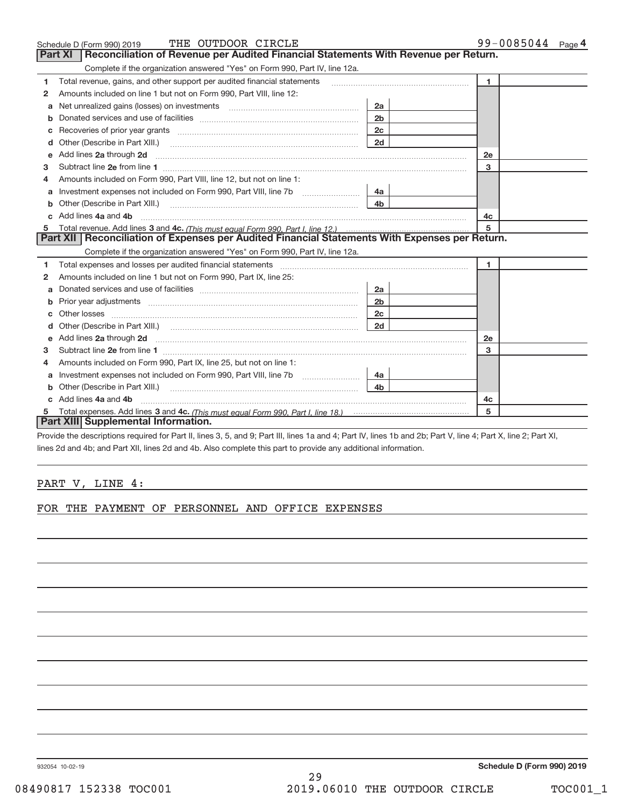| Schedule D (Form 990) 2019                                                                                                                                                                                                                                                            | THE OUTDOOR CIRCLE                                                                  |                | 99-0085044 Page 4 |  |
|---------------------------------------------------------------------------------------------------------------------------------------------------------------------------------------------------------------------------------------------------------------------------------------|-------------------------------------------------------------------------------------|----------------|-------------------|--|
| <b>Part XI</b>                                                                                                                                                                                                                                                                        | Reconciliation of Revenue per Audited Financial Statements With Revenue per Return. |                |                   |  |
|                                                                                                                                                                                                                                                                                       | Complete if the organization answered "Yes" on Form 990, Part IV, line 12a.         |                |                   |  |
| Total revenue, gains, and other support per audited financial statements<br>1                                                                                                                                                                                                         |                                                                                     |                | $\mathbf{1}$      |  |
| Amounts included on line 1 but not on Form 990, Part VIII, line 12:<br>2                                                                                                                                                                                                              |                                                                                     |                |                   |  |
| a                                                                                                                                                                                                                                                                                     |                                                                                     | 2a             |                   |  |
|                                                                                                                                                                                                                                                                                       |                                                                                     | 2 <sub>b</sub> |                   |  |
| c                                                                                                                                                                                                                                                                                     |                                                                                     | 2c             |                   |  |
| d                                                                                                                                                                                                                                                                                     |                                                                                     | 2d             |                   |  |
| Add lines 2a through 2d <b>[10]</b> [20] <b>All (20)</b> [20] [20] <b>All (20)</b> [30] <b>All (20)</b> [30] <b>All (20)</b> [30] <b>All (20)</b> [30] <b>All (20)</b> [30] <b>All (20)</b> [30] <b>All (20)</b> [30] <b>All (20)</b> [30] <b>All (20) All (20) All (20) All</b><br>e |                                                                                     |                | 2e                |  |
| 3                                                                                                                                                                                                                                                                                     |                                                                                     |                | 3                 |  |
| Amounts included on Form 990, Part VIII, line 12, but not on line 1:<br>4                                                                                                                                                                                                             |                                                                                     |                |                   |  |
|                                                                                                                                                                                                                                                                                       |                                                                                     | 4a             |                   |  |
| Other (Describe in Part XIII.) <b>Construction Contract Construction</b> Chern Construction Construction Construction<br>b                                                                                                                                                            |                                                                                     | 4 <sub>b</sub> |                   |  |
| c Add lines 4a and 4b                                                                                                                                                                                                                                                                 |                                                                                     |                | 4c                |  |
|                                                                                                                                                                                                                                                                                       |                                                                                     |                | 5                 |  |
| Part XII   Reconciliation of Expenses per Audited Financial Statements With Expenses per Return.                                                                                                                                                                                      |                                                                                     |                |                   |  |
|                                                                                                                                                                                                                                                                                       | Complete if the organization answered "Yes" on Form 990, Part IV, line 12a.         |                |                   |  |
| Total expenses and losses per audited financial statements [11] [12] manuscription and contract the statements [13] manuscription and the statements [13] manuscription and the statements and the statements and the statemen<br>1                                                   |                                                                                     |                | 1.                |  |
| Amounts included on line 1 but not on Form 990, Part IX, line 25:<br>2                                                                                                                                                                                                                |                                                                                     |                |                   |  |
| a                                                                                                                                                                                                                                                                                     |                                                                                     | 2a             |                   |  |
| Prior year adjustments <i>www.www.www.www.www.www.www.www.www.</i> ww.<br>b                                                                                                                                                                                                           |                                                                                     | 2 <sub>b</sub> |                   |  |
|                                                                                                                                                                                                                                                                                       |                                                                                     | 2 <sub>c</sub> |                   |  |
| d                                                                                                                                                                                                                                                                                     |                                                                                     | 2d             |                   |  |
| Add lines 2a through 2d <b>contained a contained a contained a contained a</b> contained a contained a contained a contained a contained a contained a contained a contained a contained a contained a contained a contained a cont<br>e                                              |                                                                                     |                | 2e                |  |
| з                                                                                                                                                                                                                                                                                     |                                                                                     |                | 3                 |  |
| Amounts included on Form 990, Part IX, line 25, but not on line 1:<br>4                                                                                                                                                                                                               |                                                                                     |                |                   |  |
| a                                                                                                                                                                                                                                                                                     |                                                                                     | 4a l           |                   |  |
| Other (Describe in Part XIII.)<br>b                                                                                                                                                                                                                                                   |                                                                                     | 4 <sub>h</sub> |                   |  |
| Add lines 4a and 4b<br>C.                                                                                                                                                                                                                                                             |                                                                                     |                | 4c                |  |
|                                                                                                                                                                                                                                                                                       |                                                                                     |                | 5                 |  |
| Part XIII Supplemental Information.                                                                                                                                                                                                                                                   |                                                                                     |                |                   |  |

Provide the descriptions required for Part II, lines 3, 5, and 9; Part III, lines 1a and 4; Part IV, lines 1b and 2b; Part V, line 4; Part X, line 2; Part XI, lines 2d and 4b; and Part XII, lines 2d and 4b. Also complete this part to provide any additional information.

# PART V, LINE 4:

FOR THE PAYMENT OF PERSONNEL AND OFFICE EXPENSES

932054 10‐02‐19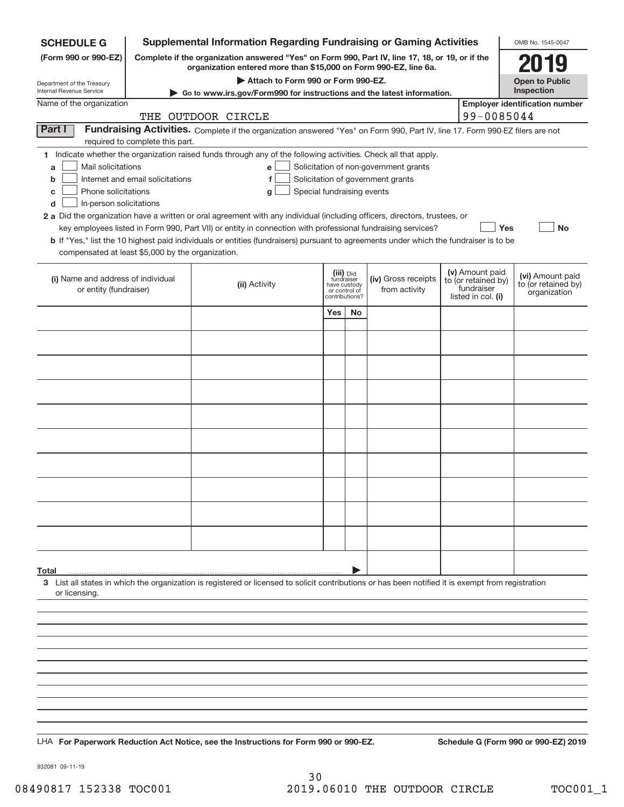| <b>SCHEDULE G</b>                                                                                                                             |                                                                                                                                                                     | <b>Supplemental Information Regarding Fundraising or Gaming Activities</b>                                                                                                                                                                                                                                                                                                                                                                                                                                                                                |                                                                            |    |                                                                            |  |                                                                            | OMB No. 1545-0047                                       |
|-----------------------------------------------------------------------------------------------------------------------------------------------|---------------------------------------------------------------------------------------------------------------------------------------------------------------------|-----------------------------------------------------------------------------------------------------------------------------------------------------------------------------------------------------------------------------------------------------------------------------------------------------------------------------------------------------------------------------------------------------------------------------------------------------------------------------------------------------------------------------------------------------------|----------------------------------------------------------------------------|----|----------------------------------------------------------------------------|--|----------------------------------------------------------------------------|---------------------------------------------------------|
| (Form 990 or 990-EZ)                                                                                                                          | Complete if the organization answered "Yes" on Form 990, Part IV, line 17, 18, or 19, or if the<br>organization entered more than \$15,000 on Form 990-EZ, line 6a. |                                                                                                                                                                                                                                                                                                                                                                                                                                                                                                                                                           |                                                                            |    |                                                                            |  |                                                                            |                                                         |
|                                                                                                                                               |                                                                                                                                                                     | Attach to Form 990 or Form 990-EZ.                                                                                                                                                                                                                                                                                                                                                                                                                                                                                                                        |                                                                            |    |                                                                            |  |                                                                            | <b>Open to Public</b>                                   |
| Department of the Treasury<br>Internal Revenue Service                                                                                        |                                                                                                                                                                     | Go to www.irs.gov/Form990 for instructions and the latest information.                                                                                                                                                                                                                                                                                                                                                                                                                                                                                    |                                                                            |    |                                                                            |  |                                                                            | Inspection                                              |
| Name of the organization                                                                                                                      |                                                                                                                                                                     | THE OUTDOOR CIRCLE                                                                                                                                                                                                                                                                                                                                                                                                                                                                                                                                        |                                                                            |    |                                                                            |  | 99-0085044                                                                 | <b>Employer identification number</b>                   |
| Part I                                                                                                                                        | required to complete this part.                                                                                                                                     | Fundraising Activities. Complete if the organization answered "Yes" on Form 990, Part IV, line 17. Form 990-EZ filers are not                                                                                                                                                                                                                                                                                                                                                                                                                             |                                                                            |    |                                                                            |  |                                                                            |                                                         |
| Mail solicitations<br>a<br>b<br>Phone solicitations<br>С<br>In-person solicitations<br>d<br>compensated at least \$5,000 by the organization. | Internet and email solicitations                                                                                                                                    | 1 Indicate whether the organization raised funds through any of the following activities. Check all that apply.<br>e<br>f<br>Special fundraising events<br>g<br>2 a Did the organization have a written or oral agreement with any individual (including officers, directors, trustees, or<br>key employees listed in Form 990, Part VII) or entity in connection with professional fundraising services?<br><b>b</b> If "Yes," list the 10 highest paid individuals or entities (fundraisers) pursuant to agreements under which the fundraiser is to be |                                                                            |    | Solicitation of non-government grants<br>Solicitation of government grants |  | Yes                                                                        | No                                                      |
| (i) Name and address of individual<br>or entity (fundraiser)                                                                                  |                                                                                                                                                                     | (ii) Activity                                                                                                                                                                                                                                                                                                                                                                                                                                                                                                                                             | (iii) Did<br>fundraiser<br>have custody<br>or control of<br>contributions? |    | (iv) Gross receipts<br>from activity                                       |  | (v) Amount paid<br>to (or retained by)<br>fundraiser<br>listed in col. (i) | (vi) Amount paid<br>to (or retained by)<br>organization |
|                                                                                                                                               |                                                                                                                                                                     |                                                                                                                                                                                                                                                                                                                                                                                                                                                                                                                                                           | Yes                                                                        | No |                                                                            |  |                                                                            |                                                         |
|                                                                                                                                               |                                                                                                                                                                     |                                                                                                                                                                                                                                                                                                                                                                                                                                                                                                                                                           |                                                                            |    |                                                                            |  |                                                                            |                                                         |
|                                                                                                                                               |                                                                                                                                                                     |                                                                                                                                                                                                                                                                                                                                                                                                                                                                                                                                                           |                                                                            |    |                                                                            |  |                                                                            |                                                         |
|                                                                                                                                               |                                                                                                                                                                     |                                                                                                                                                                                                                                                                                                                                                                                                                                                                                                                                                           |                                                                            |    |                                                                            |  |                                                                            |                                                         |
|                                                                                                                                               |                                                                                                                                                                     |                                                                                                                                                                                                                                                                                                                                                                                                                                                                                                                                                           |                                                                            |    |                                                                            |  |                                                                            |                                                         |
|                                                                                                                                               |                                                                                                                                                                     |                                                                                                                                                                                                                                                                                                                                                                                                                                                                                                                                                           |                                                                            |    |                                                                            |  |                                                                            |                                                         |
|                                                                                                                                               |                                                                                                                                                                     |                                                                                                                                                                                                                                                                                                                                                                                                                                                                                                                                                           |                                                                            |    |                                                                            |  |                                                                            |                                                         |
|                                                                                                                                               |                                                                                                                                                                     |                                                                                                                                                                                                                                                                                                                                                                                                                                                                                                                                                           |                                                                            |    |                                                                            |  |                                                                            |                                                         |
|                                                                                                                                               |                                                                                                                                                                     |                                                                                                                                                                                                                                                                                                                                                                                                                                                                                                                                                           |                                                                            |    |                                                                            |  |                                                                            |                                                         |
|                                                                                                                                               |                                                                                                                                                                     |                                                                                                                                                                                                                                                                                                                                                                                                                                                                                                                                                           |                                                                            |    |                                                                            |  |                                                                            |                                                         |
|                                                                                                                                               |                                                                                                                                                                     |                                                                                                                                                                                                                                                                                                                                                                                                                                                                                                                                                           |                                                                            |    |                                                                            |  |                                                                            |                                                         |
|                                                                                                                                               |                                                                                                                                                                     |                                                                                                                                                                                                                                                                                                                                                                                                                                                                                                                                                           |                                                                            |    |                                                                            |  |                                                                            |                                                         |
| Total                                                                                                                                         |                                                                                                                                                                     |                                                                                                                                                                                                                                                                                                                                                                                                                                                                                                                                                           |                                                                            |    |                                                                            |  |                                                                            |                                                         |
| or licensing.                                                                                                                                 |                                                                                                                                                                     | 3 List all states in which the organization is registered or licensed to solicit contributions or has been notified it is exempt from registration                                                                                                                                                                                                                                                                                                                                                                                                        |                                                                            |    |                                                                            |  |                                                                            |                                                         |
|                                                                                                                                               |                                                                                                                                                                     |                                                                                                                                                                                                                                                                                                                                                                                                                                                                                                                                                           |                                                                            |    |                                                                            |  |                                                                            |                                                         |
|                                                                                                                                               |                                                                                                                                                                     |                                                                                                                                                                                                                                                                                                                                                                                                                                                                                                                                                           |                                                                            |    |                                                                            |  |                                                                            |                                                         |
|                                                                                                                                               |                                                                                                                                                                     |                                                                                                                                                                                                                                                                                                                                                                                                                                                                                                                                                           |                                                                            |    |                                                                            |  |                                                                            |                                                         |
|                                                                                                                                               |                                                                                                                                                                     |                                                                                                                                                                                                                                                                                                                                                                                                                                                                                                                                                           |                                                                            |    |                                                                            |  |                                                                            |                                                         |
|                                                                                                                                               |                                                                                                                                                                     |                                                                                                                                                                                                                                                                                                                                                                                                                                                                                                                                                           |                                                                            |    |                                                                            |  |                                                                            |                                                         |
|                                                                                                                                               |                                                                                                                                                                     |                                                                                                                                                                                                                                                                                                                                                                                                                                                                                                                                                           |                                                                            |    |                                                                            |  |                                                                            |                                                         |
|                                                                                                                                               |                                                                                                                                                                     | LHA For Paperwork Reduction Act Notice, see the Instructions for Form 990 or 990-EZ.                                                                                                                                                                                                                                                                                                                                                                                                                                                                      |                                                                            |    |                                                                            |  |                                                                            | Schedule G (Form 990 or 990-EZ) 2019                    |
|                                                                                                                                               |                                                                                                                                                                     |                                                                                                                                                                                                                                                                                                                                                                                                                                                                                                                                                           |                                                                            |    |                                                                            |  |                                                                            |                                                         |

932081 09‐11‐19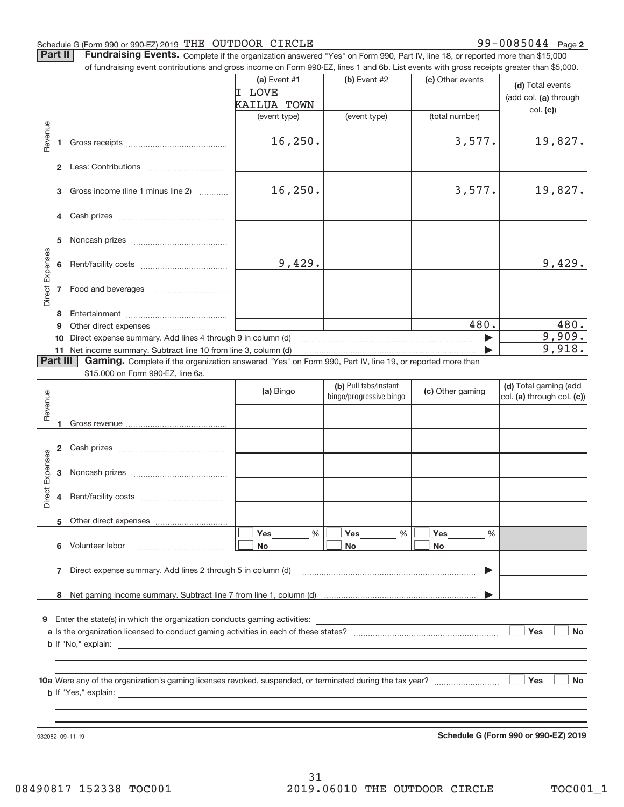#### Schedule G (Form 990 or 990‐EZ) 2019 「THE OUTDOOR CIRCLE  $99-0085044$  Page

99-0085044 Page 2

Part II | Fundraising Events. Complete if the organization answered "Yes" on Form 990, Part IV, line 18, or reported more than \$15,000

|                 |          | of fundraising event contributions and gross income on Form 990-EZ, lines 1 and 6b. List events with gross receipts greater than \$5,000. |                                                         |                                                  |                                    |                                                       |
|-----------------|----------|-------------------------------------------------------------------------------------------------------------------------------------------|---------------------------------------------------------|--------------------------------------------------|------------------------------------|-------------------------------------------------------|
|                 |          |                                                                                                                                           | (a) Event $#1$<br>I LOVE<br>KAILUA TOWN<br>(event type) | (b) Event #2<br>(event type)                     | (c) Other events<br>(total number) | (d) Total events<br>(add col. (a) through<br>col. (c) |
| Revenue         |          |                                                                                                                                           | 16, 250.                                                |                                                  | 3,577.                             | 19,827.                                               |
|                 |          |                                                                                                                                           |                                                         |                                                  |                                    |                                                       |
|                 |          | 3 Gross income (line 1 minus line 2)                                                                                                      | 16, 250.                                                |                                                  | 3,577.                             | 19,827.                                               |
|                 |          |                                                                                                                                           |                                                         |                                                  |                                    |                                                       |
|                 | 5        |                                                                                                                                           |                                                         |                                                  |                                    |                                                       |
| Direct Expenses |          |                                                                                                                                           | 9,429.                                                  |                                                  |                                    | 9,429.                                                |
|                 |          | 7 Food and beverages                                                                                                                      |                                                         |                                                  |                                    |                                                       |
|                 | 8        |                                                                                                                                           |                                                         |                                                  | 480.                               | 480.                                                  |
|                 | 9        | 10 Direct expense summary. Add lines 4 through 9 in column (d)                                                                            |                                                         |                                                  |                                    | 9,909.                                                |
|                 |          | 11 Net income summary. Subtract line 10 from line 3, column (d)                                                                           |                                                         |                                                  |                                    | 9,918.                                                |
|                 | Part III | <b>Gaming.</b> Complete if the organization answered "Yes" on Form 990, Part IV, line 19, or reported more than                           |                                                         |                                                  |                                    |                                                       |
|                 |          | \$15,000 on Form 990-EZ, line 6a.                                                                                                         |                                                         |                                                  |                                    |                                                       |
|                 |          |                                                                                                                                           |                                                         |                                                  |                                    |                                                       |
|                 |          |                                                                                                                                           | (a) Bingo                                               | (b) Pull tabs/instant<br>bingo/progressive bingo | (c) Other gaming                   | (d) Total gaming (add<br>col. (a) through col. (c))   |
| Revenue         | 1.       |                                                                                                                                           |                                                         |                                                  |                                    |                                                       |
|                 |          |                                                                                                                                           |                                                         |                                                  |                                    |                                                       |
|                 | 3        |                                                                                                                                           |                                                         |                                                  |                                    |                                                       |
| Direct Expenses | 4        |                                                                                                                                           |                                                         |                                                  |                                    |                                                       |
|                 | 5        | Other direct expenses                                                                                                                     |                                                         |                                                  |                                    |                                                       |
|                 | 6        | Volunteer labor                                                                                                                           | Yes<br>%<br>No                                          | Yes<br>%<br>No                                   | Yes<br>%<br>No                     |                                                       |
|                 | 7        | Direct expense summary. Add lines 2 through 5 in column (d)                                                                               |                                                         |                                                  |                                    |                                                       |
|                 |          |                                                                                                                                           |                                                         |                                                  |                                    |                                                       |
|                 |          | <b>9</b> Enter the state(s) in which the organization conducts gaming activities:                                                         |                                                         |                                                  |                                    |                                                       |
|                 |          |                                                                                                                                           |                                                         |                                                  |                                    | Yes<br><b>No</b>                                      |
|                 |          |                                                                                                                                           |                                                         |                                                  |                                    | Yes<br><b>No</b>                                      |

932082 09‐11‐19

**Schedule G (Form 990 or 990‐EZ) 2019**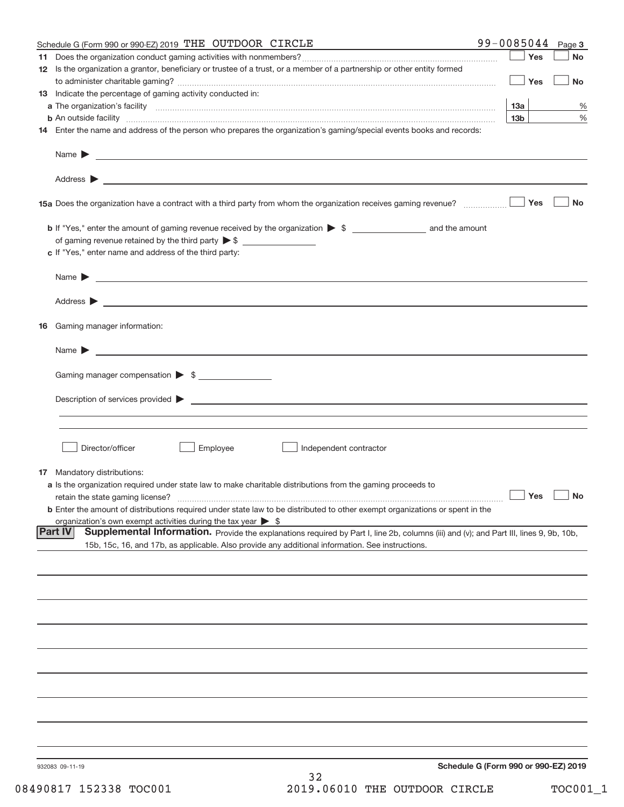| Schedule G (Form 990 or 990-EZ) 2019 THE OUTDOOR CIRCLE                                                                                                                                                                                   | 99-0085044                           | Page 3           |
|-------------------------------------------------------------------------------------------------------------------------------------------------------------------------------------------------------------------------------------------|--------------------------------------|------------------|
|                                                                                                                                                                                                                                           |                                      | Yes<br>No        |
| 12 Is the organization a grantor, beneficiary or trustee of a trust, or a member of a partnership or other entity formed                                                                                                                  |                                      |                  |
|                                                                                                                                                                                                                                           |                                      | Yes<br><b>No</b> |
| 13 Indicate the percentage of gaming activity conducted in:                                                                                                                                                                               |                                      |                  |
|                                                                                                                                                                                                                                           | 13a                                  | %                |
| <b>b</b> An outside facility <b>contained an according to the contract of the contract of the contract of the contract of the contract of the contract of the contract of the contract of the contract of the contract of the contrac</b> | 13 <sub>b</sub>                      | $\%$             |
| 14 Enter the name and address of the person who prepares the organization's gaming/special events books and records:                                                                                                                      |                                      |                  |
|                                                                                                                                                                                                                                           |                                      |                  |
|                                                                                                                                                                                                                                           |                                      |                  |
|                                                                                                                                                                                                                                           |                                      | Yes<br><b>No</b> |
|                                                                                                                                                                                                                                           |                                      |                  |
| of gaming revenue retained by the third party $\triangleright$ \$                                                                                                                                                                         |                                      |                  |
| c If "Yes," enter name and address of the third party:                                                                                                                                                                                    |                                      |                  |
|                                                                                                                                                                                                                                           |                                      |                  |
| <u> 1989 - Johann Harry Harry Harry Harry Harry Harry Harry Harry Harry Harry Harry Harry Harry Harry Harry Harry</u><br>Name $\blacktriangleright$                                                                                       |                                      |                  |
|                                                                                                                                                                                                                                           |                                      |                  |
|                                                                                                                                                                                                                                           |                                      |                  |
| 16 Gaming manager information:                                                                                                                                                                                                            |                                      |                  |
| Name $\blacktriangleright$                                                                                                                                                                                                                |                                      |                  |
| Gaming manager compensation > \$                                                                                                                                                                                                          |                                      |                  |
|                                                                                                                                                                                                                                           |                                      |                  |
| Description of services provided <b>by the contract of the contract of the contract of services</b> provided <b>by the contract of the contract of services</b> provided <b>by</b>                                                        |                                      |                  |
|                                                                                                                                                                                                                                           |                                      |                  |
| Employee<br>Director/officer<br>Independent contractor                                                                                                                                                                                    |                                      |                  |
|                                                                                                                                                                                                                                           |                                      |                  |
| <b>17</b> Mandatory distributions:                                                                                                                                                                                                        |                                      |                  |
| a Is the organization required under state law to make charitable distributions from the gaming proceeds to                                                                                                                               |                                      |                  |
| retain the state gaming license?                                                                                                                                                                                                          | $\Box$ Yes $\Box$                    |                  |
| <b>b</b> Enter the amount of distributions required under state law to be distributed to other exempt organizations or spent in the                                                                                                       |                                      |                  |
| organization's own exempt activities during the tax year $\triangleright$ \$<br><b>Part IV</b><br>Supplemental Information. Provide the explanations required by Part I, line 2b, columns (iii) and (v); and Part III, lines 9, 9b, 10b,  |                                      |                  |
| 15b, 15c, 16, and 17b, as applicable. Also provide any additional information. See instructions.                                                                                                                                          |                                      |                  |
|                                                                                                                                                                                                                                           |                                      |                  |
|                                                                                                                                                                                                                                           |                                      |                  |
|                                                                                                                                                                                                                                           |                                      |                  |
|                                                                                                                                                                                                                                           |                                      |                  |
|                                                                                                                                                                                                                                           |                                      |                  |
|                                                                                                                                                                                                                                           |                                      |                  |
|                                                                                                                                                                                                                                           |                                      |                  |
|                                                                                                                                                                                                                                           |                                      |                  |
|                                                                                                                                                                                                                                           |                                      |                  |
|                                                                                                                                                                                                                                           |                                      |                  |
|                                                                                                                                                                                                                                           |                                      |                  |
| 932083 09-11-19                                                                                                                                                                                                                           | Schedule G (Form 990 or 990-EZ) 2019 |                  |
| 32                                                                                                                                                                                                                                        |                                      |                  |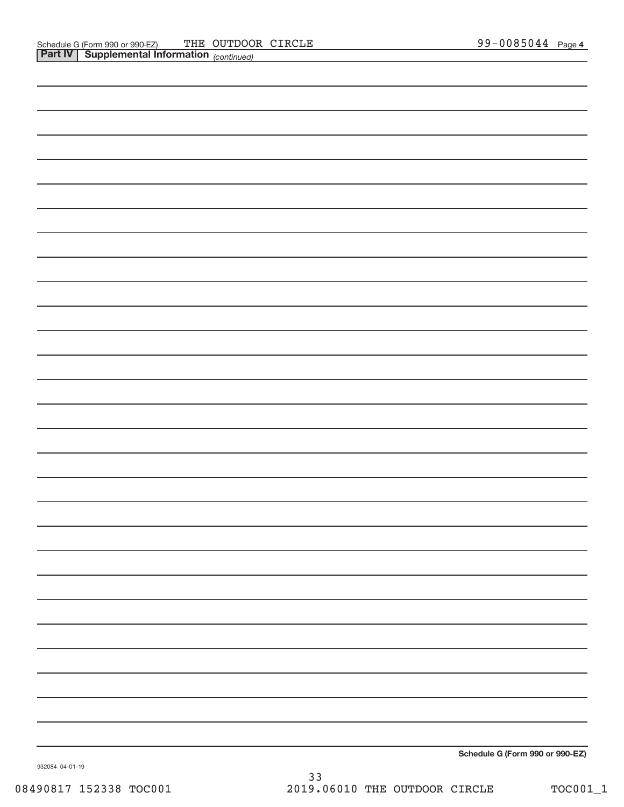| Schedule G (Form 990 or 990-EZ) |
|---------------------------------|

932084 04‐01‐19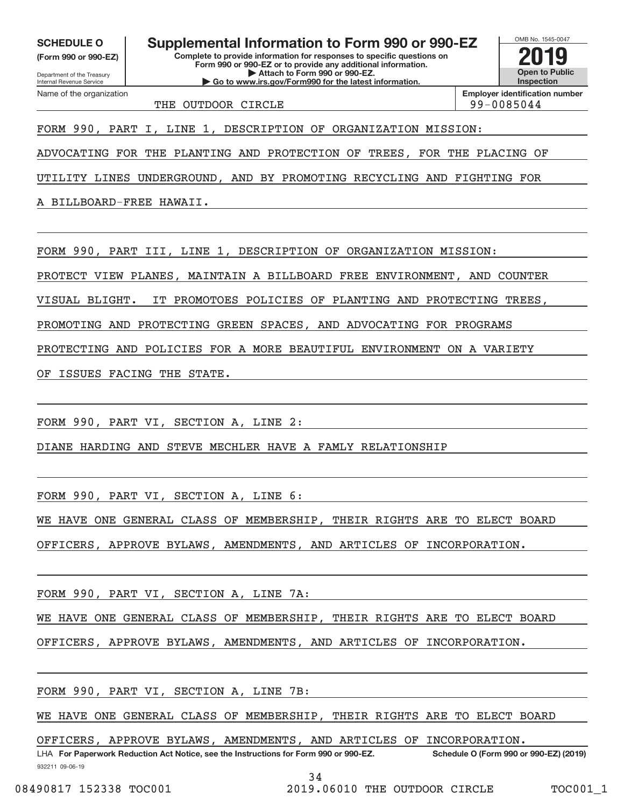**(Form 990 or 990‐EZ)**

Department of the Treasury Internal Revenue Service Name of the organization

**Complete to provide information for responses to specific questions on** SCHEDULE O **Supplemental Information to Form 990 or 990-EZ 2019** 

**Form 990 or 990‐EZ or to provide any additional information. | Attach to Form 990 or 990‐EZ. | Go to www.irs.gov/Form990 for the latest information.**

OMB No. 1545‐0047 **Open to Public Inspection**

THE OUTDOOR CIRCLE 99-0085044

**Employer identification number**

FORM 990, PART I, LINE 1, DESCRIPTION OF ORGANIZATION MISSION:

ADVOCATING FOR THE PLANTING AND PROTECTION OF TREES, FOR THE PLACING OF

UTILITY LINES UNDERGROUND, AND BY PROMOTING RECYCLING AND FIGHTING FOR

A BILLBOARD‐FREE HAWAII.

FORM 990, PART III, LINE 1, DESCRIPTION OF ORGANIZATION MISSION:

PROTECT VIEW PLANES, MAINTAIN A BILLBOARD FREE ENVIRONMENT, AND COUNTER

VISUAL BLIGHT. IT PROMOTOES POLICIES OF PLANTING AND PROTECTING TREES,

PROMOTING AND PROTECTING GREEN SPACES, AND ADVOCATING FOR PROGRAMS

PROTECTING AND POLICIES FOR A MORE BEAUTIFUL ENVIRONMENT ON A VARIETY

OF ISSUES FACING THE STATE.

FORM 990, PART VI, SECTION A, LINE 2:

DIANE HARDING AND STEVE MECHLER HAVE A FAMLY RELATIONSHIP

FORM 990, PART VI, SECTION A, LINE 6:

WE HAVE ONE GENERAL CLASS OF MEMBERSHIP, THEIR RIGHTS ARE TO ELECT BOARD

OFFICERS, APPROVE BYLAWS, AMENDMENTS, AND ARTICLES OF INCORPORATION.

FORM 990, PART VI, SECTION A, LINE 7A:

WE HAVE ONE GENERAL CLASS OF MEMBERSHIP, THEIR RIGHTS ARE TO ELECT BOARD

OFFICERS, APPROVE BYLAWS, AMENDMENTS, AND ARTICLES OF INCORPORATION.

FORM 990, PART VI, SECTION A, LINE 7B:

WE HAVE ONE GENERAL CLASS OF MEMBERSHIP, THEIR RIGHTS ARE TO ELECT BOARD

OFFICERS, APPROVE BYLAWS, AMENDMENTS, AND ARTICLES OF INCORPORATION.

932211 09‐06‐19 **For Paperwork Reduction Act Notice, see the Instructions for Form 990 or 990‐EZ. Schedule O (Form 990 or 990‐EZ) (2019)** LHA